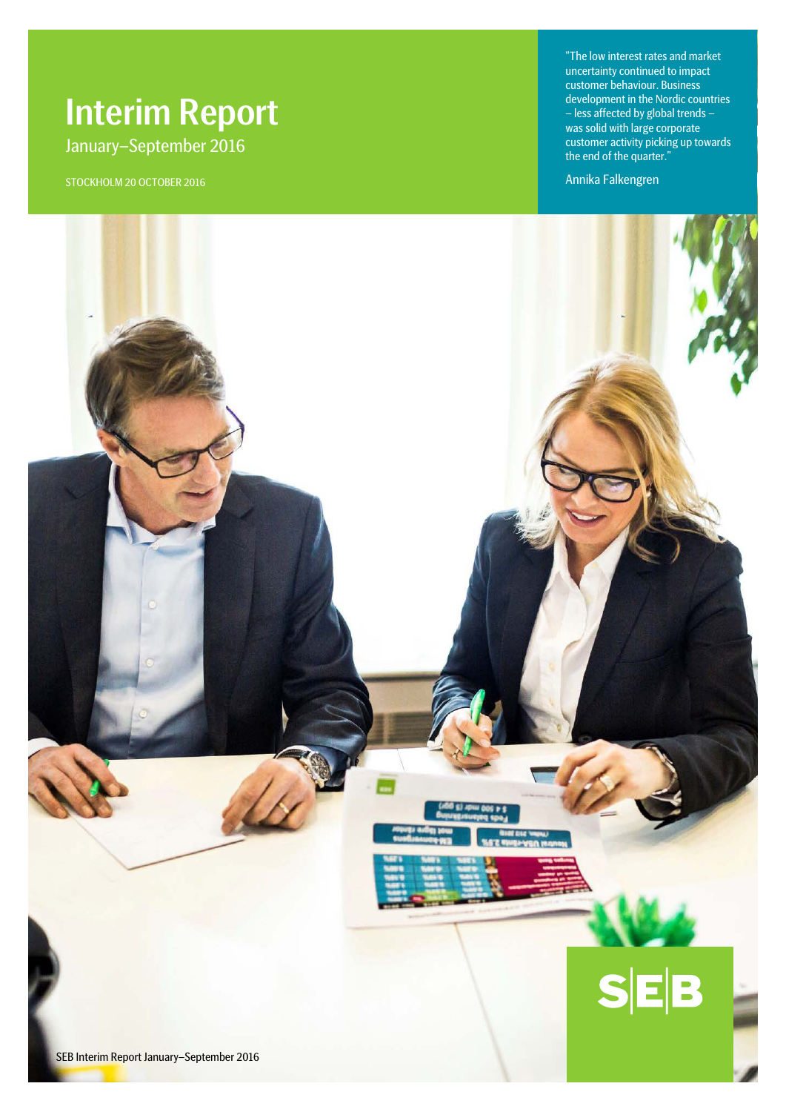# Interim Report January–September 2016

STOCKHOLM 20 OCTOBER 2016

"The low interest rates and market uncertainty continued to impact customer behaviour. Business development in the Nordic countries – less affected by global trends – was solid with large corporate customer activity picking up towards the end of the quarter."

Annika Falkengren

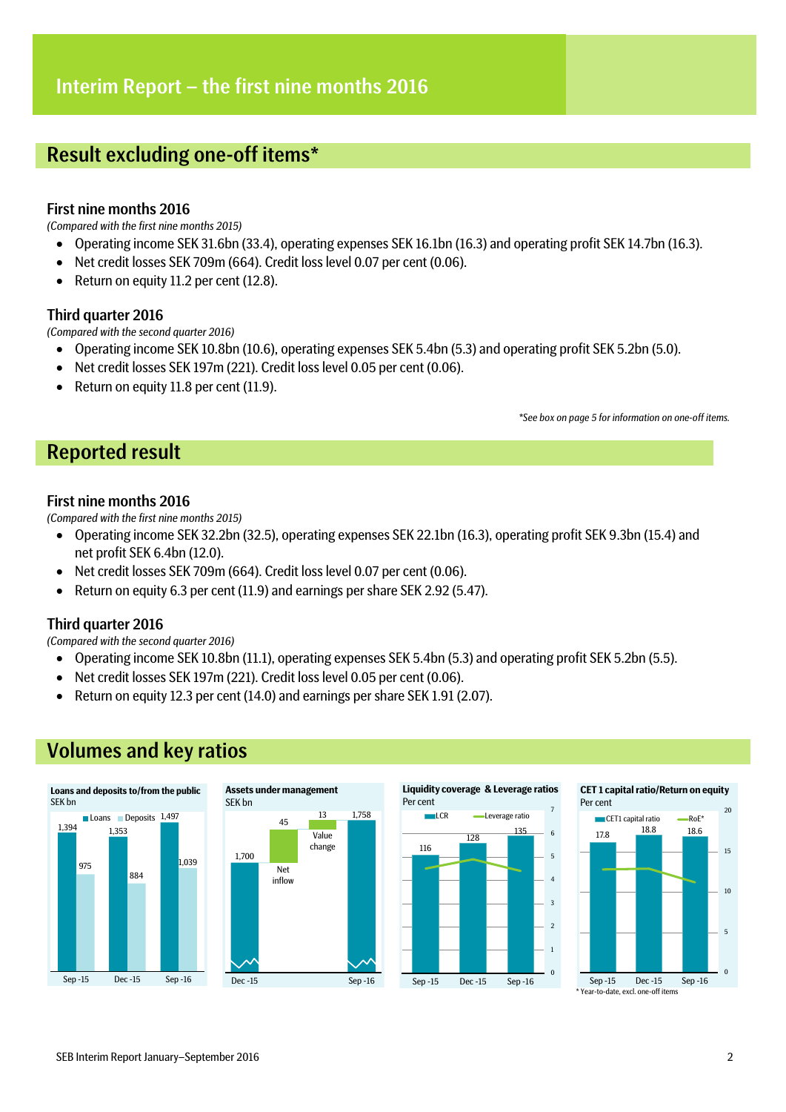## Result excluding one-off items\*

## First nine months 2016

*(Compared with the first nine months 2015)*

- Operating income SEK 31.6bn (33.4), operating expenses SEK 16.1bn (16.3) and operating profit SEK 14.7bn (16.3).
- Net credit losses SEK 709m (664). Credit loss level 0.07 per cent (0.06).
- Return on equity 11.2 per cent (12.8).

## Third quarter 2016

*(Compared with the second quarter 2016)*

- Operating income SEK 10.8bn (10.6), operating expenses SEK 5.4bn (5.3) and operating profit SEK 5.2bn (5.0).
- Net credit losses SEK 197m (221). Credit loss level 0.05 per cent (0.06).
- Return on equity 11.8 per cent (11.9).

*\*See box on page 5 for information on one-off items.*

## Reported result

## First nine months 2016

*(Compared with the first nine months 2015)*

- Operating income SEK 32.2bn (32.5), operating expenses SEK 22.1bn (16.3), operating profit SEK 9.3bn (15.4) and net profit SEK 6.4bn (12.0).
- Net credit losses SEK 709m (664). Credit loss level 0.07 per cent (0.06).
- Return on equity 6.3 per cent (11.9) and earnings per share SEK 2.92 (5.47).

## Third quarter 2016

*(Compared with the second quarter 2016)*

- Operating income SEK 10.8bn (11.1), operating expenses SEK 5.4bn (5.3) and operating profit SEK 5.2bn (5.5).
- Net credit losses SEK 197m (221). Credit loss level 0.05 per cent (0.06).
- Return on equity 12.3 per cent (14.0) and earnings per share SEK 1.91 (2.07).





Sep -15 Dec -15 Sep -16

Year-to-date, excl. one-off items

# Volumes and key ratios

 $\mathfrak{c}$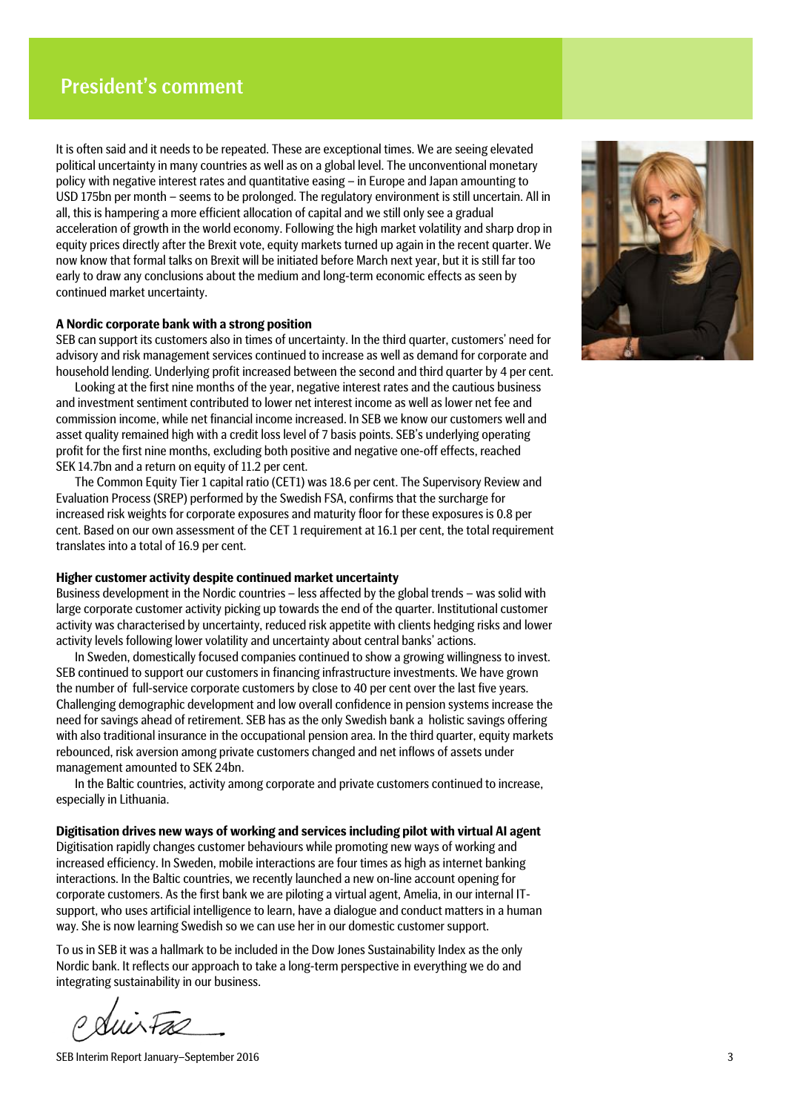It is often said and it needs to be repeated. These are exceptional times. We are seeing elevated political uncertainty in many countries as well as on a global level. The unconventional monetary policy with negative interest rates and quantitative easing – in Europe and Japan amounting to USD 175bn per month – seems to be prolonged. The regulatory environment is still uncertain. All in all, this is hampering a more efficient allocation of capital and we still only see a gradual acceleration of growth in the world economy. Following the high market volatility and sharp drop in equity prices directly after the Brexit vote, equity markets turned up again in the recent quarter. We now know that formal talks on Brexit will be initiated before March next year, but it is still far too early to draw any conclusions about the medium and long-term economic effects as seen by continued market uncertainty.

## **A Nordic corporate bank with a strong position**

SEB can support its customers also in times of uncertainty. In the third quarter, customers' need for advisory and risk management services continued to increase as well as demand for corporate and household lending. Underlying profit increased between the second and third quarter by 4 per cent.

Looking at the first nine months of the year, negative interest rates and the cautious business and investment sentiment contributed to lower net interest income as well as lower net fee and commission income, while net financial income increased. In SEB we know our customers well and asset quality remained high with a credit loss level of 7 basis points. SEB's underlying operating profit for the first nine months, excluding both positive and negative one-off effects, reached SEK 14.7bn and a return on equity of 11.2 per cent.

The Common Equity Tier 1 capital ratio (CET1) was 18.6 per cent. The Supervisory Review and Evaluation Process (SREP) performed by the Swedish FSA, confirms that the surcharge for increased risk weights for corporate exposures and maturity floor for these exposures is 0.8 per cent. Based on our own assessment of the CET 1 requirement at 16.1 per cent, the total requirement translates into a total of 16.9 per cent.

### **Higher customer activity despite continued market uncertainty**

Business development in the Nordic countries – less affected by the global trends – was solid with large corporate customer activity picking up towards the end of the quarter. Institutional customer activity was characterised by uncertainty, reduced risk appetite with clients hedging risks and lower activity levels following lower volatility and uncertainty about central banks' actions.

In Sweden, domestically focused companies continued to show a growing willingness to invest. SEB continued to support our customers in financing infrastructure investments. We have grown the number of full-service corporate customers by close to 40 per cent over the last five years. Challenging demographic development and low overall confidence in pension systems increase the need for savings ahead of retirement. SEB has as the only Swedish bank a holistic savings offering with also traditional insurance in the occupational pension area. In the third quarter, equity markets rebounced, risk aversion among private customers changed and net inflows of assets under management amounted to SEK 24bn.

In the Baltic countries, activity among corporate and private customers continued to increase, especially in Lithuania.

**Digitisation drives new ways of working and services including pilot with virtual AI agent**  Digitisation rapidly changes customer behaviours while promoting new ways of working and increased efficiency. In Sweden, mobile interactions are four times as high as internet banking interactions. In the Baltic countries, we recently launched a new on-line account opening for corporate customers. As the first bank we are piloting a virtual agent, Amelia, in our internal ITsupport, who uses artificial intelligence to learn, have a dialogue and conduct matters in a human way. She is now learning Swedish so we can use her in our domestic customer support.

To us in SEB it was a hallmark to be included in the Dow Jones Sustainability Index as the only Nordic bank. It reflects our approach to take a long-term perspective in everything we do and integrating sustainability in our business.

Suir Fac

SEB Interim Report January–September 2016 3

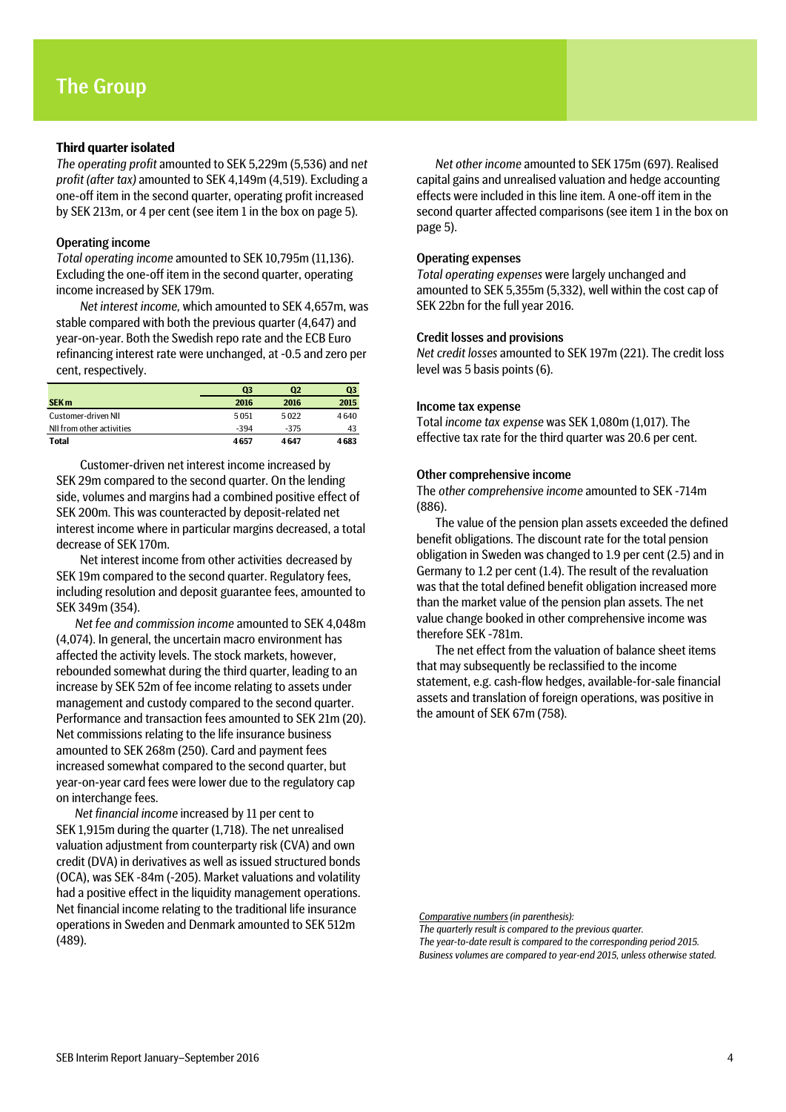## **Third quarter isolated**

*The operating profit* amounted to SEK 5,229m (5,536) and n*et profit (after tax)* amounted to SEK 4,149m (4,519). Excluding a one-off item in the second quarter, operating profit increased by SEK 213m, or 4 per cent (see item 1 in the box on page 5).

## Operating income

*Total operating income* amounted to SEK 10,795m (11,136). Excluding the one-off item in the second quarter, operating income increased by SEK 179m.

*Net interest income,* which amounted to SEK 4,657m, was stable compared with both the previous quarter (4,647) and year-on-year. Both the Swedish repo rate and the ECB Euro refinancing interest rate were unchanged, at -0.5 and zero per cent, respectively.

|                           | Q3     | Q2     | Q3   |
|---------------------------|--------|--------|------|
| <b>SEK m</b>              | 2016   | 2016   | 2015 |
| Customer-driven NII       | 5051   | 5022   | 4640 |
| NII from other activities | $-394$ | $-375$ | 43   |
| <b>Total</b>              | 4657   | 4647   | 4683 |

Customer-driven net interest income increased by SEK 29m compared to the second quarter. On the lending side, volumes and margins had a combined positive effect of SEK 200m. This was counteracted by deposit-related net interest income where in particular margins decreased, a total decrease of SEK 170m.

Net interest income from other activities decreased by SEK 19m compared to the second quarter. Regulatory fees, including resolution and deposit guarantee fees, amounted to SEK 349m (354).

*Net fee and commission income* amounted to SEK 4,048m (4,074). In general, the uncertain macro environment has affected the activity levels. The stock markets, however, rebounded somewhat during the third quarter, leading to an increase by SEK 52m of fee income relating to assets under management and custody compared to the second quarter. Performance and transaction fees amounted to SEK 21m (20). Net commissions relating to the life insurance business amounted to SEK 268m (250). Card and payment fees increased somewhat compared to the second quarter, but year-on-year card fees were lower due to the regulatory cap on interchange fees.

*Net financial income* increased by 11 per cent to SEK 1,915m during the quarter (1,718). The net unrealised valuation adjustment from counterparty risk (CVA) and own credit (DVA) in derivatives as well as issued structured bonds (OCA), was SEK -84m (-205). Market valuations and volatility had a positive effect in the liquidity management operations. Net financial income relating to the traditional life insurance operations in Sweden and Denmark amounted to SEK 512m (489).

*Net other income* amounted to SEK 175m (697). Realised capital gains and unrealised valuation and hedge accounting effects were included in this line item. A one-off item in the second quarter affected comparisons (see item 1 in the box on page 5).

### Operating expenses

*Total operating expenses* were largely unchanged and amounted to SEK 5,355m (5,332), well within the cost cap of SEK 22bn for the full year 2016.

### Credit losses and provisions

*Net credit losses* amounted to SEK 197m (221). The credit loss level was 5 basis points (6).

### Income tax expense

Total *income tax expense* was SEK 1,080m (1,017). The effective tax rate for the third quarter was 20.6 per cent.

### Other comprehensive income

The *other comprehensive income* amounted to SEK -714m (886).

The value of the pension plan assets exceeded the defined benefit obligations. The discount rate for the total pension obligation in Sweden was changed to 1.9 per cent (2.5) and in Germany to 1.2 per cent (1.4). The result of the revaluation was that the total defined benefit obligation increased more than the market value of the pension plan assets. The net value change booked in other comprehensive income was therefore SEK -781m.

The net effect from the valuation of balance sheet items that may subsequently be reclassified to the income statement, e.g. cash-flow hedges, available-for-sale financial assets and translation of foreign operations, was positive in the amount of SEK 67m (758).

*Comparative numbers (in parenthesis):*

*The quarterly result is compared to the previous quarter. The year-to-date result is compared to the corresponding period 2015. Business volumes are compared to year-end 2015, unless otherwise stated.*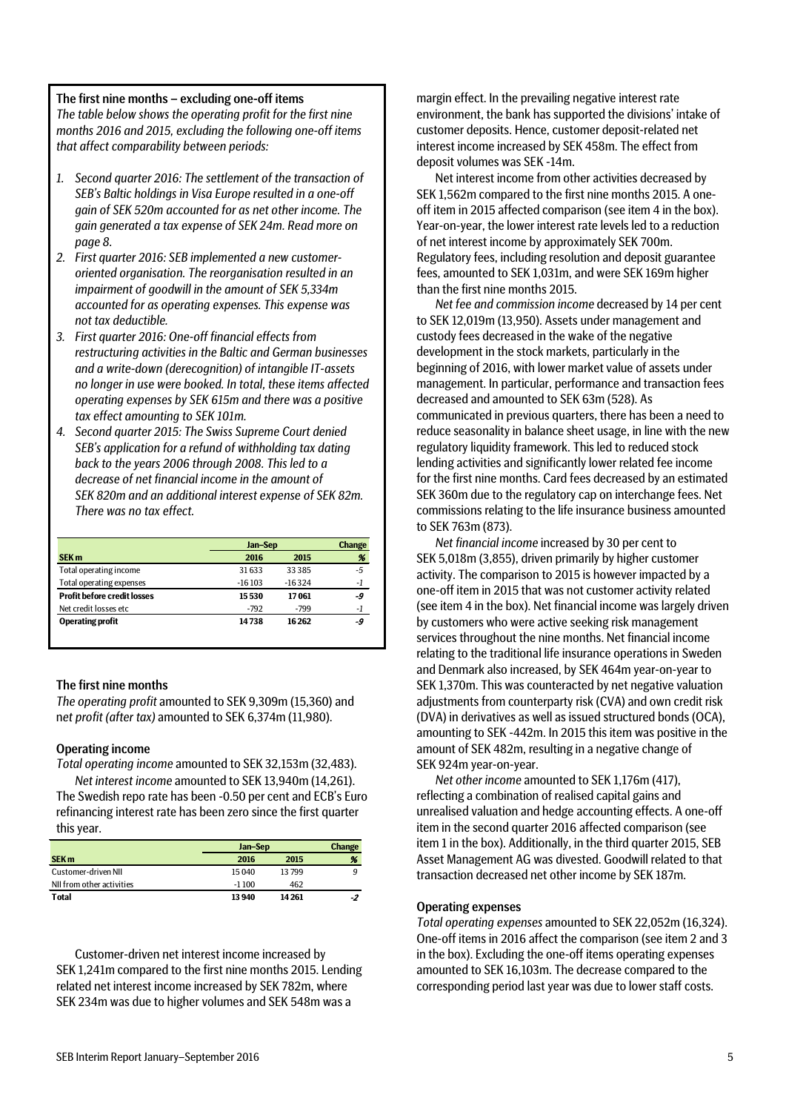## The first nine months – excluding one-off items

*The table below shows the operating profit for the first nine months 2016 and 2015, excluding the following one-off items that affect comparability between periods:*

- *1. Second quarter 2016: The settlement of the transaction of SEB's Baltic holdings in Visa Europe resulted in a one-off gain of SEK 520m accounted for as net other income. The gain generated a tax expense of SEK 24m. Read more on page 8.*
- *2. First quarter 2016: SEB implemented a new customeroriented organisation. The reorganisation resulted in an impairment of goodwill in the amount of SEK 5,334m accounted for as operating expenses. This expense was not tax deductible.*
- *3. First quarter 2016: One-off financial effects from restructuring activities in the Baltic and German businesses and a write-down (derecognition) of intangible IT-assets no longer in use were booked. In total, these items affected operating expenses by SEK 615m and there was a positive tax effect amounting to SEK 101m.*
- *4. Second quarter 2015: The Swiss Supreme Court denied SEB's application for a refund of withholding tax dating back to the years 2006 through 2008. This led to a decrease of net financial income in the amount of SEK 820m and an additional interest expense of SEK 82m. There was no tax effect.*

|                                    |          | Jan-Sep  |    |  |
|------------------------------------|----------|----------|----|--|
| <b>SEK m</b>                       | 2016     | 2015     | %  |  |
| Total operating income             | 31633    | 33 385   | -5 |  |
| <b>Total operating expenses</b>    | $-16103$ | $-16324$ | -1 |  |
| <b>Profit before credit losses</b> | 15530    | 17061    | -9 |  |
| Net credit losses etc.             | $-792$   | -799     | -1 |  |
| <b>Operating profit</b>            | 14738    | 16 262   | -9 |  |

## The first nine months

*The operating profit* amounted to SEK 9,309m (15,360) and n*et profit (after tax)* amounted to SEK 6,374m (11,980).

## Operating income

*Total operating income* amounted to SEK 32,153m (32,483).

*Net interest income* amounted to SEK 13,940m (14,261). The Swedish repo rate has been -0.50 per cent and ECB's Euro refinancing interest rate has been zero since the first quarter this year.

|                           | Jan-Sep |        | <b>Change</b> |
|---------------------------|---------|--------|---------------|
| <b>SEK m</b>              | 2016    | 2015   | %             |
| Customer-driven NII       | 15040   | 13799  | q             |
| NII from other activities | $-1100$ | 462    |               |
| <b>Total</b>              | 13 940  | 14 261 | -2            |

Customer-driven net interest income increased by SEK 1,241m compared to the first nine months 2015. Lending related net interest income increased by SEK 782m, where SEK 234m was due to higher volumes and SEK 548m was a

margin effect. In the prevailing negative interest rate environment, the bank has supported the divisions' intake of customer deposits. Hence, customer deposit-related net interest income increased by SEK 458m. The effect from deposit volumes was SEK -14m.

Net interest income from other activities decreased by SEK 1,562m compared to the first nine months 2015. A oneoff item in 2015 affected comparison (see item 4 in the box). Year-on-year, the lower interest rate levels led to a reduction of net interest income by approximately SEK 700m. Regulatory fees, including resolution and deposit guarantee fees, amounted to SEK 1,031m, and were SEK 169m higher than the first nine months 2015.

*Net fee and commission income* decreased by 14 per cent to SEK 12,019m (13,950). Assets under management and custody fees decreased in the wake of the negative development in the stock markets, particularly in the beginning of 2016, with lower market value of assets under management. In particular, performance and transaction fees decreased and amounted to SEK 63m (528). As communicated in previous quarters, there has been a need to reduce seasonality in balance sheet usage, in line with the new regulatory liquidity framework. This led to reduced stock lending activities and significantly lower related fee income for the first nine months. Card fees decreased by an estimated SEK 360m due to the regulatory cap on interchange fees. Net commissions relating to the life insurance business amounted to SEK 763m (873).

*Net financial income* increased by 30 per cent to SEK 5,018m (3,855), driven primarily by higher customer activity. The comparison to 2015 is however impacted by a one-off item in 2015 that was not customer activity related (see item 4 in the box). Net financial income was largely driven by customers who were active seeking risk management services throughout the nine months. Net financial income relating to the traditional life insurance operations in Sweden and Denmark also increased, by SEK 464m year-on-year to SEK 1,370m. This was counteracted by net negative valuation adjustments from counterparty risk (CVA) and own credit risk (DVA) in derivatives as well as issued structured bonds (OCA), amounting to SEK -442m. In 2015 this item was positive in the amount of SEK 482m, resulting in a negative change of SEK 924m year-on-year.

*Net other income* amounted to SEK 1,176m (417), reflecting a combination of realised capital gains and unrealised valuation and hedge accounting effects. A one-off item in the second quarter 2016 affected comparison (see item 1 in the box). Additionally, in the third quarter 2015, SEB Asset Management AG was divested. Goodwill related to that transaction decreased net other income by SEK 187m.

### Operating expenses

*Total operating expenses* amounted to SEK 22,052m (16,324). One-off items in 2016 affect the comparison (see item 2 and 3 in the box). Excluding the one-off items operating expenses amounted to SEK 16,103m. The decrease compared to the corresponding period last year was due to lower staff costs.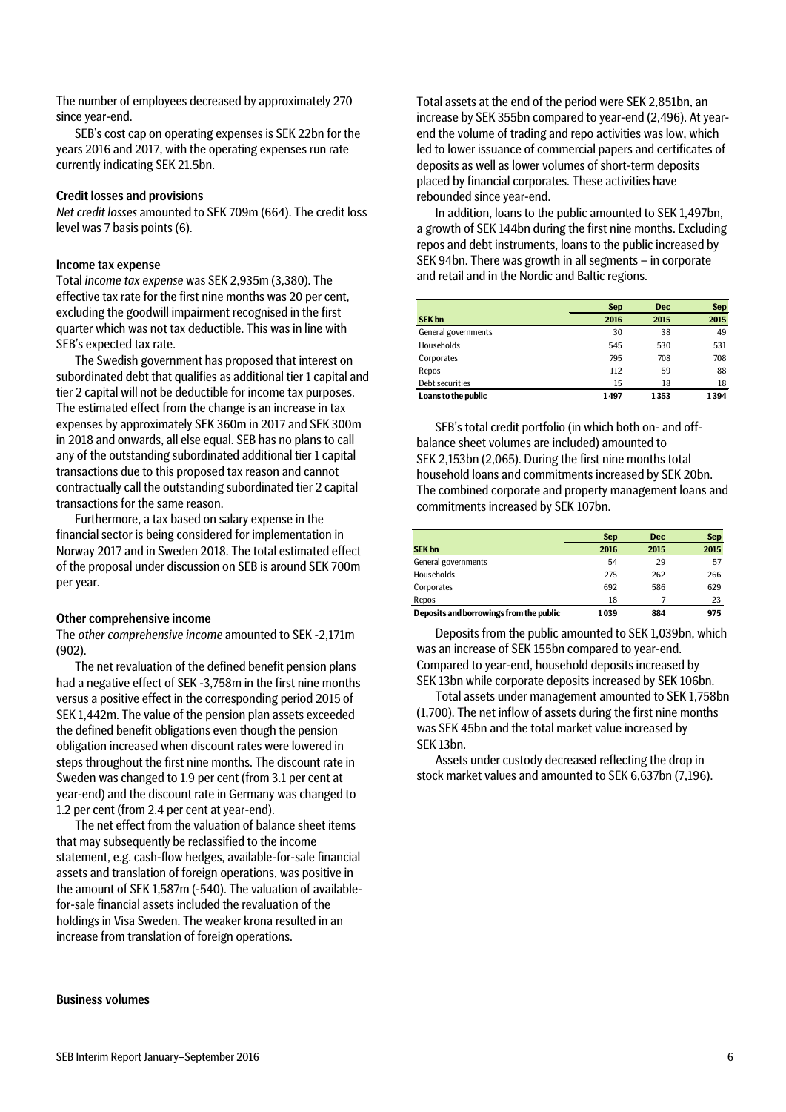SEB's cost cap on operating expenses is SEK 22bn for the years 2016 and 2017, with the operating expenses run rate currently indicating SEK 21.5bn.

## Credit losses and provisions

*Net credit losses* amounted to SEK 709m (664). The credit loss level was 7 basis points (6).

## Income tax expense

Total *income tax expense* was SEK 2,935m (3,380). The effective tax rate for the first nine months was 20 per cent, excluding the goodwill impairment recognised in the first quarter which was not tax deductible. This was in line with SEB's expected tax rate.

The Swedish government has proposed that interest on subordinated debt that qualifies as additional tier 1 capital and tier 2 capital will not be deductible for income tax purposes. The estimated effect from the change is an increase in tax expenses by approximately SEK 360m in 2017 and SEK 300m in 2018 and onwards, all else equal. SEB has no plans to call any of the outstanding subordinated additional tier 1 capital transactions due to this proposed tax reason and cannot contractually call the outstanding subordinated tier 2 capital transactions for the same reason.

Furthermore, a tax based on salary expense in the financial sector is being considered for implementation in Norway 2017 and in Sweden 2018. The total estimated effect of the proposal under discussion on SEB is around SEK 700m per year.

## Other comprehensive income

The *other comprehensive income* amounted to SEK -2,171m (902).

The net revaluation of the defined benefit pension plans had a negative effect of SEK -3,758m in the first nine months versus a positive effect in the corresponding period 2015 of SEK 1,442m. The value of the pension plan assets exceeded the defined benefit obligations even though the pension obligation increased when discount rates were lowered in steps throughout the first nine months. The discount rate in Sweden was changed to 1.9 per cent (from 3.1 per cent at year-end) and the discount rate in Germany was changed to 1.2 per cent (from 2.4 per cent at year-end).

The net effect from the valuation of balance sheet items that may subsequently be reclassified to the income statement, e.g. cash-flow hedges, available-for-sale financial assets and translation of foreign operations, was positive in the amount of SEK 1,587m (-540). The valuation of availablefor-sale financial assets included the revaluation of the holdings in Visa Sweden. The weaker krona resulted in an increase from translation of foreign operations.

Business volumes

Total assets at the end of the period were SEK 2,851bn, an increase by SEK 355bn compared to year-end (2,496). At yearend the volume of trading and repo activities was low, which led to lower issuance of commercial papers and certificates of deposits as well as lower volumes of short-term deposits placed by financial corporates. These activities have rebounded since year-end.

In addition, loans to the public amounted to SEK 1,497bn, a growth of SEK 144bn during the first nine months. Excluding repos and debt instruments, loans to the public increased by SEK 94bn. There was growth in all segments – in corporate and retail and in the Nordic and Baltic regions.

|                     | <b>Sep</b> | <b>Dec</b> | <b>Sep</b> |
|---------------------|------------|------------|------------|
| <b>SEK bn</b>       | 2016       | 2015       | 2015       |
| General governments | 30         | 38         | 49         |
| Households          | 545        | 530        | 531        |
| Corporates          | 795        | 708        | 708        |
| Repos               | 112        | 59         | 88         |
| Debt securities     | 15         | 18         | 18         |
| Loans to the public | 1497       | 1353       | 1394       |

SEB's total credit portfolio (in which both on- and offbalance sheet volumes are included) amounted to SEK 2,153bn (2,065). During the first nine months total household loans and commitments increased by SEK 20bn. The combined corporate and property management loans and commitments increased by SEK 107bn.

|                                         | <b>Sep</b> | <b>Dec</b> | <b>Sep</b> |
|-----------------------------------------|------------|------------|------------|
| <b>SEK bn</b>                           | 2016       | 2015       | 2015       |
| General governments                     | 54         | 29         | 57         |
| Households                              | 275        | 262        | 266        |
| Corporates                              | 692        | 586        | 629        |
| Repos                                   | 18         |            | 23         |
| Deposits and borrowings from the public | 1039       | 884        | 975        |

Deposits from the public amounted to SEK 1,039bn, which was an increase of SEK 155bn compared to year-end. Compared to year-end, household deposits increased by SEK 13bn while corporate deposits increased by SEK 106bn.

Total assets under management amounted to SEK 1,758bn (1,700). The net inflow of assets during the first nine months was SEK 45bn and the total market value increased by SEK 13bn.

Assets under custody decreased reflecting the drop in stock market values and amounted to SEK 6,637bn (7,196).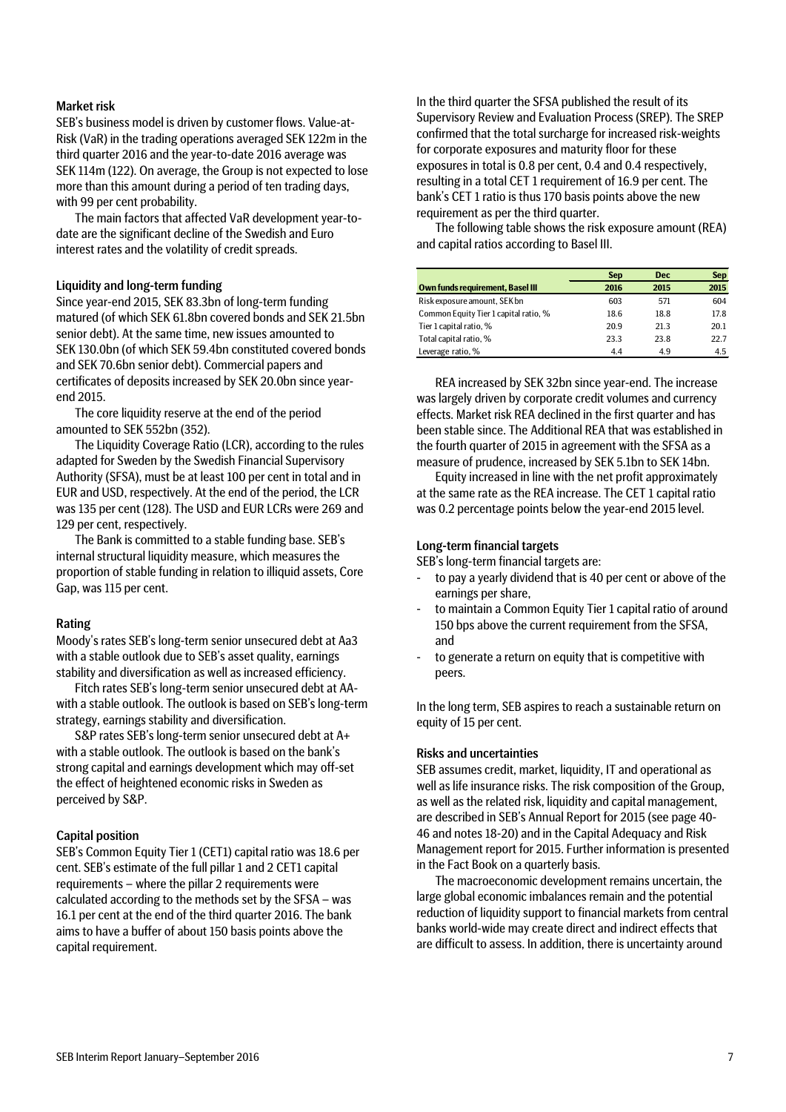## Market risk

SEB's business model is driven by customer flows. Value-at-Risk (VaR) in the trading operations averaged SEK 122m in the third quarter 2016 and the year-to-date 2016 average was SEK 114m (122). On average, the Group is not expected to lose more than this amount during a period of ten trading days, with 99 per cent probability.

The main factors that affected VaR development year-todate are the significant decline of the Swedish and Euro interest rates and the volatility of credit spreads.

### Liquidity and long-term funding

Since year-end 2015, SEK 83.3bn of long-term funding matured (of which SEK 61.8bn covered bonds and SEK 21.5bn senior debt). At the same time, new issues amounted to SEK 130.0bn (of which SEK 59.4bn constituted covered bonds and SEK 70.6bn senior debt). Commercial papers and certificates of deposits increased by SEK 20.0bn since yearend 2015.

The core liquidity reserve at the end of the period amounted to SEK 552bn (352).

The Liquidity Coverage Ratio (LCR), according to the rules adapted for Sweden by the Swedish Financial Supervisory Authority (SFSA), must be at least 100 per cent in total and in EUR and USD, respectively. At the end of the period, the LCR was 135 per cent (128). The USD and EUR LCRs were 269 and 129 per cent, respectively.

The Bank is committed to a stable funding base. SEB's internal structural liquidity measure, which measures the proportion of stable funding in relation to illiquid assets, Core Gap, was 115 per cent.

### Rating

Moody's rates SEB's long-term senior unsecured debt at Aa3 with a stable outlook due to SEB's asset quality, earnings stability and diversification as well as increased efficiency.

Fitch rates SEB's long-term senior unsecured debt at AAwith a stable outlook. The outlook is based on SEB's long-term strategy, earnings stability and diversification.

S&P rates SEB's long-term senior unsecured debt at A+ with a stable outlook. The outlook is based on the bank's strong capital and earnings development which may off-set the effect of heightened economic risks in Sweden as perceived by S&P.

## Capital position

SEB's Common Equity Tier 1 (CET1) capital ratio was 18.6 per cent. SEB's estimate of the full pillar 1 and 2 CET1 capital requirements – where the pillar 2 requirements were calculated according to the methods set by the SFSA – was 16.1 per cent at the end of the third quarter 2016. The bank aims to have a buffer of about 150 basis points above the capital requirement.

In the third quarter the SFSA published the result of its Supervisory Review and Evaluation Process (SREP). The SREP confirmed that the total surcharge for increased risk-weights for corporate exposures and maturity floor for these exposures in total is 0.8 per cent, 0.4 and 0.4 respectively, resulting in a total CET 1 requirement of 16.9 per cent. The bank's CET 1 ratio is thus 170 basis points above the new requirement as per the third quarter.

The following table shows the risk exposure amount (REA) and capital ratios according to Basel III.

|                                         | <b>Sep</b> | <b>Dec</b> | <b>Sep</b> |
|-----------------------------------------|------------|------------|------------|
| <b>Own funds requirement, Basel III</b> | 2016       | 2015       | 2015       |
| Risk exposure amount, SEK bn            | 603        | 571        | 604        |
| Common Equity Tier 1 capital ratio, %   | 18.6       | 18.8       | 17.8       |
| Tier 1 capital ratio, %                 | 20.9       | 21.3       | 20.1       |
| Total capital ratio, %                  | 23.3       | 23.8       | 22.7       |
| Leverage ratio, %                       | 4.4        | 4.9        | 4.5        |

REA increased by SEK 32bn since year-end. The increase was largely driven by corporate credit volumes and currency effects. Market risk REA declined in the first quarter and has been stable since. The Additional REA that was established in the fourth quarter of 2015 in agreement with the SFSA as a measure of prudence, increased by SEK 5.1bn to SEK 14bn.

Equity increased in line with the net profit approximately at the same rate as the REA increase. The CET 1 capital ratio was 0.2 percentage points below the year-end 2015 level.

### Long-term financial targets

SEB's long-term financial targets are:

- to pay a yearly dividend that is 40 per cent or above of the earnings per share,
- to maintain a Common Equity Tier 1 capital ratio of around 150 bps above the current requirement from the SFSA, and
- to generate a return on equity that is competitive with peers.

In the long term, SEB aspires to reach a sustainable return on equity of 15 per cent.

## Risks and uncertainties

SEB assumes credit, market, liquidity, IT and operational as well as life insurance risks. The risk composition of the Group, as well as the related risk, liquidity and capital management, are described in SEB's Annual Report for 2015 (see page 40- 46 and notes 18-20) and in the Capital Adequacy and Risk Management report for 2015. Further information is presented in the Fact Book on a quarterly basis.

The macroeconomic development remains uncertain, the large global economic imbalances remain and the potential reduction of liquidity support to financial markets from central banks world-wide may create direct and indirect effects that are difficult to assess. In addition, there is uncertainty around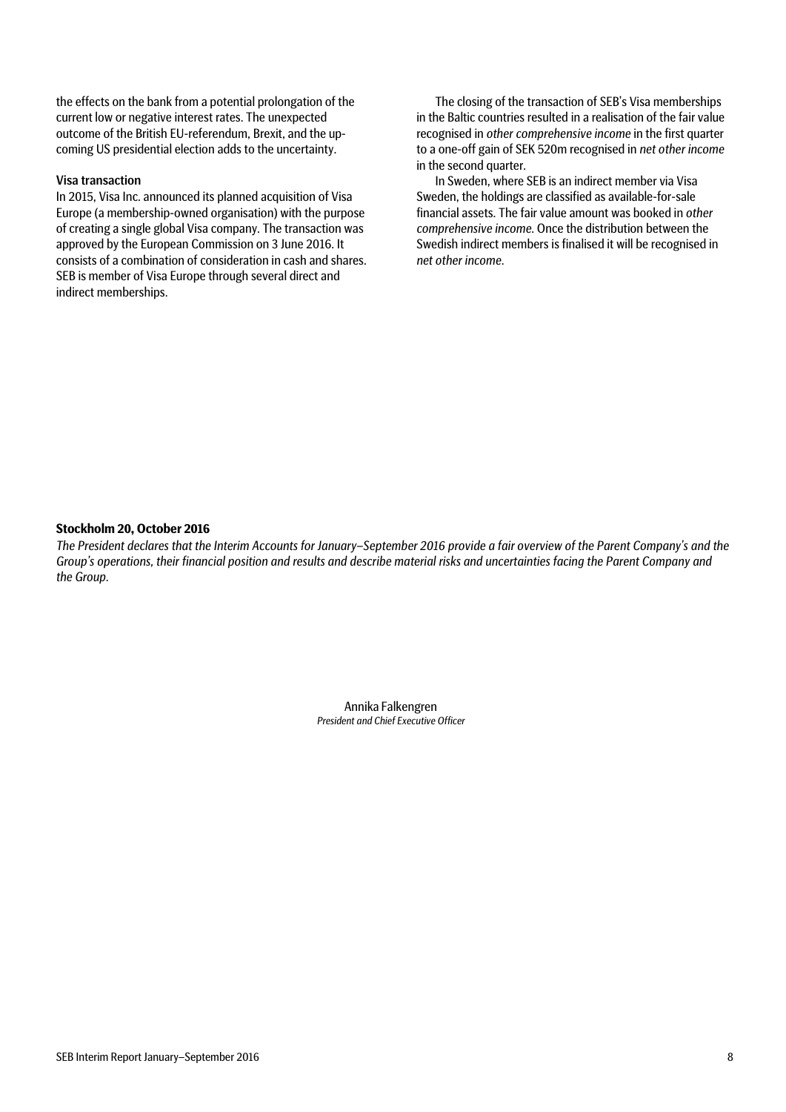the effects on the bank from a potential prolongation of the current low or negative interest rates. The unexpected outcome of the British EU-referendum, Brexit, and the upcoming US presidential election adds to the uncertainty.

## Visa transaction

In 2015, Visa Inc. announced its planned acquisition of Visa Europe (a membership-owned organisation) with the purpose of creating a single global Visa company. The transaction was approved by the European Commission on 3 June 2016. It consists of a combination of consideration in cash and shares. SEB is member of Visa Europe through several direct and indirect memberships.

The closing of the transaction of SEB's Visa memberships in the Baltic countries resulted in a realisation of the fair value recognised in *other comprehensive income* in the first quarter to a one-off gain of SEK 520m recognised in *net other income* in the second quarter.

In Sweden, where SEB is an indirect member via Visa Sweden, the holdings are classified as available-for-sale financial assets. The fair value amount was booked in *other comprehensive income*. Once the distribution between the Swedish indirect members is finalised it will be recognised in *net other income*.

## **Stockholm 20, October 2016**

*The President declares that the Interim Accounts for January–September 2016 provide a fair overview of the Parent Company's and the Group's operations, their financial position and results and describe material risks and uncertainties facing the Parent Company and the Group.*

> Annika Falkengren *President and Chief Executive Officer*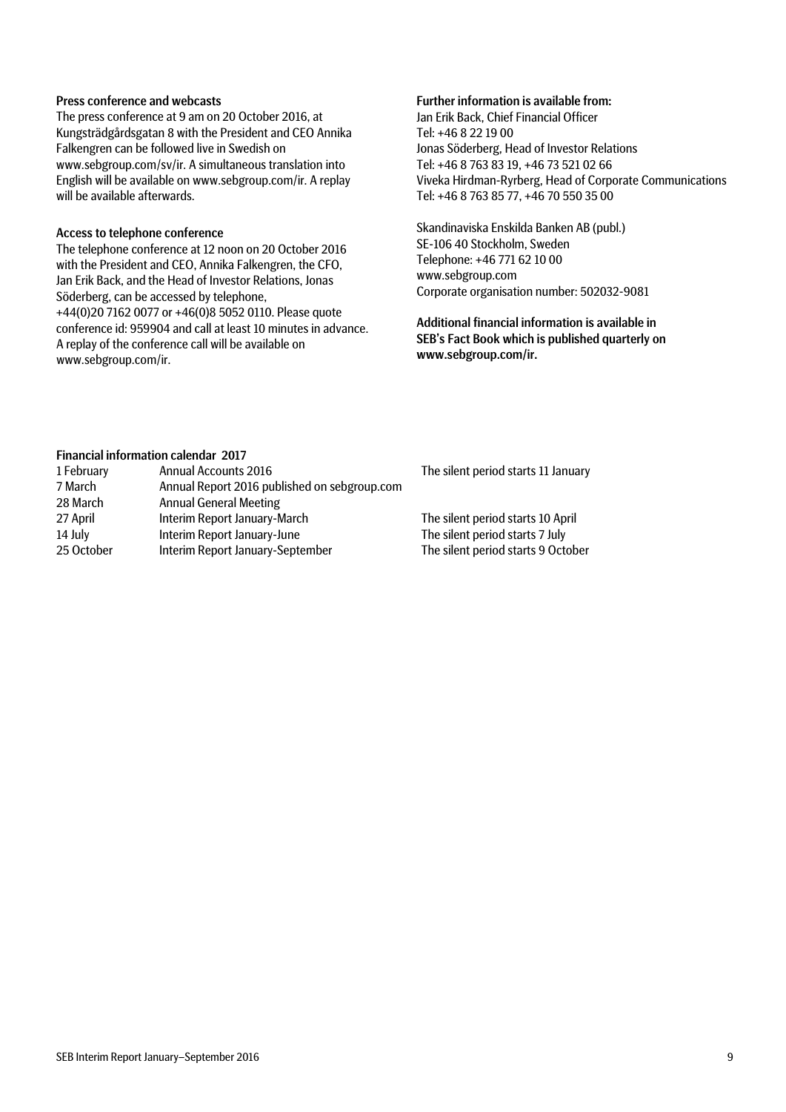## Press conference and webcasts

The press conference at 9 am on 20 October 2016, at Kungsträdgårdsgatan 8 with the President and CEO Annika Falkengren can be followed live in Swedish on www.sebgroup.com/sv/ir. A simultaneous translation into English will be available on www.sebgroup.com/ir. A replay will be available afterwards.

## Access to telephone conference

The telephone conference at 12 noon on 20 October 2016 with the President and CEO, Annika Falkengren, the CFO, Jan Erik Back, and the Head of Investor Relations, Jonas Söderberg, can be accessed by telephone, +44(0)20 7162 0077 or +46(0)8 5052 0110. Please quote conference id: 959904 and call at least 10 minutes in advance. A replay of the conference call will be available on www.sebgroup.com/ir.

## Further information is available from:

Jan Erik Back, Chief Financial Officer Tel: +46 8 22 19 00 Jonas Söderberg, Head of Investor Relations Tel: +46 8 763 83 19, +46 73 521 02 66 Viveka Hirdman-Ryrberg, Head of Corporate Communications Tel: +46 8 763 85 77, +46 70 550 35 00

Skandinaviska Enskilda Banken AB (publ.) SE-106 40 Stockholm, Sweden Telephone: +46 771 62 10 00 www.sebgroup.com Corporate organisation number: 502032-9081

Additional financial information is available in SEB's Fact Book which is published quarterly on www.sebgroup.com/ir.

## Financial information calendar 2017

| 1 February | <b>Annual Accounts 2016</b>                  | The silent period starts 11 January |
|------------|----------------------------------------------|-------------------------------------|
| 7 March    | Annual Report 2016 published on sebgroup.com |                                     |
| 28 March   | <b>Annual General Meeting</b>                |                                     |
| 27 April   | Interim Report January-March                 | The silent period starts 10 April   |
| 14 July    | Interim Report January-June                  | The silent period starts 7 July     |
| 25 October | Interim Report January-September             | The silent period starts 9 October  |
|            |                                              |                                     |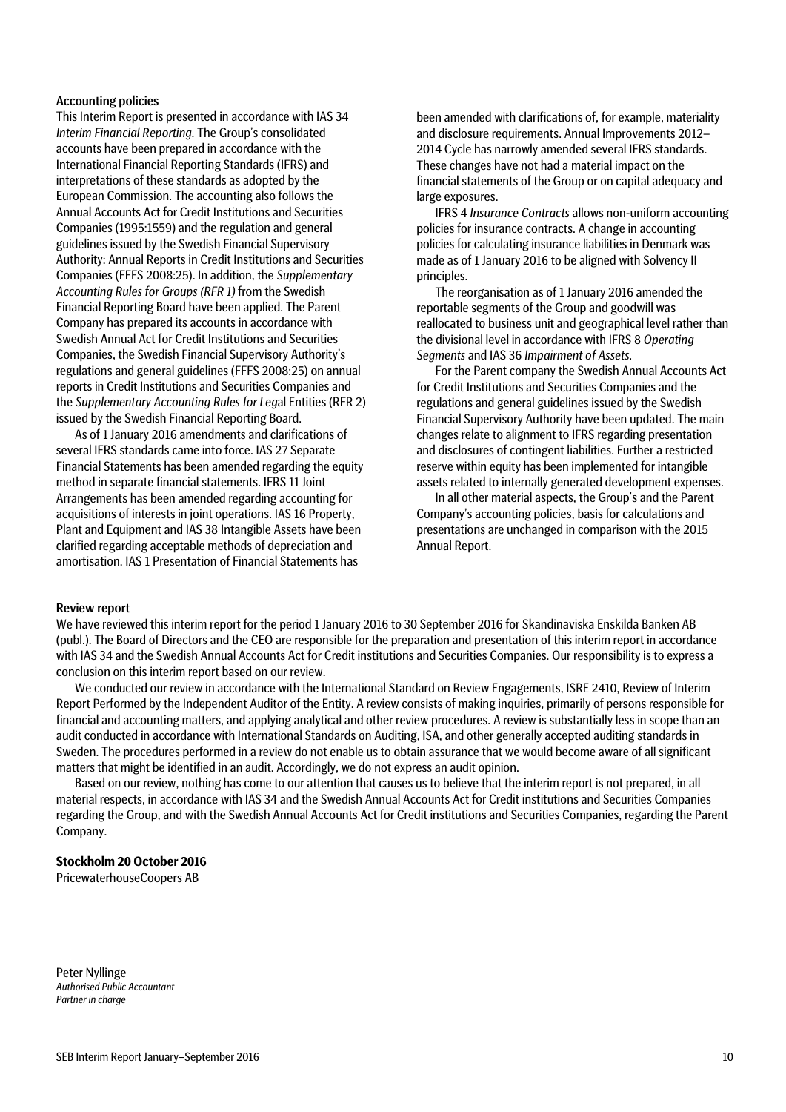## Accounting policies

This Interim Report is presented in accordance with IAS 34 *Interim Financial Reporting*. The Group's consolidated accounts have been prepared in accordance with the International Financial Reporting Standards (IFRS) and interpretations of these standards as adopted by the European Commission. The accounting also follows the Annual Accounts Act for Credit Institutions and Securities Companies (1995:1559) and the regulation and general guidelines issued by the Swedish Financial Supervisory Authority: Annual Reports in Credit Institutions and Securities Companies (FFFS 2008:25). In addition, the *Supplementary Accounting Rules for Groups (RFR 1)* from the Swedish Financial Reporting Board have been applied. The Parent Company has prepared its accounts in accordance with Swedish Annual Act for Credit Institutions and Securities Companies, the Swedish Financial Supervisory Authority's regulations and general guidelines (FFFS 2008:25) on annual reports in Credit Institutions and Securities Companies and the *Supplementary Accounting Rules for Leg*al Entities (RFR 2) issued by the Swedish Financial Reporting Board.

As of 1 January 2016 amendments and clarifications of several IFRS standards came into force. IAS 27 Separate Financial Statements has been amended regarding the equity method in separate financial statements. IFRS 11 Joint Arrangements has been amended regarding accounting for acquisitions of interests in joint operations. IAS 16 Property, Plant and Equipment and IAS 38 Intangible Assets have been clarified regarding acceptable methods of depreciation and amortisation. IAS 1 Presentation of Financial Statements has

been amended with clarifications of, for example, materiality and disclosure requirements. Annual Improvements 2012– 2014 Cycle has narrowly amended several IFRS standards. These changes have not had a material impact on the financial statements of the Group or on capital adequacy and large exposures.

IFRS 4 *Insurance Contracts* allows non-uniform accounting policies for insurance contracts. A change in accounting policies for calculating insurance liabilities in Denmark was made as of 1 January 2016 to be aligned with Solvency II principles.

The reorganisation as of 1 January 2016 amended the reportable segments of the Group and goodwill was reallocated to business unit and geographical level rather than the divisional level in accordance with IFRS 8 *Operating Segments* and IAS 36 *Impairment of Assets*.

For the Parent company the Swedish Annual Accounts Act for Credit Institutions and Securities Companies and the regulations and general guidelines issued by the Swedish Financial Supervisory Authority have been updated. The main changes relate to alignment to IFRS regarding presentation and disclosures of contingent liabilities. Further a restricted reserve within equity has been implemented for intangible assets related to internally generated development expenses.

In all other material aspects, the Group's and the Parent Company's accounting policies, basis for calculations and presentations are unchanged in comparison with the 2015 Annual Report.

## Review report

We have reviewed this interim report for the period 1 January 2016 to 30 September 2016 for Skandinaviska Enskilda Banken AB (publ.). The Board of Directors and the CEO are responsible for the preparation and presentation of this interim report in accordance with IAS 34 and the Swedish Annual Accounts Act for Credit institutions and Securities Companies. Our responsibility is to express a conclusion on this interim report based on our review.

We conducted our review in accordance with the International Standard on Review Engagements, ISRE 2410, Review of Interim Report Performed by the Independent Auditor of the Entity. A review consists of making inquiries, primarily of persons responsible for financial and accounting matters, and applying analytical and other review procedures. A review is substantially less in scope than an audit conducted in accordance with International Standards on Auditing, ISA, and other generally accepted auditing standards in Sweden. The procedures performed in a review do not enable us to obtain assurance that we would become aware of all significant matters that might be identified in an audit. Accordingly, we do not express an audit opinion.

Based on our review, nothing has come to our attention that causes us to believe that the interim report is not prepared, in all material respects, in accordance with IAS 34 and the Swedish Annual Accounts Act for Credit institutions and Securities Companies regarding the Group, and with the Swedish Annual Accounts Act for Credit institutions and Securities Companies, regarding the Parent Company.

## **Stockholm 20 October 2016**

PricewaterhouseCoopers AB

Peter Nyllinge *Authorised Public Accountant Partner in charge*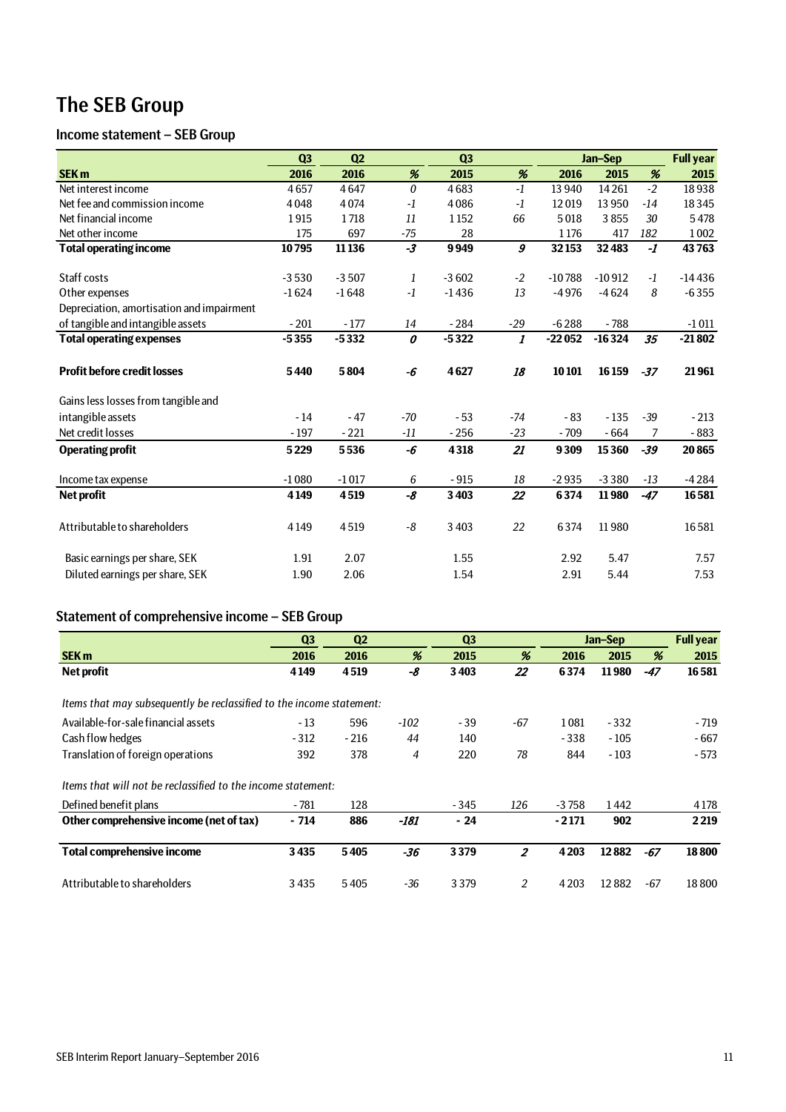# The SEB Group

## Income statement – SEB Group

|                                           | Q3      | Q2      |                  | Q <sub>3</sub> |                           | Jan-Sep  |          |       | <b>Full year</b> |
|-------------------------------------------|---------|---------|------------------|----------------|---------------------------|----------|----------|-------|------------------|
| <b>SEK m</b>                              | 2016    | 2016    | %                | 2015           | %                         | 2016     | 2015     | %     | 2015             |
| Net interest income                       | 4657    | 4647    | $\boldsymbol{0}$ | 4683           | $-1$                      | 13 940   | 14261    | $-2$  | 18938            |
| Net fee and commission income             | 4048    | 4074    | $-1$             | 4086           | $-1$                      | 12019    | 13 9 50  | $-14$ | 18345            |
| Net financial income                      | 1915    | 1718    | 11               | 1152           | 66                        | 5018     | 3855     | 30    | 5478             |
| Net other income                          | 175     | 697     | $-75$            | 28             |                           | 1176     | 417      | 182   | 1002             |
| <b>Total operating income</b>             | 10795   | 11 1 36 | $-3$             | 9949           | 9                         | 32153    | 32483    | $-I$  | 43763            |
| Staff costs                               | $-3530$ | $-3507$ | 1                | $-3602$        | $-2$                      | $-10788$ | $-10912$ | $-1$  | $-14436$         |
| Other expenses                            | $-1624$ | $-1648$ | $-1$             | $-1436$        | 13                        | $-4976$  | $-4624$  | 8     | $-6355$          |
| Depreciation, amortisation and impairment |         |         |                  |                |                           |          |          |       |                  |
| of tangible and intangible assets         | $-201$  | $-177$  | 14               | $-284$         | $-29$                     | $-6288$  | $-788$   |       | $-1011$          |
| <b>Total operating expenses</b>           | $-5355$ | $-5332$ | 0                | $-5322$        | $\boldsymbol{\mathit{1}}$ | $-22052$ | $-16324$ | 35    | $-21802$         |
| <b>Profit before credit losses</b>        | 5440    | 5804    | -6               | 4627           | 18                        | 10101    | 16159    | $-37$ | 21961            |
| Gains less losses from tangible and       |         |         |                  |                |                           |          |          |       |                  |
| intangible assets                         | $-14$   | $-47$   | $-70$            | $-53$          | -74                       | $-83$    | $-135$   | $-39$ | $-213$           |
| Net credit losses                         | $-197$  | $-221$  | $-11$            | $-256$         | $-23$                     | $-709$   | $-664$   | 7     | $-883$           |
| <b>Operating profit</b>                   | 5229    | 5536    | -6               | 4318           | 21                        | 9309     | 15360    | $-39$ | 20865            |
| Income tax expense                        | $-1080$ | $-1017$ | 6                | $-915$         | 18                        | $-2935$  | $-3380$  | $-13$ | $-4284$          |
| <b>Net profit</b>                         | 4149    | 4519    | -8               | 3 4 0 3        | 22                        | 6374     | 11980    | $-47$ | 16581            |
| Attributable to shareholders              | 4149    | 4519    | -8               | 3 4 0 3        | 22                        | 6374     | 11980    |       | 16581            |
| Basic earnings per share, SEK             | 1.91    | 2.07    |                  | 1.55           |                           | 2.92     | 5.47     |       | 7.57             |
| Diluted earnings per share, SEK           | 1.90    | 2.06    |                  | 1.54           |                           | 2.91     | 5.44     |       | 7.53             |

## Statement of comprehensive income – SEB Group

|                                                                      | Q <sub>3</sub> | Q <sub>2</sub> |        | Q <sub>3</sub> |                |         | Jan-Sep |       | <b>Full year</b> |
|----------------------------------------------------------------------|----------------|----------------|--------|----------------|----------------|---------|---------|-------|------------------|
| <b>SEK m</b>                                                         | 2016           | 2016           | %      | 2015           | %              | 2016    | 2015    | %     | 2015             |
| Net profit                                                           | 4149           | 4519           | -8     | 3403           | 22             | 6374    | 11980   | $-47$ | 16581            |
|                                                                      |                |                |        |                |                |         |         |       |                  |
| Items that may subsequently be reclassified to the income statement: |                |                |        |                |                |         |         |       |                  |
| Available-for-sale financial assets                                  | $-13$          | 596            | $-102$ | - 39           | -67            | 1081    | $-332$  |       | - 719            |
| Cash flow hedges                                                     | $-312$         | $-216$         | 44     | 140            |                | $-338$  | $-105$  |       | $-667$           |
| Translation of foreign operations                                    | 392            | 378            | 4      | 220            | 78             | 844     | $-103$  |       | - 573            |
| Items that will not be reclassified to the income statement:         |                |                |        |                |                |         |         |       |                  |
| Defined benefit plans                                                | $-781$         | 128            |        | - 345          | 126            | $-3758$ | 1442    |       | 4 1 7 8          |
| Other comprehensive income (net of tax)                              | $-714$         | 886            | $-181$ | $-24$          |                | $-2171$ | 902     |       | 2219             |
| <b>Total comprehensive income</b>                                    | 3435           | 5405           | $-36$  | 3379           | $\overline{2}$ | 4203    | 12882   | $-67$ | 18800            |
| Attributable to shareholders                                         | 3435           | 5405           | -36    | 3379           | 2              | 4203    | 12882   | -67   | 18800            |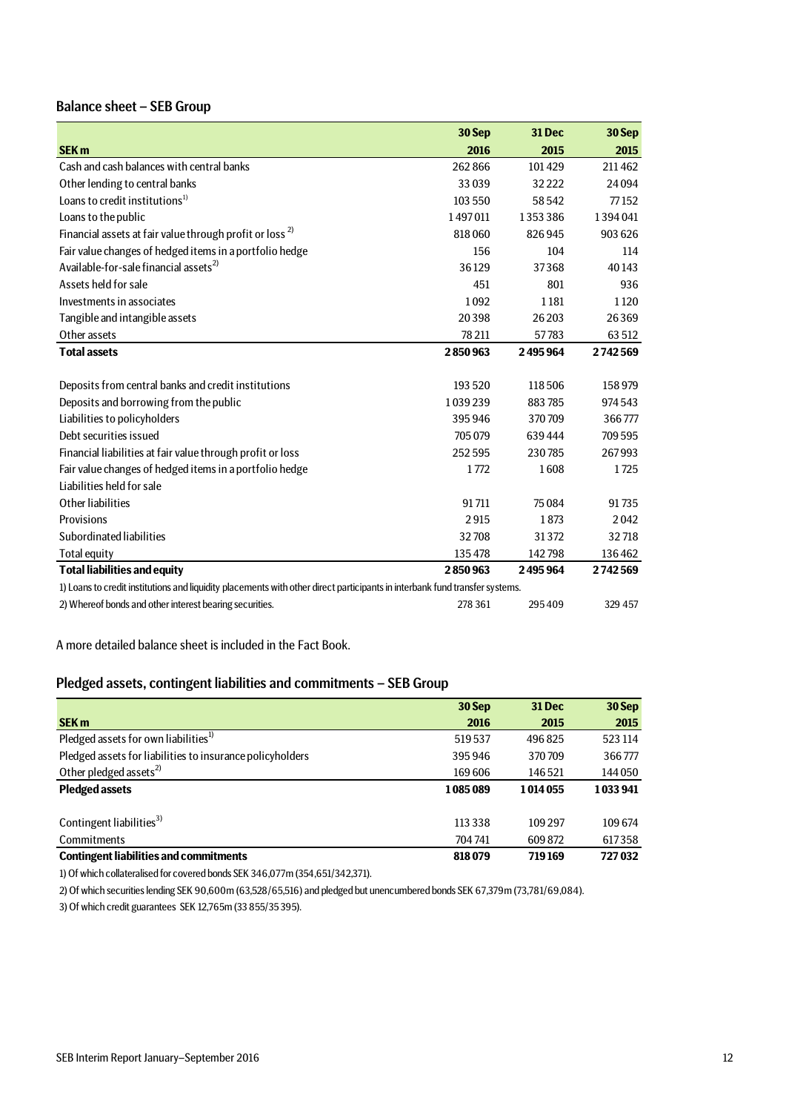## Balance sheet – SEB Group

|                                                                                                                             | 30 Sep  | 31 Dec  | 30 Sep  |
|-----------------------------------------------------------------------------------------------------------------------------|---------|---------|---------|
| <b>SEK m</b>                                                                                                                | 2016    | 2015    | 2015    |
| Cash and cash balances with central banks                                                                                   | 262866  | 101429  | 211462  |
| Other lending to central banks                                                                                              | 33039   | 32222   | 24094   |
| Loans to credit institutions <sup>1)</sup>                                                                                  | 103 550 | 58542   | 77152   |
| Loans to the public                                                                                                         | 1497011 | 1353386 | 1394041 |
| Financial assets at fair value through profit or loss <sup>2)</sup>                                                         | 818060  | 826945  | 903 626 |
| Fair value changes of hedged items in a portfolio hedge                                                                     | 156     | 104     | 114     |
| Available-for-sale financial assets <sup>2)</sup>                                                                           | 36129   | 37368   | 40143   |
| Assets held for sale                                                                                                        | 451     | 801     | 936     |
| Investments in associates                                                                                                   | 1092    | 1181    | 1120    |
| Tangible and intangible assets                                                                                              | 20398   | 26 203  | 26369   |
| Other assets                                                                                                                | 78 211  | 57783   | 63 512  |
| <b>Total assets</b>                                                                                                         | 2850963 | 2495964 | 2742569 |
|                                                                                                                             |         |         |         |
| Deposits from central banks and credit institutions                                                                         | 193520  | 118506  | 158979  |
| Deposits and borrowing from the public                                                                                      | 1039239 | 883785  | 974 543 |
| Liabilities to policyholders                                                                                                | 395946  | 370709  | 366777  |
| Debt securities issued                                                                                                      | 705 079 | 639444  | 709 595 |
| Financial liabilities at fair value through profit or loss                                                                  | 252595  | 230785  | 267993  |
| Fair value changes of hedged items in a portfolio hedge                                                                     | 1772    | 1608    | 1725    |
| Liabilities held for sale                                                                                                   |         |         |         |
| Other liabilities                                                                                                           | 91711   | 75084   | 91735   |
| Provisions                                                                                                                  | 2915    | 1873    | 2042    |
| Subordinated liabilities                                                                                                    | 32708   | 31372   | 32718   |
| <b>Total equity</b>                                                                                                         | 135478  | 142798  | 136462  |
| <b>Total liabilities and equity</b>                                                                                         | 2850963 | 2495964 | 2742569 |
| 1) Loans to credit institutions and liquidity placements with other direct participants in interbank fund transfer systems. |         |         |         |
| 2) Whereof bonds and other interest bearing securities.                                                                     | 278 361 | 295409  | 329 457 |

A more detailed balance sheet is included in the Fact Book.

## Pledged assets, contingent liabilities and commitments – SEB Group

|                                                           | 30 Sep    | <b>31 Dec</b> | 30 Sep  |
|-----------------------------------------------------------|-----------|---------------|---------|
| <b>SEK m</b>                                              | 2016      | 2015          | 2015    |
| Pledged assets for own liabilities <sup>1)</sup>          | 519537    | 496825        | 523 114 |
| Pledged assets for liabilities to insurance policyholders | 395946    | 370709        | 366777  |
| Other pledged assets <sup>2)</sup>                        | 169606    | 146521        | 144 050 |
| <b>Pledged assets</b>                                     | 1085089   | 1014055       | 1033941 |
|                                                           |           |               |         |
| Contingent liabilities <sup>3)</sup>                      | 113 3 3 8 | 109 297       | 109674  |
| <b>Commitments</b>                                        | 704 741   | 609872        | 617358  |
| <b>Contingent liabilities and commitments</b>             | 818079    | 719169        | 727032  |

1) Of which collateralised for covered bonds SEK 346,077m (354,651/342,371).

2) Of which securities lending SEK 90,600m (63,528/65,516) and pledged but unencumbered bonds SEK 67,379m (73,781/69,084).

3) Of which credit guarantees SEK 12,765m (33 855/35 395).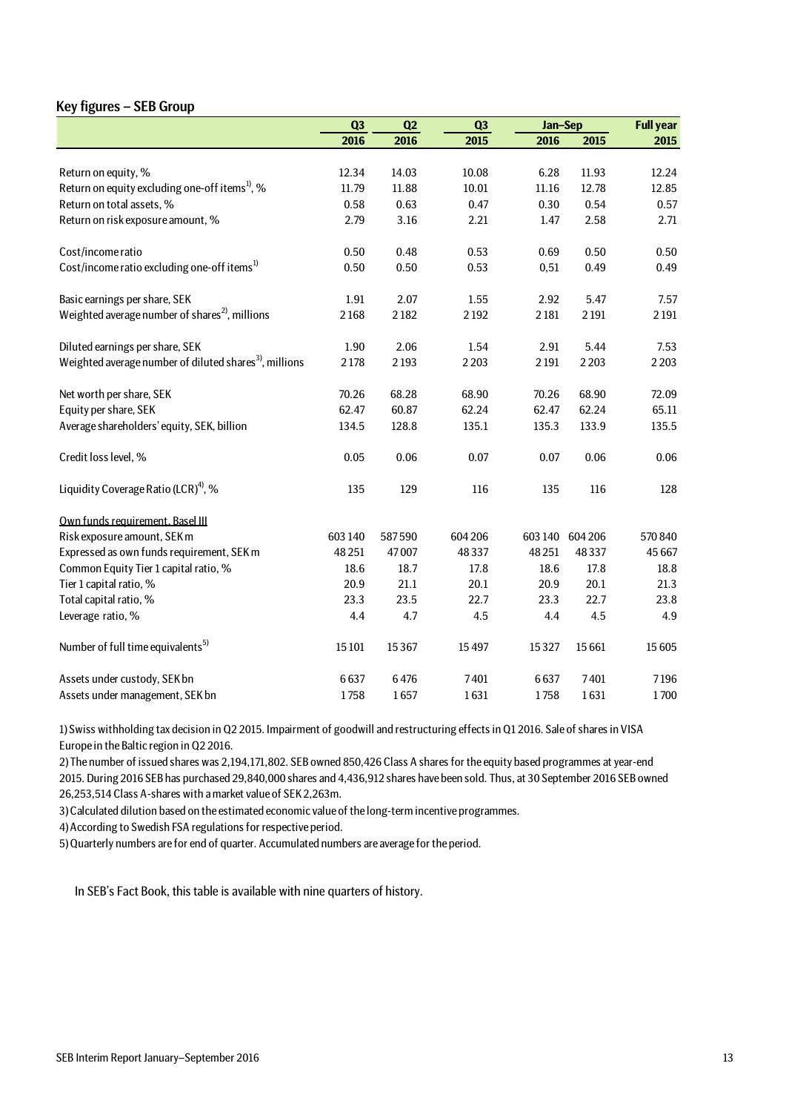## Key figures – SEB Group

|                                                                   | Q3      | Q2     | Q3      | Jan-Sep |                 | <b>Full year</b> |
|-------------------------------------------------------------------|---------|--------|---------|---------|-----------------|------------------|
|                                                                   | 2016    | 2016   | 2015    | 2016    | 2015            | 2015             |
|                                                                   |         |        |         |         |                 |                  |
| Return on equity, %                                               | 12.34   | 14.03  | 10.08   | 6.28    | 11.93           | 12.24            |
| Return on equity excluding one-off items <sup>1</sup> , %         | 11.79   | 11.88  | 10.01   | 11.16   | 12.78           | 12.85            |
| Return on total assets, %                                         | 0.58    | 0.63   | 0.47    | 0.30    | 0.54            | 0.57             |
| Return on risk exposure amount, %                                 | 2.79    | 3.16   | 2.21    | 1.47    | 2.58            | 2.71             |
| Cost/income ratio                                                 | 0.50    | 0.48   | 0.53    | 0.69    | 0.50            | 0.50             |
| Cost/income ratio excluding one-off items <sup>1)</sup>           | 0.50    | 0.50   | 0.53    | 0,51    | 0.49            | 0.49             |
| Basic earnings per share, SEK                                     | 1.91    | 2.07   | 1.55    | 2.92    | 5.47            | 7.57             |
| Weighted average number of shares <sup>2</sup> , millions         | 2168    | 2182   | 2192    | 2181    | 2191            | 2 1 9 1          |
| Diluted earnings per share, SEK                                   | 1.90    | 2.06   | 1.54    | 2.91    | 5.44            | 7.53             |
| Weighted average number of diluted shares <sup>3</sup> , millions | 2178    | 2193   | 2 2 0 3 | 2 1 9 1 | 2 2 0 3         | 2 2 0 3          |
| Net worth per share, SEK                                          | 70.26   | 68.28  | 68.90   | 70.26   | 68.90           | 72.09            |
| Equity per share, SEK                                             | 62.47   | 60.87  | 62.24   | 62.47   | 62.24           | 65.11            |
| Average shareholders' equity, SEK, billion                        | 134.5   | 128.8  | 135.1   | 135.3   | 133.9           | 135.5            |
| Credit loss level, %                                              | 0.05    | 0.06   | 0.07    | 0.07    | 0.06            | 0.06             |
| Liquidity Coverage Ratio (LCR) <sup>4)</sup> , %                  | 135     | 129    | 116     | 135     | 116             | 128              |
| Own funds requirement, Basel III                                  |         |        |         |         |                 |                  |
| Risk exposure amount, SEK m                                       | 603 140 | 587590 | 604 206 |         | 603 140 604 206 | 570 840          |
| Expressed as own funds requirement, SEK m                         | 48 25 1 | 47007  | 48337   | 48 251  | 48337           | 45 667           |
| Common Equity Tier 1 capital ratio, %                             | 18.6    | 18.7   | 17.8    | 18.6    | 17.8            | 18.8             |
| Tier 1 capital ratio, %                                           | 20.9    | 21.1   | 20.1    | 20.9    | 20.1            | 21.3             |
| Total capital ratio, %                                            | 23.3    | 23.5   | 22.7    | 23.3    | 22.7            | 23.8             |
| Leverage ratio, %                                                 | 4.4     | 4.7    | 4.5     | 4.4     | 4.5             | 4.9              |
| Number of full time equivalents <sup>5)</sup>                     | 15 10 1 | 15367  | 15497   | 15327   | 15 6 61         | 15 605           |
| Assets under custody, SEK bn                                      | 6637    | 6476   | 7401    | 6637    | 7401            | 7196             |
| Assets under management, SEK bn                                   | 1758    | 1657   | 1631    | 1758    | 1631            | 1700             |

1) Swiss withholding tax decision in Q2 2015. Impairment of goodwill and restructuring effects in Q1 2016. Sale of shares in VISA Europe in the Baltic region in Q2 2016.

2) The number of issued shares was 2,194,171,802. SEB owned 850,426 Class A shares for the equity based programmes at year-end 2015. During 2016 SEB has purchased 29,840,000 shares and 4,436,912 shares have been sold. Thus, at 30 September 2016 SEB owned 26,253,514 Class A-shares with a market value of SEK 2,263m.

3) Calculated dilution based on the estimated economic value of the long-term incentive programmes.

4) According to Swedish FSA regulations for respective period.

5) Quarterly numbers are for end of quarter. Accumulated numbers are average for the period.

In SEB's Fact Book, this table is available with nine quarters of history.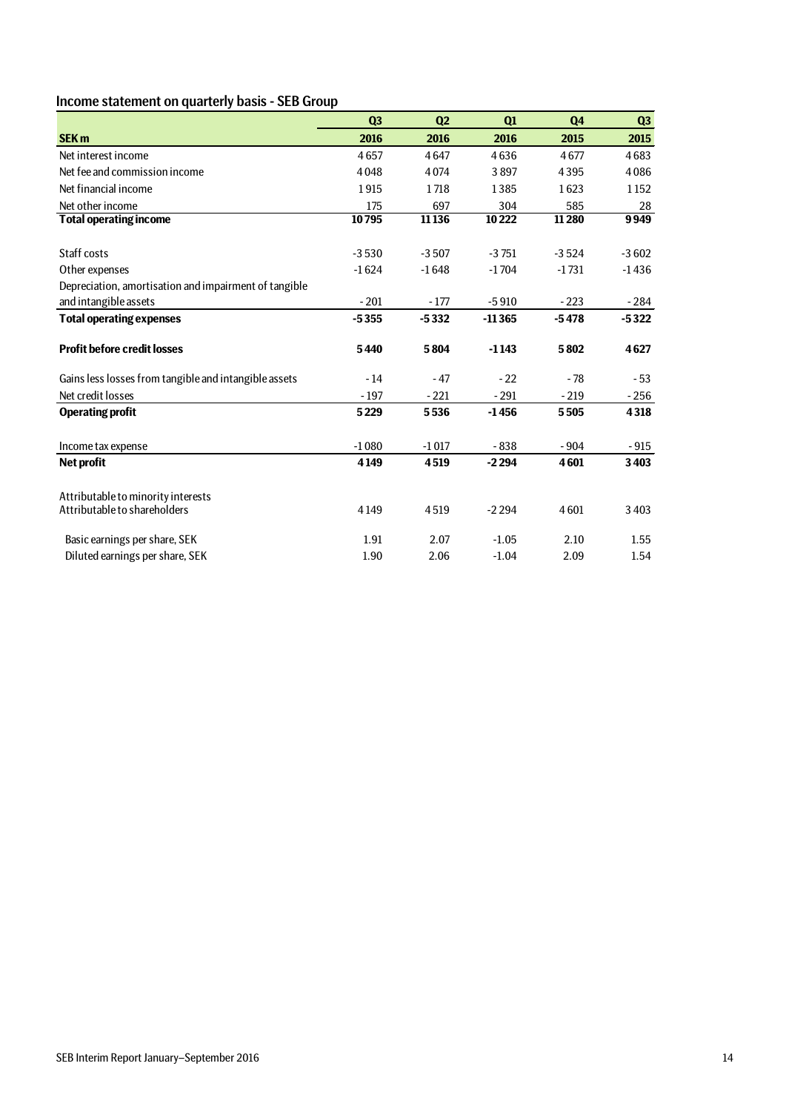## Income statement on quarterly basis - SEB Group

|                                                       | Q <sub>3</sub> | Q <sub>2</sub> | Q1       | Q <sub>4</sub> | Q <sub>3</sub> |
|-------------------------------------------------------|----------------|----------------|----------|----------------|----------------|
| <b>SEK m</b>                                          | 2016           | 2016           | 2016     | 2015           | 2015           |
| Net interest income                                   | 4657           | 4647           | 4636     | 4677           | 4683           |
| Net fee and commission income                         | 4048           | 4074           | 3897     | 4395           | 4086           |
| Net financial income                                  | 1915           | 1718           | 1385     | 1623           | 1152           |
| Net other income                                      | 175            | 697            | 304      | 585            | 28             |
| <b>Total operating income</b>                         | 10795          | 11 1 36        | 10222    | 11280          | 9949           |
| Staff costs                                           | $-3530$        | $-3507$        | $-3751$  | $-3524$        | $-3602$        |
| Other expenses                                        | $-1624$        | $-1648$        | $-1704$  | $-1731$        | $-1436$        |
| Depreciation, amortisation and impairment of tangible |                |                |          |                |                |
| and intangible assets                                 | $-201$         | $-177$         | $-5910$  | $-223$         | $-284$         |
| <b>Total operating expenses</b>                       | $-5355$        | $-5332$        | $-11365$ | $-5478$        | $-5322$        |
| <b>Profit before credit losses</b>                    | 5440           | 5804           | $-1143$  | 5802           | 4627           |
| Gains less losses from tangible and intangible assets | - 14           | $-47$          | $-22$    | $-78$          | $-53$          |
| Net credit losses                                     | $-197$         | $-221$         | $-291$   | $-219$         | $-256$         |
| <b>Operating profit</b>                               | 5229           | 5536           | $-1456$  | 5505           | 4318           |
| Income tax expense                                    | $-1080$        | $-1017$        | $-838$   | $-904$         | $-915$         |
| Net profit                                            | 4149           | 4519           | $-2294$  | 4601           | 3403           |
| Attributable to minority interests                    |                |                |          |                |                |
| Attributable to shareholders                          | 4149           | 4519           | $-2294$  | 4601           | 3 4 0 3        |
| Basic earnings per share, SEK                         | 1.91           | 2.07           | $-1.05$  | 2.10           | 1.55           |
| Diluted earnings per share, SEK                       | 1.90           | 2.06           | $-1.04$  | 2.09           | 1.54           |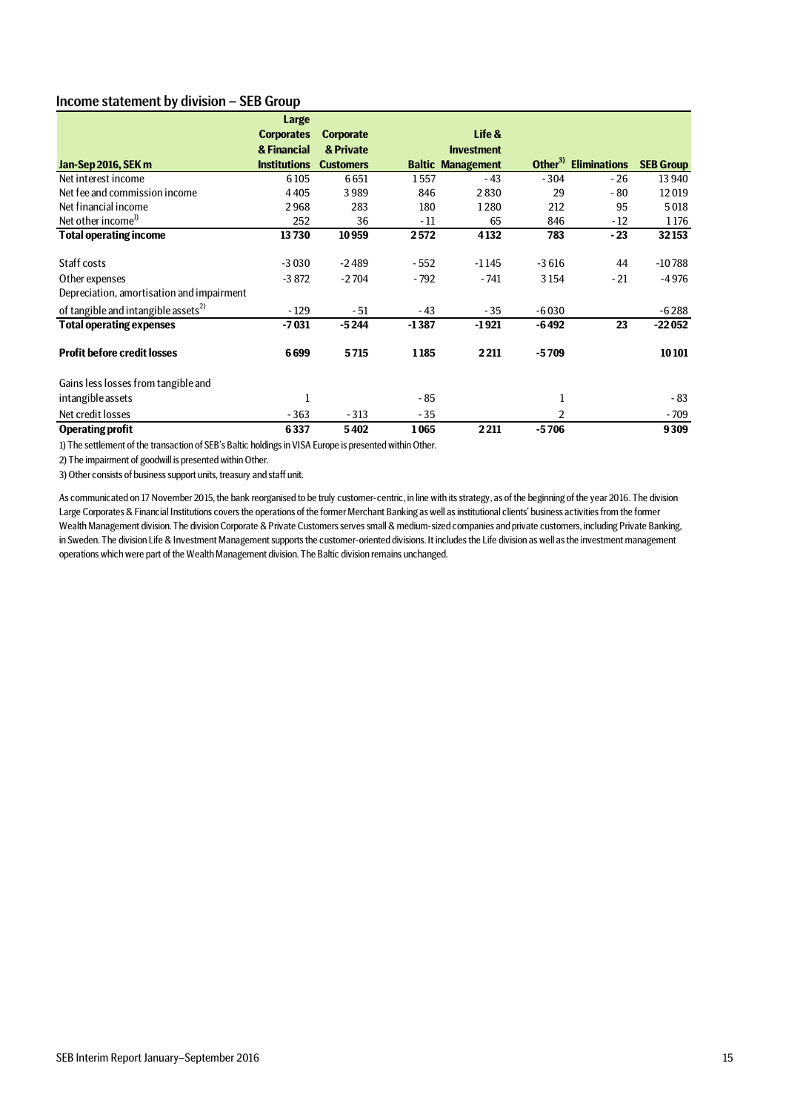## Income statement by division – SEB Group

|                                                 | Large               |                  |         |                          |         |                                  |                  |
|-------------------------------------------------|---------------------|------------------|---------|--------------------------|---------|----------------------------------|------------------|
|                                                 | <b>Corporates</b>   | <b>Corporate</b> |         | Life &                   |         |                                  |                  |
|                                                 | & Financial         | & Private        |         | <b>Investment</b>        |         |                                  |                  |
| Jan-Sep 2016, SEK m                             | <b>Institutions</b> | <b>Customers</b> |         | <b>Baltic Management</b> |         | Other <sup>3)</sup> Eliminations | <b>SEB Group</b> |
| Net interest income                             | 6105                | 6651             | 1557    | $-43$                    | $-304$  | $-26$                            | 13 940           |
| Net fee and commission income                   | 4405                | 3989             | 846     | 2830                     | 29      | $-80$                            | 12019            |
| Net financial income                            | 2968                | 283              | 180     | 1280                     | 212     | 95                               | 5018             |
| Net other income <sup>1)</sup>                  | 252                 | 36               | $-11$   | 65                       | 846     | $-12$                            | 1176             |
| <b>Total operating income</b>                   | 13730               | 10959            | 2572    | 4132                     | 783     | $-23$                            | 32153            |
| Staff costs                                     | $-3030$             | $-2489$          | - 552   | $-1145$                  | $-3616$ | 44                               | $-10788$         |
| Other expenses                                  | $-3872$             | $-2704$          | $-792$  | $-741$                   | 3154    | $-21$                            | $-4976$          |
| Depreciation, amortisation and impairment       |                     |                  |         |                          |         |                                  |                  |
| of tangible and intangible assets <sup>2)</sup> | $-129$              | - 51             | $-43$   | $-35$                    | $-6030$ |                                  | $-6288$          |
| <b>Total operating expenses</b>                 | $-7031$             | $-5244$          | $-1387$ | $-1921$                  | $-6492$ | 23                               | $-22052$         |
| <b>Profit before credit losses</b>              | 6699                | 5715             | 1185    | 2211                     | $-5709$ |                                  | 10101            |
| Gains less losses from tangible and             |                     |                  |         |                          |         |                                  |                  |
| intangible assets                               | 1                   |                  | $-85$   |                          | 1       |                                  | $-83$            |
| Net credit losses                               | $-363$              | $-313$           | $-35$   |                          | 2       |                                  | $-709$           |
| <b>Operating profit</b>                         | 6337                | 5402             | 1065    | 2211                     | $-5706$ |                                  | 9309             |

1) The settlement of the transaction of SEB's Baltic holdings in VISA Europe is presented within Other.

2) The impairment of goodwill is presented within Other.

3) Other consists of business support units, treasury and staff unit.

As communicated on 17 November 2015, the bank reorganised to be truly customer-centric, in line with its strategy, as of the beginning of the year 2016. The division Large Corporates & Financial Institutions covers the operations of the former Merchant Banking as well as institutional clients' business activities from the former Wealth Management division. The division Corporate & Private Customers serves small & medium-sized companies and private customers, including Private Banking, in Sweden. The division Life & Investment Management supports the customer-oriented divisions. It includes the Life division as well as the investment management operations which were part of the Wealth Management division. The Baltic division remains unchanged.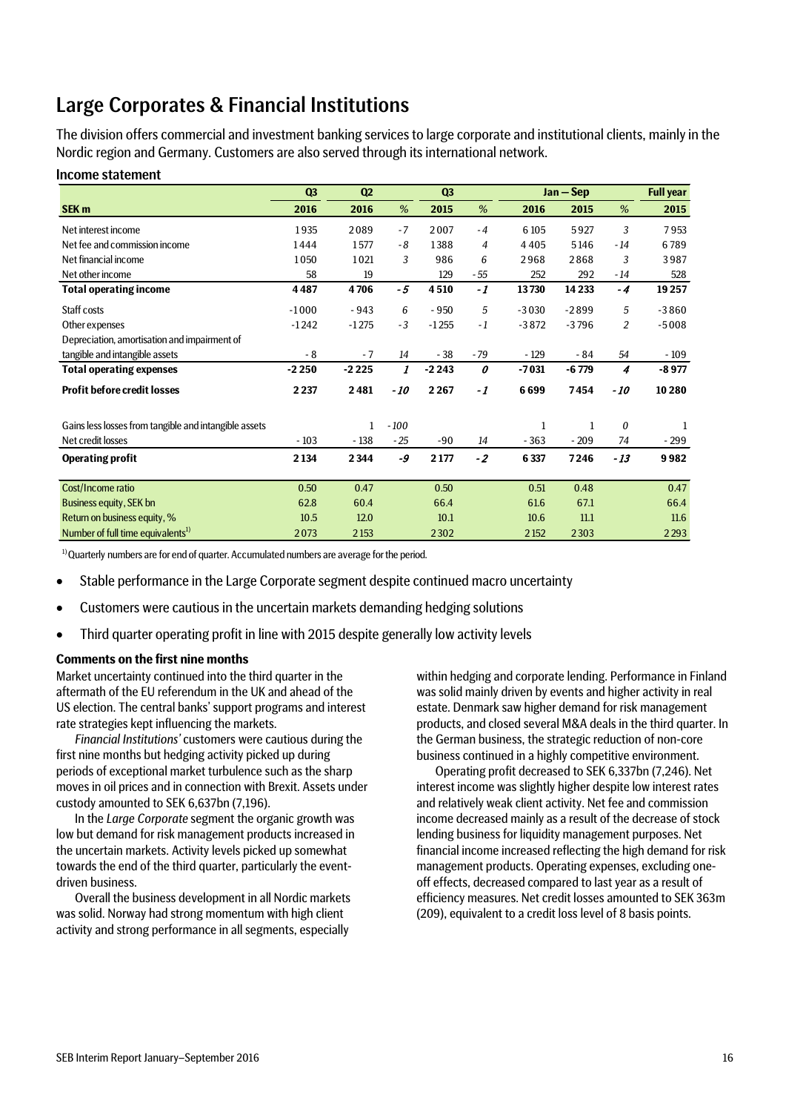# Large Corporates & Financial Institutions

The division offers commercial and investment banking services to large corporate and institutional clients, mainly in the Nordic region and Germany. Customers are also served through its international network.

## Income statement

|                                                       | Q <sub>3</sub> | Q2           |        | Q3      |       |         | Jan - Sep |                | <b>Full year</b> |
|-------------------------------------------------------|----------------|--------------|--------|---------|-------|---------|-----------|----------------|------------------|
| SEK <sub>m</sub>                                      | 2016           | 2016         | %      | 2015    | %     | 2016    | 2015      | %              | 2015             |
| Net interest income                                   | 1935           | 2089         | $-7$   | 2007    | $-4$  | 6 1 0 5 | 5927      | 3              | 7953             |
| Net fee and commission income                         | 1444           | 1577         | - 8    | 1388    | 4     | 4405    | 5146      | $-14$          | 6789             |
| Net financial income                                  | 1050           | 1021         | 3      | 986     | 6     | 2968    | 2868      | 3              | 3987             |
| Net other income                                      | 58             | 19           |        | 129     | - 55  | 252     | 292       | $-14$          | 528              |
| <b>Total operating income</b>                         | 4487           | 4706         | $-5$   | 4510    | $-1$  | 13730   | 14 2 33   | $-4$           | 19257            |
| Staff costs                                           | $-1000$        | $-943$       | 6      | $-950$  | 5     | $-3030$ | $-2899$   | 5              | $-3860$          |
| Other expenses                                        | $-1242$        | $-1275$      | $-3$   | $-1255$ | $-1$  | $-3872$ | $-3796$   | $\overline{2}$ | $-5008$          |
| Depreciation, amortisation and impairment of          |                |              |        |         |       |         |           |                |                  |
| tangible and intangible assets                        | $-8$           | $-7$         | 14     | $-38$   | $-79$ | $-129$  | $-84$     | 54             | $-109$           |
| <b>Total operating expenses</b>                       | $-2250$        | $-2225$      | 1      | $-2243$ | 0     | $-7031$ | $-6779$   | 4              | $-8977$          |
| <b>Profit before credit losses</b>                    | 2 2 3 7        | 2481         | $-10$  | 2267    | -1    | 6699    | 7454      | $-10$          | 10280            |
| Gains less losses from tangible and intangible assets |                | $\mathbf{1}$ | $-100$ |         |       | 1       |           | 0              |                  |
| Net credit losses                                     | $-103$         | $-138$       | $-25$  | -90     | 14    | $-363$  | $-209$    | 74             | - 299            |
| <b>Operating profit</b>                               | 2 1 3 4        | 2 3 4 4      | -9     | 2177    | $-2$  | 6 3 3 7 | 7246      | $-13$          | 9982             |
| Cost/Income ratio                                     | 0.50           | 0.47         |        | 0.50    |       | 0.51    | 0.48      |                | 0.47             |
| <b>Business equity, SEK bn</b>                        | 62.8           | 60.4         |        | 66.4    |       | 61.6    | 67.1      |                | 66.4             |
| Return on business equity, %                          | 10.5           | 12.0         |        | 10.1    |       | 10.6    | 11.1      |                | 11.6             |
| Number of full time equivalents <sup>1)</sup>         | 2073           | 2 1 5 3      |        | 2302    |       | 2 1 5 2 | 2303      |                | 2293             |

 $1)$ Quarterly numbers are for end of quarter. Accumulated numbers are average for the period.

- Stable performance in the Large Corporate segment despite continued macro uncertainty
- Customers were cautious in the uncertain markets demanding hedging solutions
- Third quarter operating profit in line with 2015 despite generally low activity levels

## **Comments on the first nine months**

Market uncertainty continued into the third quarter in the aftermath of the EU referendum in the UK and ahead of the US election. The central banks' support programs and interest rate strategies kept influencing the markets.

*Financial Institutions'* customers were cautious during the first nine months but hedging activity picked up during periods of exceptional market turbulence such as the sharp moves in oil prices and in connection with Brexit. Assets under custody amounted to SEK 6,637bn (7,196).

In the *Large Corporate* segment the organic growth was low but demand for risk management products increased in the uncertain markets. Activity levels picked up somewhat towards the end of the third quarter, particularly the eventdriven business.

Overall the business development in all Nordic markets was solid. Norway had strong momentum with high client activity and strong performance in all segments, especially

within hedging and corporate lending. Performance in Finland was solid mainly driven by events and higher activity in real estate. Denmark saw higher demand for risk management products, and closed several M&A deals in the third quarter. In the German business, the strategic reduction of non-core business continued in a highly competitive environment.

Operating profit decreased to SEK 6,337bn (7,246). Net interest income was slightly higher despite low interest rates and relatively weak client activity. Net fee and commission income decreased mainly as a result of the decrease of stock lending business for liquidity management purposes. Net financial income increased reflecting the high demand for risk management products. Operating expenses, excluding oneoff effects, decreased compared to last year as a result of efficiency measures. Net credit losses amounted to SEK 363m (209), equivalent to a credit loss level of 8 basis points.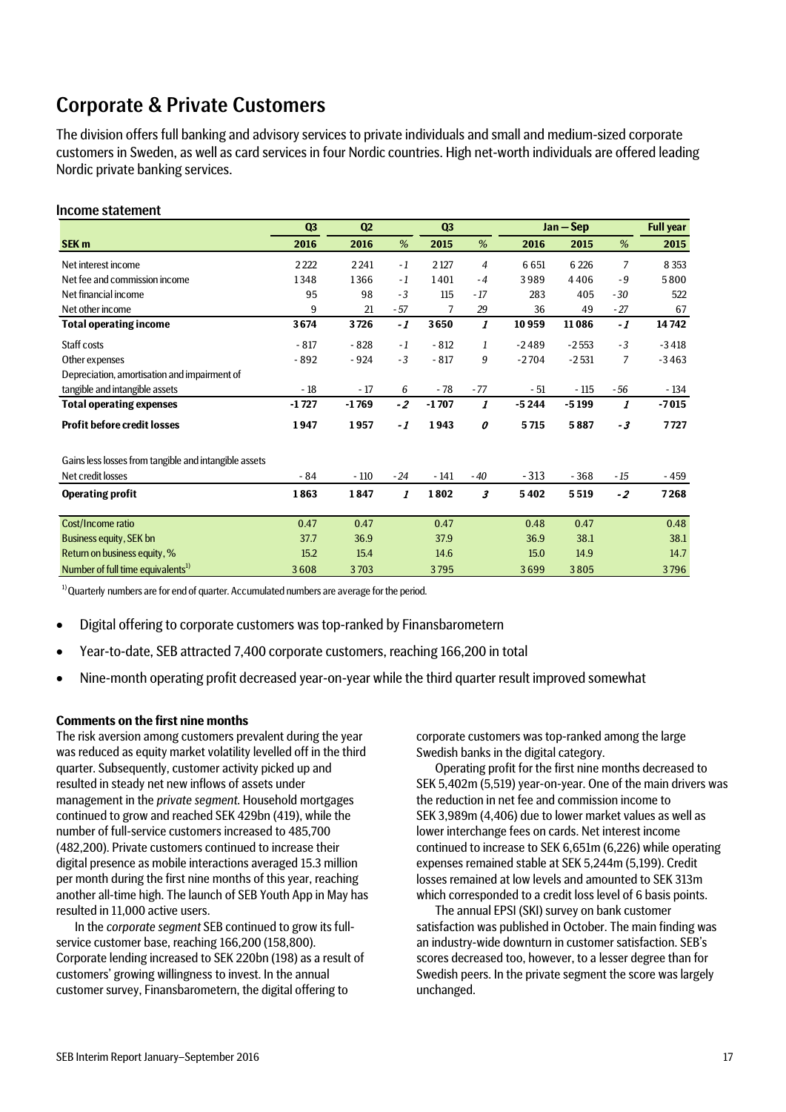# Corporate & Private Customers

The division offers full banking and advisory services to private individuals and small and medium-sized corporate customers in Sweden, as well as card servicesin four Nordic countries. High net-worth individuals are offered leading Nordic private banking services.

## Income statement

|                                                       | Q3      | Q2      |       | Q <sub>3</sub> |                  | $Jan - Sep$ |         |                | <b>Full year</b> |
|-------------------------------------------------------|---------|---------|-------|----------------|------------------|-------------|---------|----------------|------------------|
| SEK <sub>m</sub>                                      | 2016    | 2016    | %     | 2015           | %                | 2016        | 2015    | %              | 2015             |
| Net interest income                                   | 2222    | 2241    | $-1$  | 2 1 2 7        | $\overline{4}$   | 6651        | 6 2 2 6 | 7              | 8 3 5 3          |
| Net fee and commission income                         | 1348    | 1366    | $-1$  | 1401           | $-4$             | 3989        | 4406    | $-9$           | 5800             |
| Net financial income                                  | 95      | 98      | $-3$  | 115            | $-17$            | 283         | 405     | $-30$          | 522              |
| Net other income                                      | 9       | 21      | $-57$ | 7              | 29               | 36          | 49      | $-27$          | 67               |
| <b>Total operating income</b>                         | 3674    | 3726    | -1    | 3650           | $\boldsymbol{I}$ | 10959       | 11086   | $-1$           | 14742            |
| Staff costs                                           | $-817$  | $-828$  | $-1$  | $-812$         | 1                | $-2489$     | $-2553$ | $-3$           | $-3418$          |
| Other expenses                                        | $-892$  | $-924$  | $-3$  | $-817$         | 9                | $-2704$     | $-2531$ | $\overline{7}$ | $-3463$          |
| Depreciation, amortisation and impairment of          |         |         |       |                |                  |             |         |                |                  |
| tangible and intangible assets                        | $-18$   | - 17    | 6     | $-78$          | $-77$            | - 51        | $-115$  | - 56           | $-134$           |
| <b>Total operating expenses</b>                       | $-1727$ | $-1769$ | $-2$  | $-1707$        | 1                | $-5244$     | $-5199$ | 1              | $-7015$          |
| <b>Profit before credit losses</b>                    | 1947    | 1957    | -1    | 1943           | 0                | 5715        | 5887    | $-3$           | 7727             |
| Gains less losses from tangible and intangible assets |         |         |       |                |                  |             |         |                |                  |
| Net credit losses                                     | - 84    | $-110$  | $-24$ | $-141$         | $-40$            | $-313$      | $-368$  | $-15$          | - 459            |
| <b>Operating profit</b>                               | 1863    | 1847    | 1     | 1802           | 3                | 5402        | 5519    | $-2$           | 7268             |
| Cost/Income ratio                                     | 0.47    | 0.47    |       | 0.47           |                  | 0.48        | 0.47    |                | 0.48             |
| Business equity, SEK bn                               | 37.7    | 36.9    |       | 37.9           |                  | 36.9        | 38.1    |                | 38.1             |
| Return on business equity, %                          | 15.2    | 15.4    |       | 14.6           |                  | 15.0        | 14.9    |                | 14.7             |
| Number of full time equivalents <sup>1)</sup>         | 3608    | 3703    |       | 3795           |                  | 3699        | 3805    |                | 3796             |

 $1)$ Quarterly numbers are for end of quarter. Accumulated numbers are average for the period.

- Digital offering to corporate customers was top-ranked by Finansbarometern
- Year-to-date, SEB attracted 7,400 corporate customers, reaching 166,200 in total
- Nine-month operating profit decreased year-on-year while the third quarter result improved somewhat

## **Comments on the first nine months**

The risk aversion among customers prevalent during the year was reduced as equity market volatility levelled off in the third quarter. Subsequently, customer activity picked up and resulted in steady net new inflows of assets under management in the *private segment*. Household mortgages continued to grow and reached SEK 429bn (419), while the number of full-service customers increased to 485,700 (482,200). Private customers continued to increase their digital presence as mobile interactions averaged 15.3 million per month during the first nine months of this year, reaching another all-time high. The launch of SEB Youth App in May has resulted in 11,000 active users.

In the *corporate segment* SEB continued to grow its fullservice customer base, reaching 166,200 (158,800). Corporate lending increased to SEK 220bn (198) as a result of customers' growing willingness to invest. In the annual customer survey, Finansbarometern, the digital offering to

corporate customers was top-ranked among the large Swedish banks in the digital category.

Operating profit for the first nine months decreased to SEK 5,402m (5,519) year-on-year. One of the main drivers was the reduction in net fee and commission income to SEK 3,989m (4,406) due to lower market values as well as lower interchange fees on cards. Net interest income continued to increase to SEK 6,651m (6,226) while operating expenses remained stable at SEK 5,244m (5,199). Credit losses remained at low levels and amounted to SEK 313m which corresponded to a credit loss level of 6 basis points.

The annual EPSI (SKI) survey on bank customer satisfaction was published in October. The main finding was an industry-wide downturn in customer satisfaction. SEB's scores decreased too, however, to a lesser degree than for Swedish peers. In the private segment the score was largely unchanged.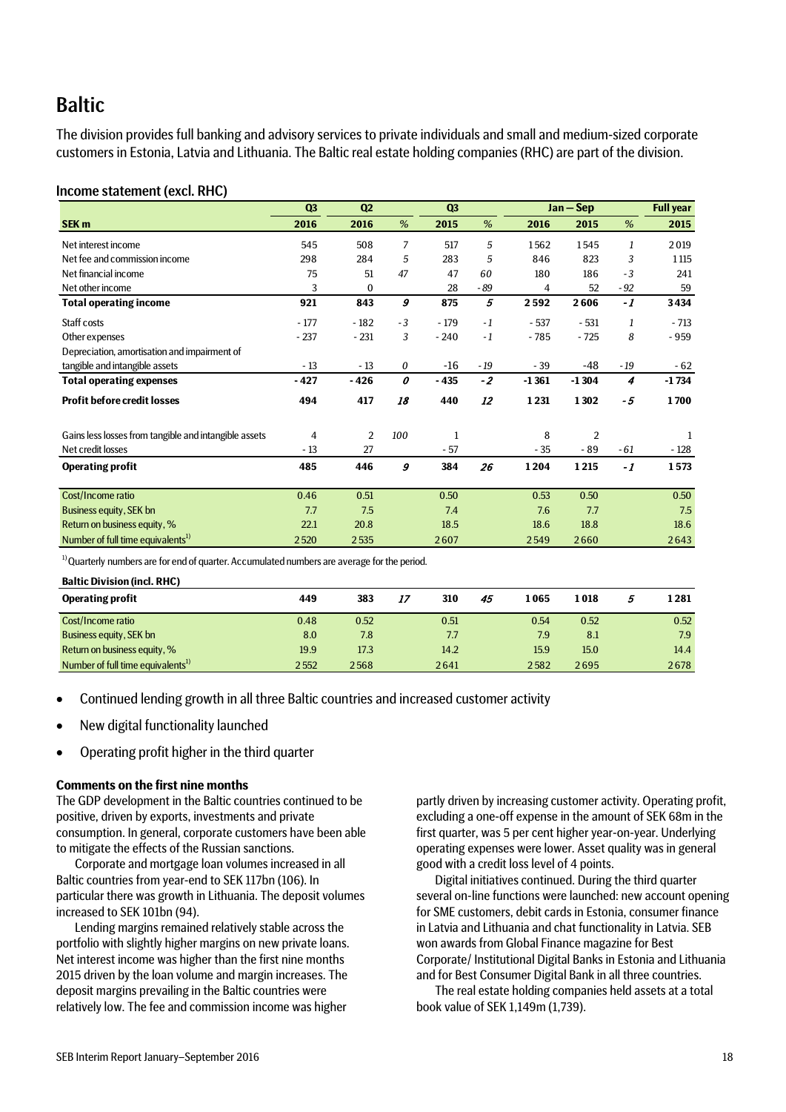# **Baltic**

The division provides full banking and advisory services to private individuals and small and medium-sized corporate customers in Estonia, Latvia and Lithuania. The Baltic real estate holding companies (RHC) are part of the division.

## Income statement (excl. RHC)

|                                                       | Q <sub>3</sub> | Q <sub>2</sub> |                       | Q <sub>3</sub> |       | $Jan - Sep$ |                |       | <b>Full year</b> |
|-------------------------------------------------------|----------------|----------------|-----------------------|----------------|-------|-------------|----------------|-------|------------------|
| SEK <sub>m</sub>                                      | 2016           | 2016           | %                     | 2015           | %     | 2016        | 2015           | %     | 2015             |
| Net interest income                                   | 545            | 508            | 7                     | 517            | 5     | 1562        | 1545           | 1     | 2019             |
| Net fee and commission income                         | 298            | 284            | 5                     | 283            | 5     | 846         | 823            | 3     | 1115             |
| Net financial income                                  | 75             | 51             | 47                    | 47             | 60    | 180         | 186            | $-3$  | 241              |
| Net other income                                      | 3              | $\mathbf{0}$   |                       | 28             | - 89  | 4           | 52             | $-92$ | 59               |
| <b>Total operating income</b>                         | 921            | 843            | 9                     | 875            | 5     | 2592        | 2606           | $-1$  | 3434             |
| Staff costs                                           | $-177$         | $-182$         | $-3$                  | $-179$         | $-1$  | $-537$      | $-531$         | 1     | $-713$           |
| Other expenses                                        | $-237$         | $-231$         | 3                     | $-240$         | $-1$  | $-785$      | $-725$         | 8     | $-959$           |
| Depreciation, amortisation and impairment of          |                |                |                       |                |       |             |                |       |                  |
| tangible and intangible assets                        | $-13$          | $-13$          | 0                     | $-16$          | $-19$ | $-39$       | $-48$          | $-19$ | $-62$            |
| <b>Total operating expenses</b>                       | - 427          | $-426$         | $\boldsymbol{\theta}$ | $-435$         | $-2$  | $-1361$     | $-1304$        | 4     | $-1734$          |
| <b>Profit before credit losses</b>                    | 494            | 417            | 18                    | 440            | 12    | 1231        | 1302           | - 5   | 1700             |
| Gains less losses from tangible and intangible assets | 4              | 2              | 100                   | 1              |       | 8           | $\overline{2}$ |       |                  |
| Net credit losses                                     | $-13$          | 27             |                       | $-57$          |       | $-35$       | $-89$          | - 61  | - 128            |
| <b>Operating profit</b>                               | 485            | 446            | 9                     | 384            | 26    | 1204        | 1215           | - 1   | 1573             |
| Cost/Income ratio                                     | 0.46           | 0.51           |                       | 0.50           |       | 0.53        | 0.50           |       | 0.50             |
| <b>Business equity, SEK bn</b>                        | 7.7            | 7.5            |                       | 7.4            |       | 7.6         | 7.7            |       | 7.5              |
| Return on business equity, %                          | 22.1           | 20.8           |                       | 18.5           |       | 18.6        | 18.8           |       | 18.6             |
| Number of full time equivalents <sup>1)</sup>         | 2520           | 2535           |                       | 2607           |       | 2549        | 2660           |       | 2643             |

 $1)$ Quarterly numbers are for end of quarter. Accumulated numbers are average for the period.

| <b>Baltic Division (incl. RHC)</b>            |      |      |    |      |    |      |      |      |
|-----------------------------------------------|------|------|----|------|----|------|------|------|
| <b>Operating profit</b>                       | 449  | 383  | 17 | 310  | 45 | 1065 | 1018 | 1281 |
| Cost/Income ratio                             | 0.48 | 0.52 |    | 0.51 |    | 0.54 | 0.52 | 0.52 |
| Business equity, SEK bn                       | 8.0  | 7.8  |    | 7.7  |    | 7.9  | 8.1  | 7.9  |
| Return on business equity, %                  | 19.9 | 17.3 |    | 14.2 |    | 15.9 | 15.0 | 14.4 |
| Number of full time equivalents <sup>1)</sup> | 2552 | 2568 |    | 2641 |    | 2582 | 2695 | 2678 |

• Continued lending growth in all three Baltic countries and increased customer activity

- New digital functionality launched
- Operating profit higher in the third quarter

## **Comments on the first nine months**

The GDP development in the Baltic countries continued to be positive, driven by exports, investments and private consumption. In general, corporate customers have been able to mitigate the effects of the Russian sanctions.

Corporate and mortgage loan volumes increased in all Baltic countries from year-end to SEK 117bn (106). In particular there was growth in Lithuania. The deposit volumes increased to SEK 101bn (94).

Lending margins remained relatively stable across the portfolio with slightly higher margins on new private loans. Net interest income was higher than the first nine months 2015 driven by the loan volume and margin increases. The deposit margins prevailing in the Baltic countries were relatively low. The fee and commission income was higher

partly driven by increasing customer activity. Operating profit, excluding a one-off expense in the amount of SEK 68m in the first quarter, was 5 per cent higher year-on-year. Underlying operating expenses were lower. Asset quality was in general good with a credit loss level of 4 points.

Digital initiatives continued. During the third quarter several on-line functions were launched: new account opening for SME customers, debit cards in Estonia, consumer finance in Latvia and Lithuania and chat functionality in Latvia. SEB won awards from Global Finance magazine for Best Corporate/ Institutional Digital Banks in Estonia and Lithuania and for Best Consumer Digital Bank in all three countries.

The real estate holding companies held assets at a total book value of SEK 1,149m (1,739).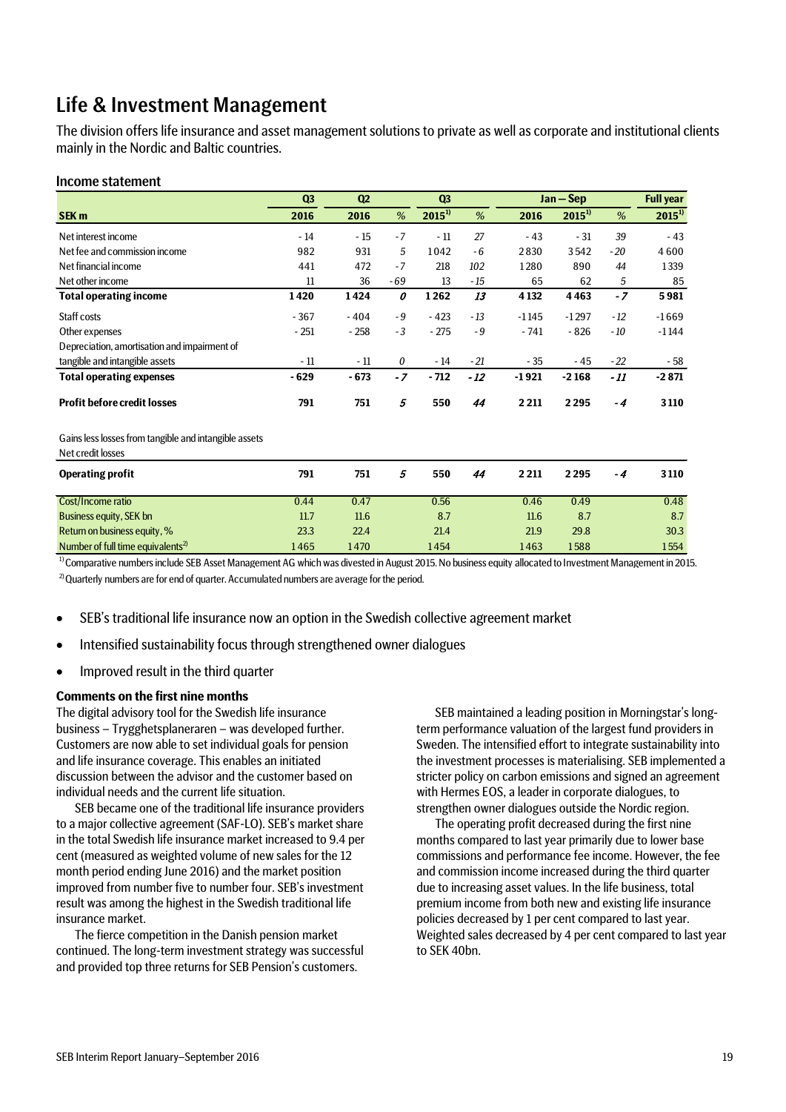# Life & Investment Management

The division offers life insurance and asset management solutionsto private as well as corporate and institutional clients mainly in the Nordic and Baltic countries.

## Income statement

|                                                                            | Q3     | Q2<br>Q <sub>3</sub> |       |            | $Jan - Sep$ | <b>Full year</b> |            |       |            |
|----------------------------------------------------------------------------|--------|----------------------|-------|------------|-------------|------------------|------------|-------|------------|
| <b>SEK m</b>                                                               | 2016   | 2016                 | $\%$  | $2015^{1}$ | $\%$        | 2016             | $2015^{1}$ | %     | $2015^{1}$ |
| Net interest income                                                        | $-14$  | $-15$                | $-7$  | $-11$      | 27          | $-43$            | $-31$      | 39    | $-43$      |
| Net fee and commission income                                              | 982    | 931                  | 5     | 1042       | $-6$        | 2830             | 3542       | $-20$ | 4600       |
| Net financial income                                                       | 441    | 472                  | $-7$  | 218        | 102         | 1280             | 890        | 44    | 1339       |
| Net other income                                                           | 11     | 36                   | $-69$ | 13         | $-15$       | 65               | 62         | 5     | 85         |
| <b>Total operating income</b>                                              | 1420   | 1424                 | 0     | 1262       | 13          | 4 1 3 2          | 4463       | $-7$  | 5981       |
| Staff costs                                                                | $-367$ | $-404$               | $-9$  | $-423$     | $-13$       | $-1145$          | $-1297$    | $-12$ | $-1669$    |
| Other expenses                                                             | $-251$ | $-258$               | $-3$  | $-275$     | $-9$        | $-741$           | $-826$     | $-10$ | $-1144$    |
| Depreciation, amortisation and impairment of                               |        |                      |       |            |             |                  |            |       |            |
| tangible and intangible assets                                             | $-11$  | $-11$                | 0     | $-14$      | $-21$       | $-35$            | $-45$      | $-22$ | - 58       |
| <b>Total operating expenses</b>                                            | $-629$ | $-673$               | $-7$  | $-712$     | $-12$       | $-1921$          | $-2168$    | - 11  | $-2871$    |
| <b>Profit before credit losses</b>                                         | 791    | 751                  | 5     | 550        | 44          | 2 2 1 1          | 2295       | $-4$  | 3110       |
| Gains less losses from tangible and intangible assets<br>Net credit losses |        |                      |       |            |             |                  |            |       |            |
| <b>Operating profit</b>                                                    | 791    | 751                  | 5     | 550        | 44          | 2 2 1 1          | 2295       | $-4$  | 3110       |
| Cost/Income ratio                                                          | 0.44   | 0.47                 |       | 0.56       |             | 0.46             | 0.49       |       | 0.48       |
| <b>Business equity, SEK bn</b>                                             | 11.7   | 11.6                 |       | 8.7        |             | 11.6             | 8.7        |       | 8.7        |
| Return on business equity, %                                               | 23.3   | 22.4                 |       | 21.4       |             | 21.9             | 29.8       |       | 30.3       |
| Number of full time equivalents <sup>2)</sup>                              | 1465   | 1470                 |       | 1454       |             | 1463             | 1588       |       | 1554       |

 $2)$ Quarterly numbers are for end of quarter. Accumulated numbers are average for the period. <sup>1)</sup> Comparative numbers include SEB Asset Management AG which was divested in August 2015. No business equity allocated to Investment Management in 2015.

- SEB's traditional life insurance now an option in the Swedish collective agreement market
- Intensified sustainability focus through strengthened owner dialogues
- Improved result in the third quarter

### **Comments on the first nine months**

The digital advisory tool for the Swedish life insurance business – Trygghetsplaneraren – was developed further. Customers are now able to set individual goals for pension and life insurance coverage. This enables an initiated discussion between the advisor and the customer based on individual needs and the current life situation.

SEB became one of the traditional life insurance providers to a major collective agreement (SAF-LO). SEB's market share in the total Swedish life insurance market increased to 9.4 per cent (measured as weighted volume of new sales for the 12 month period ending June 2016) and the market position improved from number five to number four. SEB's investment result was among the highest in the Swedish traditional life insurance market.

The fierce competition in the Danish pension market continued. The long-term investment strategy was successful and provided top three returns for SEB Pension's customers.

SEB maintained a leading position in Morningstar's longterm performance valuation of the largest fund providers in Sweden. The intensified effort to integrate sustainability into the investment processes is materialising. SEB implemented a stricter policy on carbon emissions and signed an agreement with Hermes EOS, a leader in corporate dialogues, to strengthen owner dialogues outside the Nordic region.

The operating profit decreased during the first nine months compared to last year primarily due to lower base commissions and performance fee income. However, the fee and commission income increased during the third quarter due to increasing asset values. In the life business, total premium income from both new and existing life insurance policies decreased by 1 per cent compared to last year. Weighted sales decreased by 4 per cent compared to last year to SEK 40bn.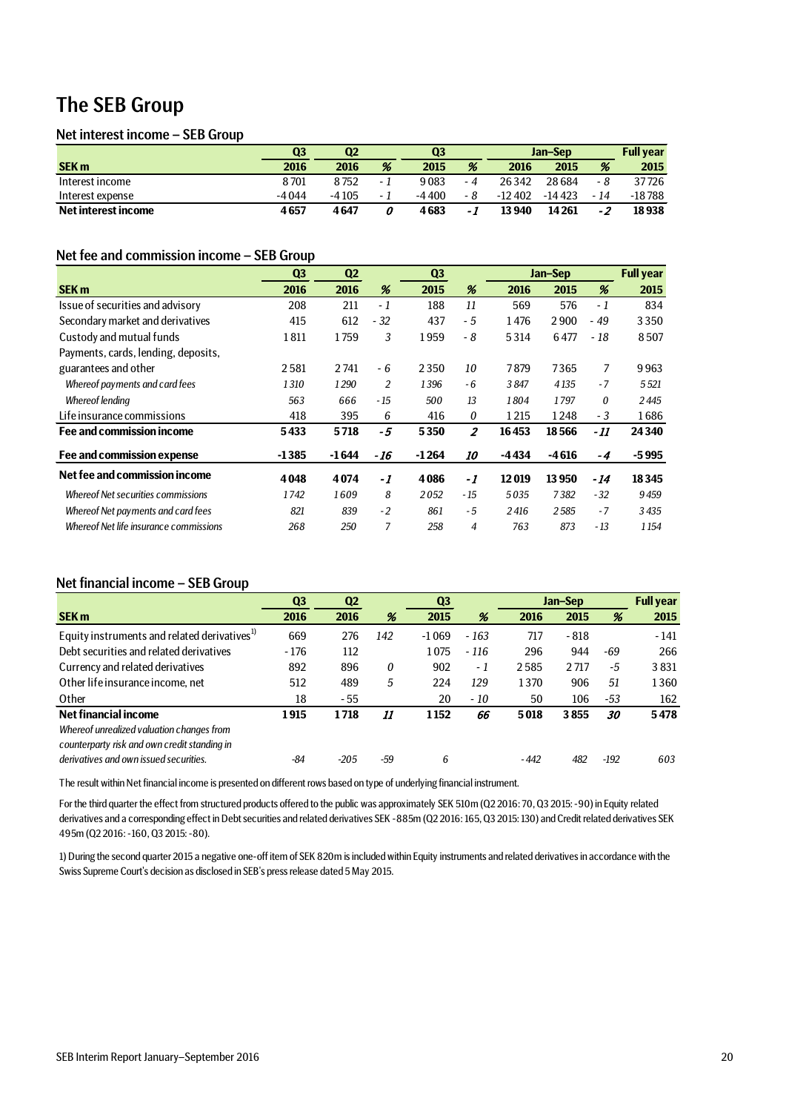# The SEB Group

## Net interest income – SEB Group

|                     | Q3      | Q <sub>2</sub> |     | Q <sub>3</sub> |     | Jan-Sep  |          |      | <b>Full vear</b> |
|---------------------|---------|----------------|-----|----------------|-----|----------|----------|------|------------------|
| <b>SEK m</b>        | 2016    | 2016           | %   | 2015           | %   | 2016     | 2015     | %    | 2015             |
| Interest income     | 8701    | 8752           | - 1 | 9083           | - 4 | 26342    | 28684    | - 8  | 37726            |
| Interest expense    | $-4044$ | $-4105$        | - 1 | -4400          | - 8 | $-12402$ | $-14423$ | - 14 | -18 788          |
| Net interest income | 4657    | 4647           |     | 4683           | - 1 | 13940    | 14 2 61  | $-2$ | 18938            |

## Net fee and commission income – SEB Group

|                                           | Q <sub>3</sub> | Q <sub>2</sub> |       | Q <sub>3</sub> |                | Jan-Sep | <b>Full year</b> |       |         |
|-------------------------------------------|----------------|----------------|-------|----------------|----------------|---------|------------------|-------|---------|
| <b>SEK m</b>                              | 2016           | 2016           | %     | 2015           | %              | 2016    | 2015             | %     | 2015    |
| Issue of securities and advisory          | 208            | 211            | - 1   | 188            | 11             | 569     | 576              | - 1   | 834     |
| Secondary market and derivatives          | 415            | 612            | $-32$ | 437            | - 5            | 1476    | 2900             | - 49  | 3350    |
| Custody and mutual funds                  | 1811           | 1759           | 3     | 1959           | - 8            | 5314    | 6477             | - 18  | 8507    |
| Payments, cards, lending, deposits,       |                |                |       |                |                |         |                  |       |         |
| guarantees and other                      | 2581           | 2741           | - 6   | 2350           | 10             | 7879    | 7365             | 7     | 9963    |
| Whereof payments and card fees            | 1310           | 1290           | 2     | 1396           | $-6$           | 3847    | 4135             | $-7$  | 5521    |
| <b>Whereof lending</b>                    | 563            | 666            | $-15$ | 500            | 13             | 1804    | 1797             | 0     | 2445    |
| Life insurance commissions                | 418            | 395            | 6     | 416            | 0              | 1215    | 1248             | $-3$  | 1686    |
| Fee and commission income                 | 5433           | 5718           | -5    | 5350           | $\overline{z}$ | 16453   | 18566            | - 11  | 24340   |
| Fee and commission expense                | $-1385$        | $-1644$        | - 16  | $-1264$        | <i>10</i>      | -4434   | $-4616$          | $-4$  | $-5995$ |
| Net fee and commission income             | 4048           | 4074           | -1    | 4086           | -1             | 12019   | 13950            | - 14  | 18345   |
| <b>Whereof Net securities commissions</b> | 1742           | 1609           | 8     | 2052           | $-15$          | 5035    | 7382             | $-32$ | 9459    |
| Whereof Net payments and card fees        | 821            | 839            | $-2$  | 861            | $-5$           | 2416    | 2585             | $-7$  | 3435    |
| Whereof Net life insurance commissions    | 268            | 250            | 7     | 258            | 4              | 763     | 873              | $-13$ | 1 1 5 4 |

## Net financial income – SEB Group

|                                                          | Q <sub>3</sub> | Q <sub>2</sub> |     | Q <sub>3</sub> |        | Jan-Sep |        |        | <b>Full year</b> |
|----------------------------------------------------------|----------------|----------------|-----|----------------|--------|---------|--------|--------|------------------|
| <b>SEK m</b>                                             | 2016           | 2016           | %   | 2015           | %      | 2016    | 2015   | %      | 2015             |
| Equity instruments and related derivatives <sup>1)</sup> | 669            | 276            | 142 | $-1069$        | $-163$ | 717     | $-818$ |        | $-141$           |
| Debt securities and related derivatives                  | $-176$         | 112            |     | 1075           | $-116$ | 296     | 944    | -69    | 266              |
| Currency and related derivatives                         | 892            | 896            | 0   | 902            | - 1    | 2585    | 2717   | -5     | 3831             |
| Other life insurance income, net                         | 512            | 489            | 5   | 224            | 129    | 1370    | 906    | 51     | 1360             |
| Other                                                    | 18             | - 55           |     | 20             | - 10   | 50      | 106    | $-53$  | 162              |
| Net financial income                                     | 1915           | 1718           | 11  | 1152           | 66     | 5018    | 3855   | 30     | 5478             |
| Whereof unrealized valuation changes from                |                |                |     |                |        |         |        |        |                  |
| counterparty risk and own credit standing in             |                |                |     |                |        |         |        |        |                  |
| derivatives and own issued securities.                   | -84            | -205           | -59 | 6              |        | - 442   | 482    | $-192$ | 603              |

The result within Net financial income is presented on different rows based on type of underlying financial instrument.

For the third quarter the effect from structured products offered to the public was approximately SEK 510m (Q2 2016: 70, Q3 2015: -90) in Equity related derivatives and a corresponding effect in Debt securities and related derivatives SEK -885m (Q2 2016: 165, Q3 2015: 130) and Credit related derivatives SEK 495m (Q2 2016: -160, Q3 2015: -80).

1) During the second quarter 2015 a negative one-off item of SEK 820m is included within Equity instruments and related derivatives in accordance with the Swiss Supreme Court's decision as disclosed in SEB's press release dated 5 May 2015.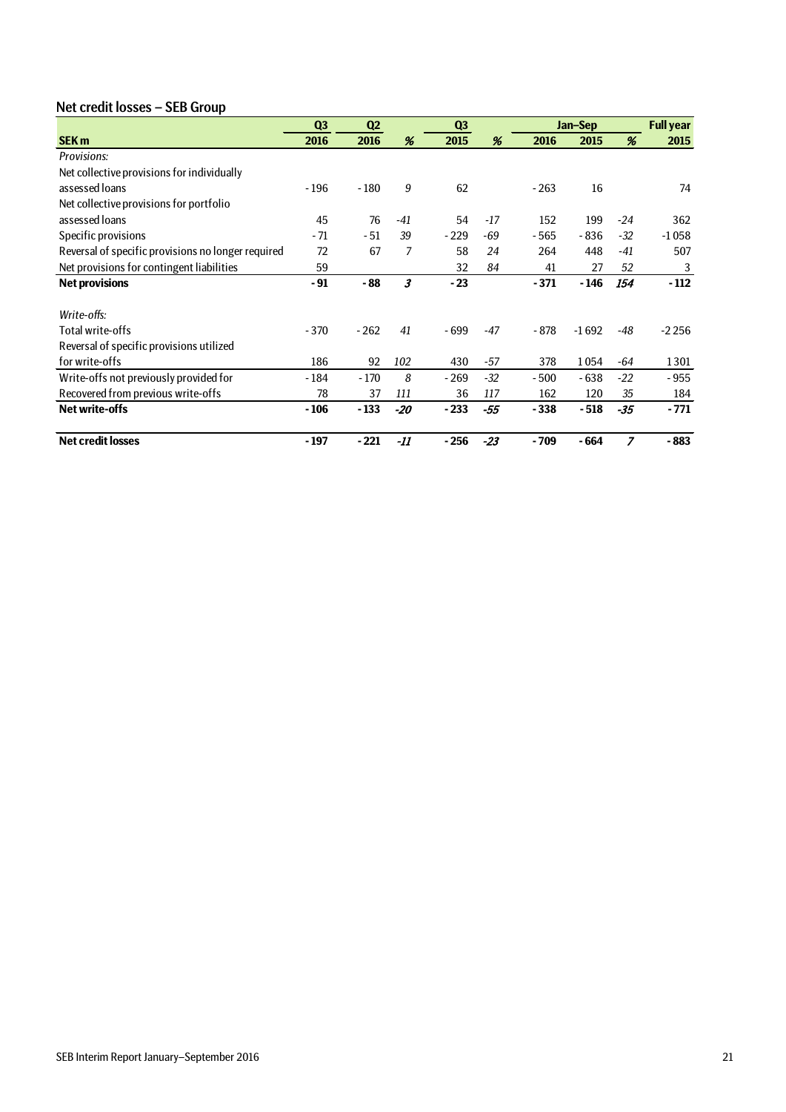## Net credit losses – SEB Group

|                                                    | Q <sub>3</sub> | Q2     |       | Q <sub>3</sub> |       |        | Jan-Sep | <b>Full year</b> |         |
|----------------------------------------------------|----------------|--------|-------|----------------|-------|--------|---------|------------------|---------|
| <b>SEK m</b>                                       | 2016           | 2016   | %     | 2015           | %     | 2016   | 2015    | %                | 2015    |
| Provisions:                                        |                |        |       |                |       |        |         |                  |         |
| Net collective provisions for individually         |                |        |       |                |       |        |         |                  |         |
| assessed loans                                     | $-196$         | $-180$ | 9     | 62             |       | $-263$ | 16      |                  | 74      |
| Net collective provisions for portfolio            |                |        |       |                |       |        |         |                  |         |
| assessed loans                                     | 45             | 76     | $-41$ | 54             | $-17$ | 152    | 199     | $-24$            | 362     |
| Specific provisions                                | - 71           | - 51   | 39    | $-229$         | -69   | - 565  | - 836   | $-32$            | $-1058$ |
| Reversal of specific provisions no longer required | 72             | 67     | 7     | 58             | 24    | 264    | 448     | $-41$            | 507     |
| Net provisions for contingent liabilities          | 59             |        |       | 32             | 84    | 41     | 27      | 52               | 3       |
| <b>Net provisions</b>                              | $-91$          | - 88   | 3     | $-23$          |       | $-371$ | - 146   | 154              | $-112$  |
|                                                    |                |        |       |                |       |        |         |                  |         |
| Write-offs:                                        |                |        |       |                |       |        |         |                  |         |
| Total write-offs                                   | $-370$         | $-262$ | 41    | $-699$         | -47   | - 878  | $-1692$ | -48              | $-2256$ |
| Reversal of specific provisions utilized           |                |        |       |                |       |        |         |                  |         |
| for write-offs                                     | 186            | 92     | 102   | 430            | -57   | 378    | 1054    | -64              | 1301    |
| Write-offs not previously provided for             | $-184$         | $-170$ | 8     | $-269$         | $-32$ | $-500$ | $-638$  | $-22$            | $-955$  |
| Recovered from previous write-offs                 | 78             | 37     | 111   | 36             | 117   | 162    | 120     | 35               | 184     |
| <b>Net write-offs</b>                              | $-106$         | $-133$ | $-20$ | $-233$         | $-55$ | $-338$ | $-518$  | $-35$            | $-771$  |
| <b>Net credit losses</b>                           | $-197$         | $-221$ | $-11$ | $-256$         | $-23$ | - 709  | - 664   | $\overline{z}$   | $-883$  |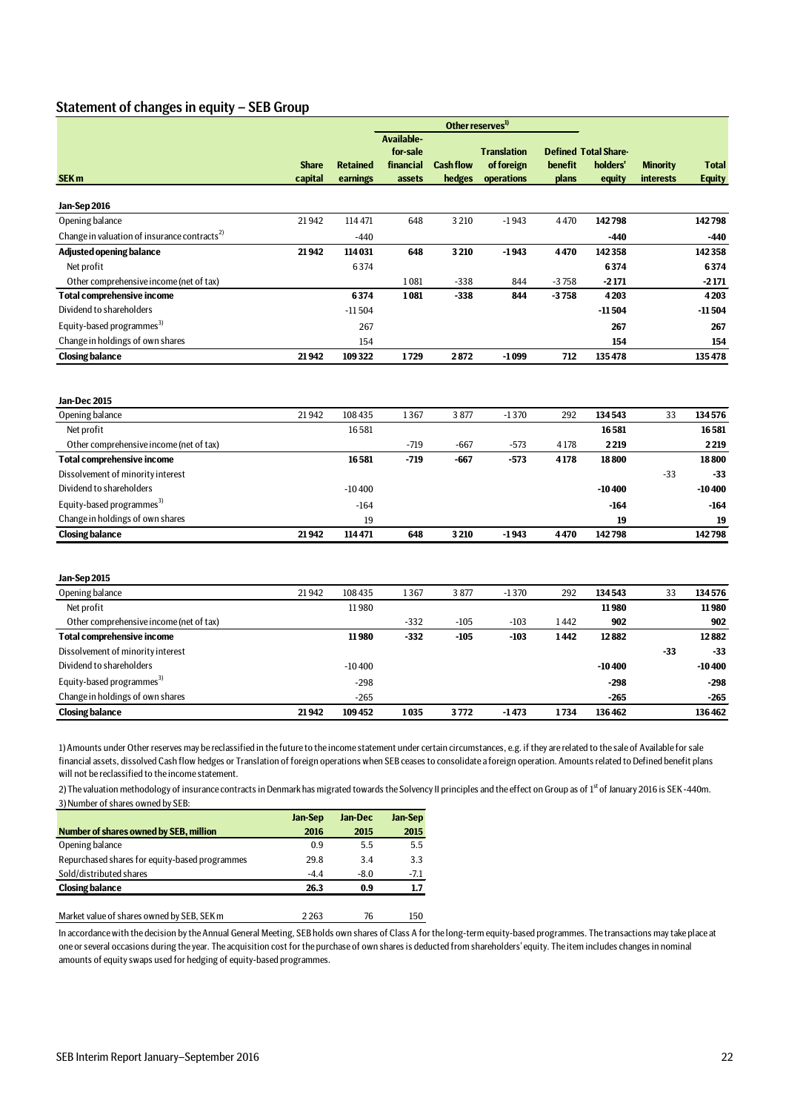## Statement of changes in equity – SEB Group

|                                                                                                                               |              |                          |                                     | Other reserves <sup>1)</sup> |                                  |                     |                                         |                  |                                  |
|-------------------------------------------------------------------------------------------------------------------------------|--------------|--------------------------|-------------------------------------|------------------------------|----------------------------------|---------------------|-----------------------------------------|------------------|----------------------------------|
|                                                                                                                               | <b>Share</b> | <b>Retained</b>          | Available-<br>for-sale<br>financial | <b>Cash flow</b>             | <b>Translation</b><br>of foreign | benefit             | <b>Defined Total Share-</b><br>holders' | <b>Minority</b>  | <b>Total</b>                     |
| SEK <sub>m</sub>                                                                                                              | capital      | earnings                 | assets                              | hedges                       | operations                       | plans               | equity                                  | <b>interests</b> | <b>Equity</b>                    |
|                                                                                                                               |              |                          |                                     |                              |                                  |                     |                                         |                  |                                  |
| Jan-Sep 2016                                                                                                                  |              |                          |                                     |                              |                                  |                     |                                         |                  |                                  |
| Opening balance                                                                                                               | 21942        | 114 471                  | 648                                 | 3 2 1 0                      | $-1943$                          | 4470                | 142798                                  |                  | 142798                           |
| Change in valuation of insurance contracts <sup>2)</sup>                                                                      |              | $-440$                   |                                     |                              |                                  |                     | -440                                    |                  | -440                             |
| <b>Adjusted opening balance</b>                                                                                               | 21942        | 114031                   | 648                                 | 3210                         | $-1943$                          | 4470                | 142358                                  |                  | 142358                           |
| Net profit                                                                                                                    |              | 6374                     |                                     |                              |                                  |                     | 6374                                    |                  | 6374                             |
| Other comprehensive income (net of tax)                                                                                       |              |                          | 1081                                | $-338$                       | 844                              | $-3758$             | $-2171$                                 |                  | $-2171$                          |
| <b>Total comprehensive income</b>                                                                                             |              | 6374                     | 1081                                | $-338$                       | 844                              | $-3758$             | 4203                                    |                  | 4203                             |
| Dividend to shareholders                                                                                                      |              | $-11504$                 |                                     |                              |                                  |                     | $-11504$                                |                  | -11504                           |
| Equity-based programmes <sup>3)</sup>                                                                                         |              | 267                      |                                     |                              |                                  |                     | 267                                     |                  | 267                              |
| Change in holdings of own shares                                                                                              |              | 154                      |                                     |                              |                                  |                     | 154                                     |                  | 154                              |
| <b>Closing balance</b>                                                                                                        | 21942        | 109322                   | 1729                                | 2872                         | $-1099$                          | 712                 | 135478                                  |                  | 135478                           |
| Jan-Dec 2015<br>Opening balance<br>Net profit<br>Other comprehensive income (net of tax)<br><b>Total comprehensive income</b> | 21942        | 108435<br>16581<br>16581 | 1367<br>$-719$<br>$-719$            | 3877<br>$-667$<br>$-667$     | $-1370$<br>$-573$<br>$-573$      | 292<br>4178<br>4178 | 134543<br>16581<br>2219<br>18800        | 33               | 134576<br>16581<br>2219<br>18800 |
| Dissolvement of minority interest                                                                                             |              |                          |                                     |                              |                                  |                     |                                         | $-33$            | $-33$                            |
| Dividend to shareholders                                                                                                      |              | $-10400$                 |                                     |                              |                                  |                     | $-10400$                                |                  | $-10400$                         |
| Equity-based programmes <sup>3)</sup>                                                                                         |              | $-164$                   |                                     |                              |                                  |                     | $-164$                                  |                  | $-164$                           |
| Change in holdings of own shares                                                                                              |              | 19                       |                                     |                              |                                  |                     | 19                                      |                  | 19                               |
| <b>Closing balance</b>                                                                                                        | 21942        | 114 471                  | 648                                 | 3210                         | $-1943$                          | 4470                | 142798                                  |                  | 142798                           |
| Jan-Sep 2015                                                                                                                  |              |                          |                                     |                              |                                  |                     |                                         |                  |                                  |
| Opening balance                                                                                                               | 21942        | 108435                   | 1367                                | 3877                         | $-1370$                          | 292                 | 134543                                  | 33               | 134576                           |
| Net profit                                                                                                                    |              | 11980                    |                                     |                              |                                  |                     | 11980                                   |                  | 11980                            |
| Other comprehensive income (net of tax)                                                                                       |              |                          | $-332$                              | $-105$                       | $-103$                           | 1442                | 902                                     |                  | 902                              |
| <b>Total comprehensive income</b>                                                                                             |              | 11980                    | $-332$                              | $-105$                       | $-103$                           | 1442                | 12882                                   |                  | 12882                            |
| Dissolvement of minority interest                                                                                             |              |                          |                                     |                              |                                  |                     |                                         | $-33$            | $-33$                            |
| Dividend to shareholders                                                                                                      |              | $-10400$                 |                                     |                              |                                  |                     | $-10400$                                |                  | $-10400$                         |
| Equity-based programmes <sup>3)</sup>                                                                                         |              | $-298$                   |                                     |                              |                                  |                     | -298                                    |                  | $-298$                           |
| Change in holdings of own shares                                                                                              |              | $-265$                   |                                     |                              |                                  |                     | $-265$                                  |                  | $-265$                           |
| <b>Closing balance</b>                                                                                                        | 21942        | 109452                   | 1035                                | 3772                         | $-1473$                          | 1734                | 136462                                  |                  | 136462                           |

1) Amounts under Other reserves may be reclassified in the future to the income statement under certain circumstances, e.g. if they are related to the sale of Available for sale financial assets, dissolved Cash flow hedges or Translation of foreign operations when SEB ceases to consolidate a foreign operation. Amounts related to Defined benefit plans will not be reclassified to the income statement.

2) The valuation methodology of insurance contracts in Denmark has migrated towards the Solvency II principles and the effect on Group as of 1<sup>st</sup> of January 2016 is SEK -440m. 3) Number of shares owned by SEB:

|                                                | Jan-Sep | Jan-Dec | Jan-Sep |
|------------------------------------------------|---------|---------|---------|
| Number of shares owned by SEB, million         | 2016    | 2015    | 2015    |
| Opening balance                                | 0.9     | 5.5     | 5.5     |
| Repurchased shares for equity-based programmes | 29.8    | 3.4     | 3.3     |
| Sold/distributed shares                        | $-4.4$  | $-8.0$  | $-7.1$  |
| <b>Closing balance</b>                         | 26.3    | 0.9     | 1.7     |
|                                                |         |         |         |

Market value of shares owned by SEB, SEK m 2 263 76 150

In accordance with the decision by the Annual General Meeting, SEB holds own shares of Class A for the long-term equity-based programmes. The transactions may take place at one or several occasions during the year. The acquisition cost for the purchase of own shares is deducted from shareholders' equity. The item includes changes in nominal amounts of equity swaps used for hedging of equity-based programmes.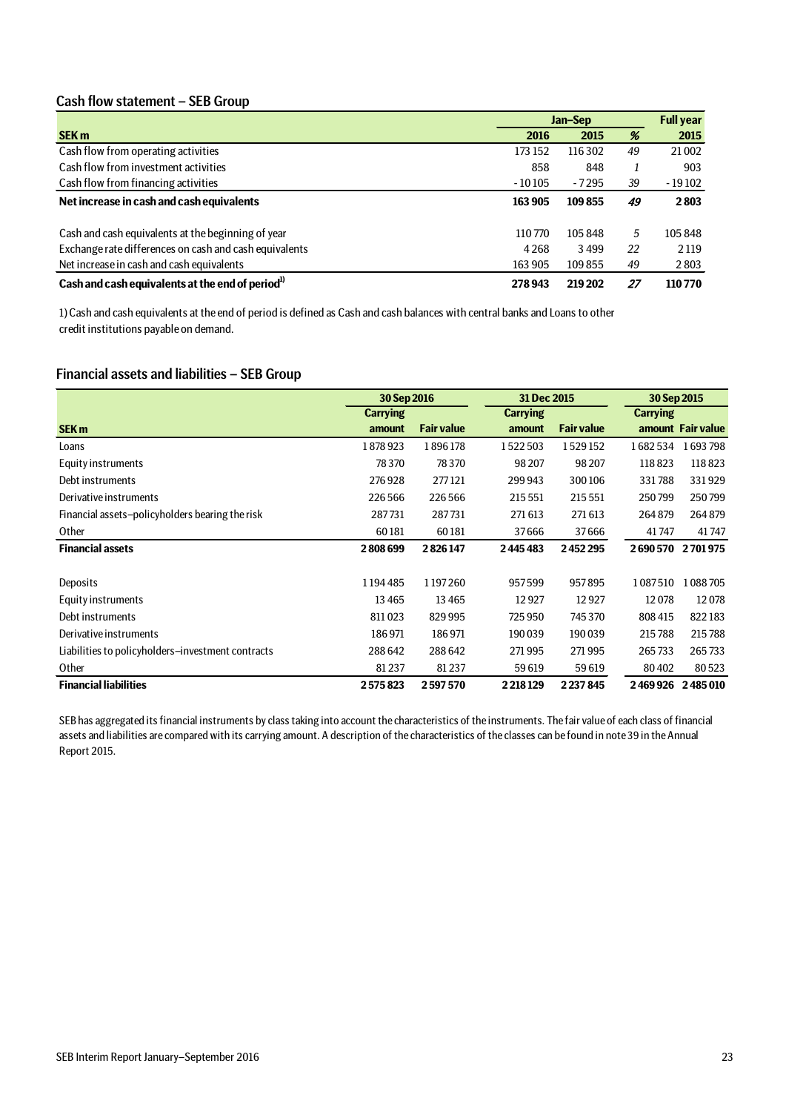## Cash flow statement – SEB Group

|                                                              | Jan-Sep  |         |     | <b>Full year</b> |
|--------------------------------------------------------------|----------|---------|-----|------------------|
| <b>SEK m</b>                                                 | 2016     | 2015    | %   | 2015             |
| Cash flow from operating activities                          | 173 152  | 116302  | 49  | 21 002           |
| Cash flow from investment activities                         | 858      | 848     |     | 903              |
| Cash flow from financing activities                          | $-10105$ | $-7295$ | 39  | $-19102$         |
| Net increase in cash and cash equivalents                    | 163 905  | 109855  | 49  | 2803             |
| Cash and cash equivalents at the beginning of year           | 110770   | 105848  | 5   | 105848           |
| Exchange rate differences on cash and cash equivalents       | 4268     | 3499    | 22  | 2 1 1 9          |
| Net increase in cash and cash equivalents                    | 163 905  | 109855  | 49  | 2803             |
| Cash and cash equivalents at the end of period <sup>1)</sup> | 278943   | 219 202 | -27 | 110770           |

1) Cash and cash equivalents at the end of period is defined as Cash and cash balances with central banks and Loans to other credit institutions payable on demand.

## Financial assets and liabilities – SEB Group

|                                                   | 30 Sep 2016     |                   | 31 Dec 2015     |                   | 30 Sep 2015     |                   |  |
|---------------------------------------------------|-----------------|-------------------|-----------------|-------------------|-----------------|-------------------|--|
|                                                   | <b>Carrying</b> |                   | <b>Carrying</b> |                   | <b>Carrying</b> |                   |  |
| <b>SEK m</b>                                      | amount          | <b>Fair value</b> | amount          | <b>Fair value</b> |                 | amount Fair value |  |
| Loans                                             | 1878923         | 1896178           | 1522503         | 1529152           | 1682534         | 1693798           |  |
| Equity instruments                                | 78370           | 78370             | 98 207          | 98 207            | 118823          | 118823            |  |
| Debt instruments                                  | 276928          | 277121            | 299 943         | 300106            | 331788          | 331929            |  |
| Derivative instruments                            | 226 566         | 226566            | 215 551         | 215 551           | 250799          | 250799            |  |
| Financial assets-policyholders bearing the risk   | 287731          | 287731            | 271 613         | 271613            | 264879          | 264879            |  |
| Other                                             | 60181           | 60181             | 37666           | 37666             | 41747           | 41747             |  |
| <b>Financial assets</b>                           | 2808699         | 2826147           | 2445483         | 2452295           | 2690570         | 2701975           |  |
|                                                   |                 |                   |                 |                   |                 |                   |  |
| Deposits                                          | 1194485         | 1197260           | 957599          | 957895            | 1087510         | 1088705           |  |
| Equity instruments                                | 13465           | 13465             | 12927           | 12927             | 12078           | 12078             |  |
| Debt instruments                                  | 811023          | 829995            | 725950          | 745370            | 808 415         | 822183            |  |
| Derivative instruments                            | 186971          | 186971            | 190039          | 190039            | 215788          | 215788            |  |
| Liabilities to policyholders-investment contracts | 288642          | 288642            | 271995          | 271995            | 265733          | 265733            |  |
| Other                                             | 81237           | 81237             | 59619           | 59619             | 80 40 2         | 80523             |  |
| <b>Financial liabilities</b>                      | 2575823         | 2597570           | 2218129         | 2237845           | 2469926         | 2485010           |  |

SEB has aggregated its financial instruments by class taking into account the characteristics of the instruments. The fair value of each class of financial assets and liabilities are compared with its carrying amount. A description of the characteristics of the classes can be found in note 39 in the Annual Report 2015.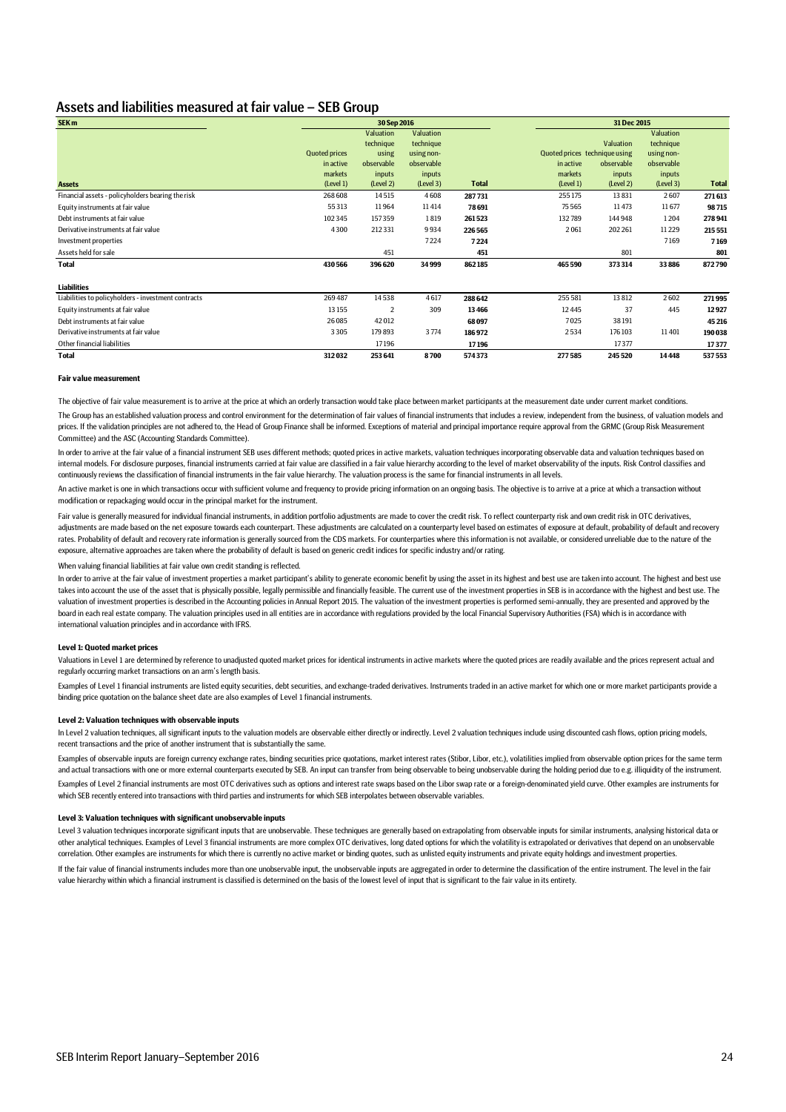## Assets and liabilities measured at fair value – SEB Group

| SEK <sub>m</sub>                                    | 30 Sep 2016          |                |            | 31 Dec 2015  |                               |            |            |              |
|-----------------------------------------------------|----------------------|----------------|------------|--------------|-------------------------------|------------|------------|--------------|
|                                                     |                      | Valuation      | Valuation  |              |                               |            | Valuation  |              |
|                                                     |                      | technique      | technique  |              |                               | Valuation  | technique  |              |
|                                                     | <b>Quoted prices</b> | using          | using non- |              | Quoted prices technique using |            | using non- |              |
|                                                     | in active            | observable     | observable |              | in active                     | observable | observable |              |
|                                                     | markets              | inputs         | inputs     |              | markets                       | inputs     | inputs     |              |
| <b>Assets</b>                                       | (Level 1)            | (Level 2)      | (Level 3)  | <b>Total</b> | (Level 1)                     | (Level 2)  | (Level 3)  | <b>Total</b> |
| Financial assets - policyholders bearing the risk   | 268 608              | 14515          | 4608       | 287731       | 255175                        | 13831      | 2607       | 271613       |
| Equity instruments at fair value                    | 55313                | 11964          | 11414      | 78691        | 75 5 65                       | 11473      | 11677      | 98715        |
| Debt instruments at fair value                      | 102345               | 157359         | 1819       | 261523       | 132789                        | 144948     | 1204       | 278941       |
| Derivative instruments at fair value                | 4300                 | 212 331        | 9934       | 226 565      | 2061                          | 202 261    | 11 2 2 9   | 215 551      |
| Investment properties                               |                      |                | 7224       | 7224         |                               |            | 7169       | 7169         |
| Assets held for sale                                |                      | 451            |            | 451          |                               | 801        |            | 801          |
| Total                                               | 430 566              | 396 620        | 34999      | 862185       | 465 590                       | 373 314    | 33 886     | 872790       |
| <b>Liabilities</b>                                  |                      |                |            |              |                               |            |            |              |
| Liabilities to policyholders - investment contracts | 269 487              | 14538          | 4617       | 288 642      | 255 581                       | 13 812     | 2602       | 271995       |
| Equity instruments at fair value                    | 13 15 5              | $\overline{2}$ | 309        | 13 4 66      | 12 4 45                       | 37         | 445        | 12927        |
| Debt instruments at fair value                      | 26 0 85              | 42012          |            | 68097        | 7025                          | 38191      |            | 45 216       |
| Derivative instruments at fair value                | 3305                 | 179 893        | 3774       | 186972       | 2534                          | 176 103    | 11401      | 190 038      |
| Other financial liabilities                         |                      | 17196          |            | 17196        |                               | 17377      |            | 17377        |
| <b>Total</b>                                        | 312032               | 253 641        | 8700       | 574373       | 277585                        | 245 520    | 14448      | 537 553      |

#### **Fair value measurement**

The objective of fair value measurement is to arrive at the price at which an orderly transaction would take place between market participants at the measurement date under current market conditions. The Group has an established valuation process and control environment for the determination of fair values of financial instruments that includes a review, independent from the business, of valuation models and prices. If the validation principles are not adhered to, the Head of Group Finance shall be informed. Exceptions of material and principal importance require approval from the GRMC (Group Risk Measurement Committee) and the ASC (Accounting Standards Committee).

In order to arrive at the fair value of a financial instrument SEB uses different methods; quoted prices in active markets, valuation techniques incorporating observable data and valuation techniques based on internal models. For disclosure purposes, financial instruments carried at fair value are classified in a fair value hierarchy according to the level of market observability of the inputs. Risk Control classifies and continuously reviews the classification of financial instruments in the fair value hierarchy. The valuation process is the same for financial instruments in all levels.

An active market is one in which transactions occur with sufficient volume and frequency to provide pricing information on an ongoing basis. The objective is to arrive at a price at which a transaction without modification or repackaging would occur in the principal market for the instrument.

Fair value is generally measured for individual financial instruments, in addition portfolio adjustments are made to cover the credit risk. To reflect counterparty risk and own credit risk in OTC derivatives, adjustments are made based on the net exposure towards each counterpart. These adjustments are calculated on a counterparty level based on estimates of exposure at default, probability of default and recovery rates. Probability of default and recovery rate information is generally sourced from the CDS markets. For counterparties where this information is not available, or considered unreliable due to the nature of the exposure, alternative approaches are taken where the probability of default is based on generic credit indices for specific industry and/or rating.

When valuing financial liabilities at fair value own credit standing is reflected.

In order to arrive at the fair value of investment properties a market participant's ability to generate economic benefit by using the asset in its highest and best use are taken into account. The highest and best use takes into account the use of the asset that is physically possible, legally permissible and financially feasible. The current use of the investment properties in SEB is in accordance with the highest and best use. The valuation of investment properties is described in the Accounting policies in Annual Report 2015. The valuation of the investment properties is performed semi-annually, they are presented and approved by the board in each real estate company. The valuation principles used in all entities are in accordance with regulations provided by the local Financial Supervisory Authorities (FSA) which is in accordance with international valuation principles and in accordance with IFRS.

#### **Level 1: Quoted market prices**

Valuations in Level 1 are determined by reference to unadjusted quoted market prices for identical instruments in active markets where the quoted prices are readily available and the prices represent actual and regularly occurring market transactions on an arm's length basis.

Examples of Level 1 financial instruments are listed equity securities, debt securities, and exchange-traded derivatives. Instruments traded in an active market for which one or more market participants provide a binding price quotation on the balance sheet date are also examples of Level 1 financial instruments.

#### **Level 2: Valuation techniques with observable inputs**

In Level 2 valuation techniques, all significant inputs to the valuation models are observable either directly or indirectly. Level 2 valuation techniques include using discounted cash flows, option pricing models, recent transactions and the price of another instrument that is substantially the same.

Examples of observable inputs are foreign currency exchange rates, binding securities price quotations, market interest rates (Stibor, Libor, etc.), volatilities implied from observable option prices for the same term and actual transactions with one or more external counterparts executed by SEB. An input can transfer from being observable to being unobservable during the holding period due to e.g. illiquidity of the instrument. Examples of Level 2 financial instruments are most OTC derivatives such as options and interest rate swaps based on the Libor swap rate or a foreign-denominated yield curve. Other examples are instruments for which SEB recently entered into transactions with third parties and instruments for which SEB interpolates between observable variables.

#### **Level 3: Valuation techniques with significant unobservable inputs**

Level 3 valuation techniques incorporate significant inputs that are unobservable. These techniques are generally based on extrapolating from observable inputs for similar instruments, analysing historical data or other analytical techniques. Examples of Level 3 financial instruments are more complex OTC derivatives, long dated options for which the volatility is extrapolated or derivatives that depend on an unobservable correlation. Other examples are instruments for which there is currently no active market or binding quotes, such as unlisted equity instruments and private equity holdings and investment properties.

If the fair value of financial instruments includes more than one unobservable input, the unobservable inputs are aggregated in order to determine the classification of the entire instrument. The level in the fair value hierarchy within which a financial instrument is classified is determined on the basis of the lowest level of input that is significant to the fair value in its entirety.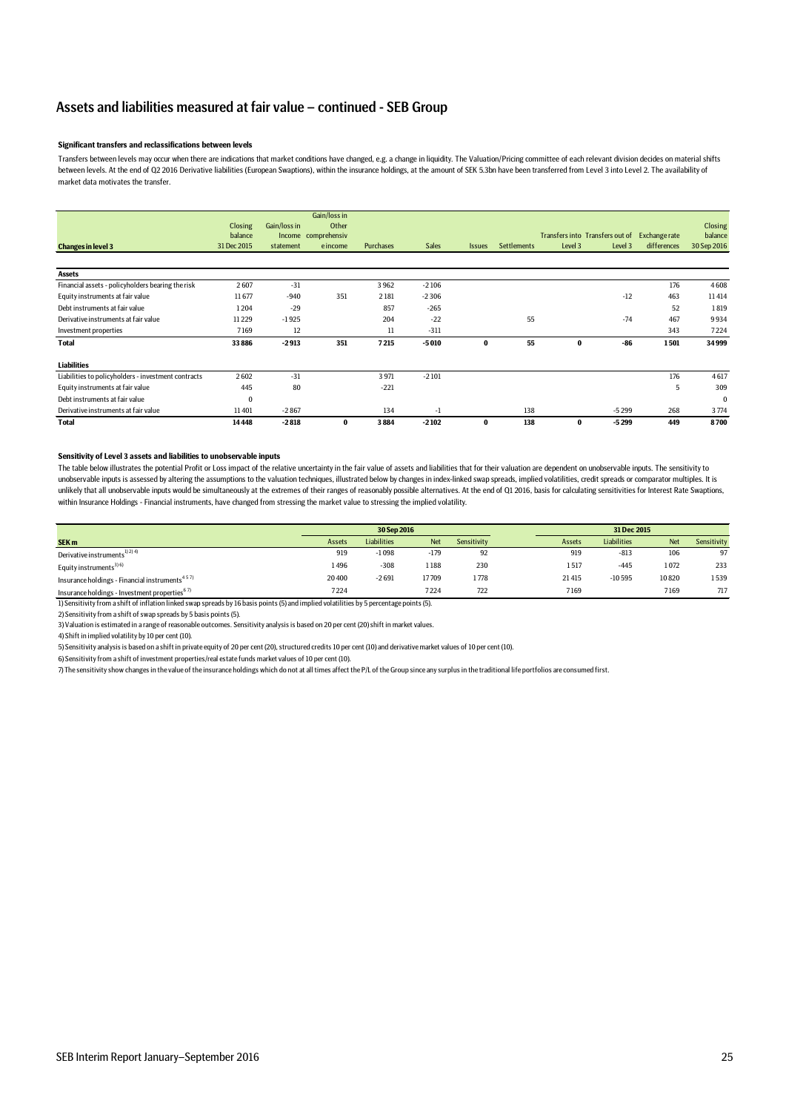## Assets and liabilities measured at fair value – continued - SEB Group

#### **Significant transfers and reclassifications between levels**

Transfers between levels may occur when there are indications that market conditions have changed, e.g. a change in liquidity. The Valuation/Pricing committee of each relevant division decides on material shifts between levels. At the end of Q2 2016 Derivative liabilities (European Swaptions), within the insurance holdings, at the amount of SEK 5.3bn have been transferred from Level 3 into Level 2. The availability of market data motivates the transfer.

|                                                     | <b>Closing</b> | Gain/loss in | Gain/loss in<br>Other |                  |              |               |                    |          |                                 |               | <b>Closing</b> |
|-----------------------------------------------------|----------------|--------------|-----------------------|------------------|--------------|---------------|--------------------|----------|---------------------------------|---------------|----------------|
|                                                     | balance        |              | Income comprehensiv   |                  |              |               |                    |          | Transfers into Transfers out of | Exchange rate | balance        |
| <b>Changes in level 3</b>                           | 31 Dec 2015    | statement    | e income              | <b>Purchases</b> | <b>Sales</b> | <b>Issues</b> | <b>Settlements</b> | Level 3  | Level 3                         | differences   | 30 Sep 2016    |
|                                                     |                |              |                       |                  |              |               |                    |          |                                 |               |                |
| <b>Assets</b>                                       |                |              |                       |                  |              |               |                    |          |                                 |               |                |
| Financial assets - policyholders bearing the risk   | 2607           | $-31$        |                       | 3962             | $-2106$      |               |                    |          |                                 | 176           | 4608           |
| Equity instruments at fair value                    | 11677          | $-940$       | 351                   | 2181             | $-2306$      |               |                    |          | $-12$                           | 463           | 11414          |
| Debt instruments at fair value                      | 1204           | $-29$        |                       | 857              | $-265$       |               |                    |          |                                 | 52            | 1819           |
| Derivative instruments at fair value                | 11229          | $-1925$      |                       | 204              | $-22$        |               | 55                 |          | $-74$                           | 467           | 9934           |
| Investment properties                               | 7169           | 12           |                       | 11               | $-311$       |               |                    |          |                                 | 343           | 7224           |
| Total                                               | 33886          | $-2913$      | 351                   | 7215             | $-5010$      | $\bf{0}$      | 55                 | $\bf{0}$ | $-86$                           | 1501          | 34999          |
| <b>Liabilities</b>                                  |                |              |                       |                  |              |               |                    |          |                                 |               |                |
| Liabilities to policyholders - investment contracts | 2602           | $-31$        |                       | 3971             | $-2101$      |               |                    |          |                                 | 176           | 4617           |
| Equity instruments at fair value                    | 445            | 80           |                       | $-221$           |              |               |                    |          |                                 | 5             | 309            |
| Debt instruments at fair value                      | $\bf{0}$       |              |                       |                  |              |               |                    |          |                                 |               | $\bf{0}$       |
| Derivative instruments at fair value                | 11401          | $-2867$      |                       | 134              | $-1$         |               | 138                |          | $-5299$                         | 268           | 3774           |
| Total                                               | 14448          | $-2818$      | $\bf{0}$              | 3884             | $-2102$      | $\bf{0}$      | 138                | 0        | $-5299$                         | 449           | 8700           |

### **Sensitivity of Level 3 assets and liabilities to unobservable inputs**

The table below illustrates the potential Profit or Loss impact of the relative uncertainty in the fair value of assets and liabilities that for their valuation are dependent on unobservable inputs. The sensitivity to unobservable inputs is assessed by altering the assumptions to the valuation techniques, illustrated below by changes in index-linked swap spreads, implied volatilities, credit spreads or comparator multiples. It is unlikely that all unobservable inputs would be simultaneously at the extremes of their ranges of reasonably possible alternatives. At the end of Q1 2016, basis for calculating sensitivities for Interest Rate Swaptions, within Insurance Holdings - Financial instruments, have changed from stressing the market value to stressing the implied volatility.

|                                                            | 30 Sep 2016 |                    |            |             | 31 Dec 2015 |             |            |             |
|------------------------------------------------------------|-------------|--------------------|------------|-------------|-------------|-------------|------------|-------------|
| SEK <sub>m</sub>                                           | Assets      | <b>Liabilities</b> | <b>Net</b> | Sensitivity | Assets      | Liabilities | <b>Net</b> | Sensitivity |
| Derivative instruments <sup>1) 2) 4)</sup>                 | 919         | $-1098$            | $-179$     | 92          | 919         | $-813$      | 106        | 97          |
| Equity instruments <sup>3) 6)</sup>                        | 1496        | $-308$             | 1 188      | 230         | 1517        | $-445$      | 1072       | 233         |
| Insurance holdings - Financial instruments <sup>457)</sup> | 20 400      | $-2691$            | 17709      | 1778        | 21415       | $-10595$    | 10820      | 1539        |
| Insurance holdings - Investment properties <sup>67)</sup>  | 7224        |                    | 7224       | 722         | 7169        |             | 7169       | 717         |

1) Sensitivity from a shift of inflation linked swap spreads by 16 basis points (5) and implied volatilities by 5 percentage points (5).

2) Sensitivity from a shift of swap spreads by 5 basis points (5).

3) Valuation is estimated in a range of reasonable outcomes. Sensitivity analysis is based on 20 per cent (20) shift in market values.

4) Shift in implied volatility by 10 per cent (10).

5) Sensitivity analysis is based on a shift in private equity of 20 per cent (20), structured credits 10 per cent (10) and derivative market values of 10 per cent (10).

6) Sensitivity from a shift of investment properties/real estate funds market values of 10 per cent (10).

7) The sensitivity show changes in the value of the insurance holdings which do not at all times affect the P/L of the Group since any surplus in the traditional life portfolios are consumed first.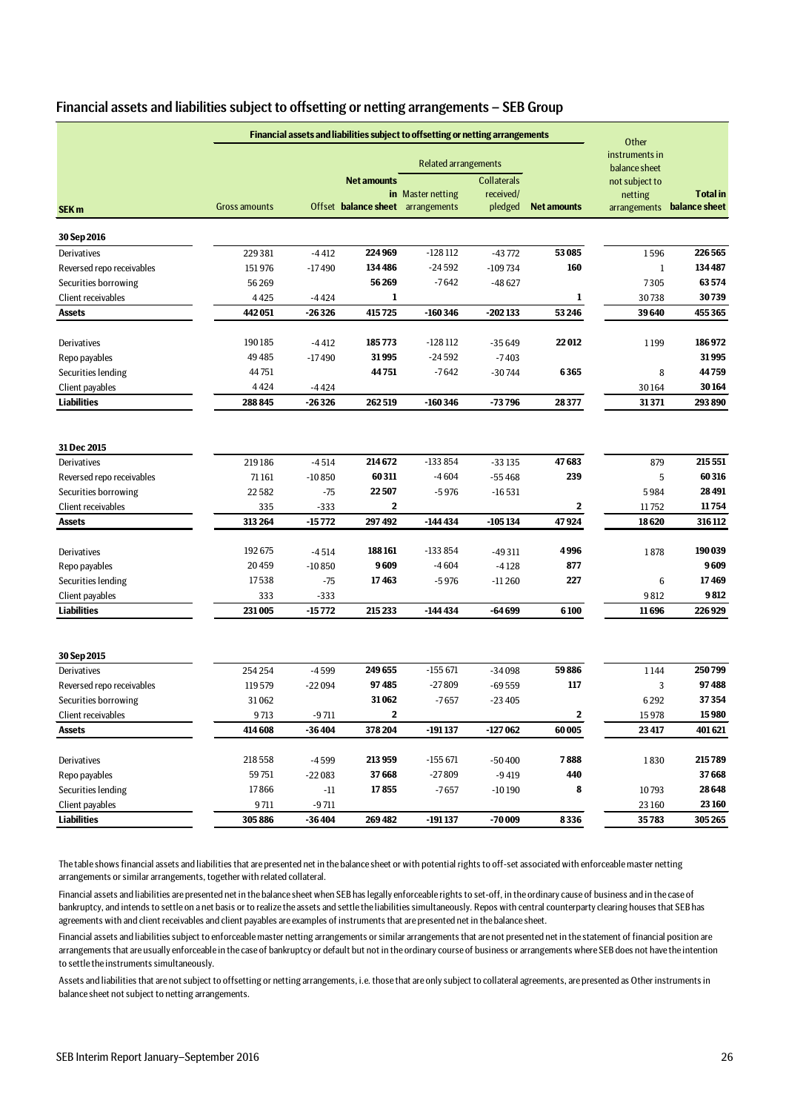| Financial assets and liabilities subject to offsetting or netting arrangements - SEB Group |  |
|--------------------------------------------------------------------------------------------|--|
|--------------------------------------------------------------------------------------------|--|

| instruments in<br><b>Related arrangements</b><br>balance sheet<br><b>Collaterals</b><br><b>Net amounts</b><br>not subject to<br>in Master netting<br>received/<br><b>Total</b> in<br>netting<br>Offset balance sheet arrangements<br>arrangements balance sheet<br><b>Gross amounts</b><br>pledged<br><b>Net amounts</b><br>SEK <sub>m</sub><br>30 Sep 2016<br>224969<br>$-128112$<br>53 085<br>226565<br>229381<br>$-4412$<br>$-43772$<br>1596<br>Derivatives<br>134486<br>$-24592$<br>160<br>134487<br>Reversed repo receivables<br>151976<br>$-17490$<br>$-109734$<br>$\mathbf{1}$<br>56269<br>$-7642$<br>63574<br>7305<br>Securities borrowing<br>56269<br>$-48627$<br>30739<br>1<br>1<br>Client receivables<br>4425<br>$-4424$<br>30738<br>442051<br>-26326<br>415725<br>$-160346$<br>$-202133$<br>53 246<br>39640<br>455365<br>Assets<br>190185<br>22012<br>186972<br>185773<br>-128 112<br>Derivatives<br>-4412<br>$-35649$<br>1199<br>31995<br>49485<br>$-24592$<br>31995<br>Repo payables<br>$-17490$<br>$-7403$<br>44751<br>44751<br>$-7642$<br>6365<br>44759<br>Securities lending<br>$-30744$<br>8<br>4424<br>30164<br>Client payables<br>$-4424$<br>30164<br><b>Liabilities</b><br>288 845<br>$-26326$<br>262519<br>$-160346$<br>$-73796$<br>28377<br>31371<br>293890<br>31 Dec 2015<br>214672<br>$-133854$<br>47683<br>215 551<br>Derivatives<br>219186<br>$-4514$<br>$-33135$<br>879<br>60311<br>$-4604$<br>239<br>60316<br>5<br>Reversed repo receivables<br>71 161<br>$-10850$<br>$-55468$<br>22507<br>28 4 91<br>Securities borrowing<br>22582<br>$-75$<br>$-16531$<br>$-5976$<br>5984<br>335<br>$\mathbf{2}$<br>11754<br>Client receivables<br>$-333$<br>2<br>11752<br>313 264<br>$-15772$<br>297492<br>$-144434$<br>$-105134$<br>47924<br>18620<br>316 112<br><b>Assets</b><br>192675<br>188161<br>$-133854$<br>4996<br>190 039<br>Derivatives<br>$-4514$<br>$-49311$<br>1878<br>9609<br>$-4604$<br>877<br>9609<br>Repo payables<br>20459<br>$-10850$<br>$-4128$<br>17538<br>227<br>Securities lending<br>17463<br>$-5976$<br>$-11260$<br>6<br>17469<br>$-75$<br>9812<br>Client payables<br>333<br>$-333$<br>9812<br><b>Liabilities</b><br>231005<br>-15 772<br>215233<br>$-144434$<br>-64 699<br>6100<br>11696<br>226929<br>30 Sep 2015<br>59886<br>249655<br>$-155671$<br>250799<br>254254<br>$-4599$<br>$-34098$<br>Derivatives<br>1144<br>97485<br>$-27809$<br>117<br>97488<br>Reversed repo receivables<br>119579<br>$-22094$<br>$-69559$<br>3<br>31062<br>37354<br>Securities borrowing<br>31062<br>$-7657$<br>$-23405$<br>6292<br>$\mathbf 2$<br>15 980<br>9713<br>2<br>Client receivables<br>$-9711$<br>15978<br>414 608<br>$-36404$<br>378204<br>$-191137$<br>-127 062<br>60005<br>23 417<br>401621<br><b>Assets</b><br>218558<br>213959<br>$-155671$<br>7888<br>215789<br>Derivatives<br>$-4599$<br>$-50400$<br>1830<br>$-27809$<br>59751<br>37668<br>440<br>37668<br>$-9419$<br>Repo payables<br>$-22083$<br>17866<br>17855<br>28648<br>Securities lending<br>8<br>$-11$<br>$-7657$<br>$-10190$<br>10793<br>23 160<br>Client payables<br>9711<br>$-9711$<br>23 160<br><b>Liabilities</b><br>305886<br>$-36404$<br>269482<br>$-191137$<br>$-70009$<br>8336<br>35783<br>305 265 | Financial assets and liabilities subject to offsetting or netting arrangements | Other |  |  |  |  |
|--------------------------------------------------------------------------------------------------------------------------------------------------------------------------------------------------------------------------------------------------------------------------------------------------------------------------------------------------------------------------------------------------------------------------------------------------------------------------------------------------------------------------------------------------------------------------------------------------------------------------------------------------------------------------------------------------------------------------------------------------------------------------------------------------------------------------------------------------------------------------------------------------------------------------------------------------------------------------------------------------------------------------------------------------------------------------------------------------------------------------------------------------------------------------------------------------------------------------------------------------------------------------------------------------------------------------------------------------------------------------------------------------------------------------------------------------------------------------------------------------------------------------------------------------------------------------------------------------------------------------------------------------------------------------------------------------------------------------------------------------------------------------------------------------------------------------------------------------------------------------------------------------------------------------------------------------------------------------------------------------------------------------------------------------------------------------------------------------------------------------------------------------------------------------------------------------------------------------------------------------------------------------------------------------------------------------------------------------------------------------------------------------------------------------------------------------------------------------------------------------------------------------------------------------------------------------------------------------------------------------------------------------------------------------------------------------------------------------------------------------------------------------------------------------------------------------------------------------------------------------------------------------------------------------------------------------------------------------------------------------------------------------------------------------------------------------------------------------------------------------------------------------------------------------------------------------------------|--------------------------------------------------------------------------------|-------|--|--|--|--|
|                                                                                                                                                                                                                                                                                                                                                                                                                                                                                                                                                                                                                                                                                                                                                                                                                                                                                                                                                                                                                                                                                                                                                                                                                                                                                                                                                                                                                                                                                                                                                                                                                                                                                                                                                                                                                                                                                                                                                                                                                                                                                                                                                                                                                                                                                                                                                                                                                                                                                                                                                                                                                                                                                                                                                                                                                                                                                                                                                                                                                                                                                                                                                                                                              |                                                                                |       |  |  |  |  |
|                                                                                                                                                                                                                                                                                                                                                                                                                                                                                                                                                                                                                                                                                                                                                                                                                                                                                                                                                                                                                                                                                                                                                                                                                                                                                                                                                                                                                                                                                                                                                                                                                                                                                                                                                                                                                                                                                                                                                                                                                                                                                                                                                                                                                                                                                                                                                                                                                                                                                                                                                                                                                                                                                                                                                                                                                                                                                                                                                                                                                                                                                                                                                                                                              |                                                                                |       |  |  |  |  |
|                                                                                                                                                                                                                                                                                                                                                                                                                                                                                                                                                                                                                                                                                                                                                                                                                                                                                                                                                                                                                                                                                                                                                                                                                                                                                                                                                                                                                                                                                                                                                                                                                                                                                                                                                                                                                                                                                                                                                                                                                                                                                                                                                                                                                                                                                                                                                                                                                                                                                                                                                                                                                                                                                                                                                                                                                                                                                                                                                                                                                                                                                                                                                                                                              |                                                                                |       |  |  |  |  |
|                                                                                                                                                                                                                                                                                                                                                                                                                                                                                                                                                                                                                                                                                                                                                                                                                                                                                                                                                                                                                                                                                                                                                                                                                                                                                                                                                                                                                                                                                                                                                                                                                                                                                                                                                                                                                                                                                                                                                                                                                                                                                                                                                                                                                                                                                                                                                                                                                                                                                                                                                                                                                                                                                                                                                                                                                                                                                                                                                                                                                                                                                                                                                                                                              |                                                                                |       |  |  |  |  |
|                                                                                                                                                                                                                                                                                                                                                                                                                                                                                                                                                                                                                                                                                                                                                                                                                                                                                                                                                                                                                                                                                                                                                                                                                                                                                                                                                                                                                                                                                                                                                                                                                                                                                                                                                                                                                                                                                                                                                                                                                                                                                                                                                                                                                                                                                                                                                                                                                                                                                                                                                                                                                                                                                                                                                                                                                                                                                                                                                                                                                                                                                                                                                                                                              |                                                                                |       |  |  |  |  |
|                                                                                                                                                                                                                                                                                                                                                                                                                                                                                                                                                                                                                                                                                                                                                                                                                                                                                                                                                                                                                                                                                                                                                                                                                                                                                                                                                                                                                                                                                                                                                                                                                                                                                                                                                                                                                                                                                                                                                                                                                                                                                                                                                                                                                                                                                                                                                                                                                                                                                                                                                                                                                                                                                                                                                                                                                                                                                                                                                                                                                                                                                                                                                                                                              |                                                                                |       |  |  |  |  |
|                                                                                                                                                                                                                                                                                                                                                                                                                                                                                                                                                                                                                                                                                                                                                                                                                                                                                                                                                                                                                                                                                                                                                                                                                                                                                                                                                                                                                                                                                                                                                                                                                                                                                                                                                                                                                                                                                                                                                                                                                                                                                                                                                                                                                                                                                                                                                                                                                                                                                                                                                                                                                                                                                                                                                                                                                                                                                                                                                                                                                                                                                                                                                                                                              |                                                                                |       |  |  |  |  |
|                                                                                                                                                                                                                                                                                                                                                                                                                                                                                                                                                                                                                                                                                                                                                                                                                                                                                                                                                                                                                                                                                                                                                                                                                                                                                                                                                                                                                                                                                                                                                                                                                                                                                                                                                                                                                                                                                                                                                                                                                                                                                                                                                                                                                                                                                                                                                                                                                                                                                                                                                                                                                                                                                                                                                                                                                                                                                                                                                                                                                                                                                                                                                                                                              |                                                                                |       |  |  |  |  |
|                                                                                                                                                                                                                                                                                                                                                                                                                                                                                                                                                                                                                                                                                                                                                                                                                                                                                                                                                                                                                                                                                                                                                                                                                                                                                                                                                                                                                                                                                                                                                                                                                                                                                                                                                                                                                                                                                                                                                                                                                                                                                                                                                                                                                                                                                                                                                                                                                                                                                                                                                                                                                                                                                                                                                                                                                                                                                                                                                                                                                                                                                                                                                                                                              |                                                                                |       |  |  |  |  |
|                                                                                                                                                                                                                                                                                                                                                                                                                                                                                                                                                                                                                                                                                                                                                                                                                                                                                                                                                                                                                                                                                                                                                                                                                                                                                                                                                                                                                                                                                                                                                                                                                                                                                                                                                                                                                                                                                                                                                                                                                                                                                                                                                                                                                                                                                                                                                                                                                                                                                                                                                                                                                                                                                                                                                                                                                                                                                                                                                                                                                                                                                                                                                                                                              |                                                                                |       |  |  |  |  |
|                                                                                                                                                                                                                                                                                                                                                                                                                                                                                                                                                                                                                                                                                                                                                                                                                                                                                                                                                                                                                                                                                                                                                                                                                                                                                                                                                                                                                                                                                                                                                                                                                                                                                                                                                                                                                                                                                                                                                                                                                                                                                                                                                                                                                                                                                                                                                                                                                                                                                                                                                                                                                                                                                                                                                                                                                                                                                                                                                                                                                                                                                                                                                                                                              |                                                                                |       |  |  |  |  |
|                                                                                                                                                                                                                                                                                                                                                                                                                                                                                                                                                                                                                                                                                                                                                                                                                                                                                                                                                                                                                                                                                                                                                                                                                                                                                                                                                                                                                                                                                                                                                                                                                                                                                                                                                                                                                                                                                                                                                                                                                                                                                                                                                                                                                                                                                                                                                                                                                                                                                                                                                                                                                                                                                                                                                                                                                                                                                                                                                                                                                                                                                                                                                                                                              |                                                                                |       |  |  |  |  |
|                                                                                                                                                                                                                                                                                                                                                                                                                                                                                                                                                                                                                                                                                                                                                                                                                                                                                                                                                                                                                                                                                                                                                                                                                                                                                                                                                                                                                                                                                                                                                                                                                                                                                                                                                                                                                                                                                                                                                                                                                                                                                                                                                                                                                                                                                                                                                                                                                                                                                                                                                                                                                                                                                                                                                                                                                                                                                                                                                                                                                                                                                                                                                                                                              |                                                                                |       |  |  |  |  |
|                                                                                                                                                                                                                                                                                                                                                                                                                                                                                                                                                                                                                                                                                                                                                                                                                                                                                                                                                                                                                                                                                                                                                                                                                                                                                                                                                                                                                                                                                                                                                                                                                                                                                                                                                                                                                                                                                                                                                                                                                                                                                                                                                                                                                                                                                                                                                                                                                                                                                                                                                                                                                                                                                                                                                                                                                                                                                                                                                                                                                                                                                                                                                                                                              |                                                                                |       |  |  |  |  |
|                                                                                                                                                                                                                                                                                                                                                                                                                                                                                                                                                                                                                                                                                                                                                                                                                                                                                                                                                                                                                                                                                                                                                                                                                                                                                                                                                                                                                                                                                                                                                                                                                                                                                                                                                                                                                                                                                                                                                                                                                                                                                                                                                                                                                                                                                                                                                                                                                                                                                                                                                                                                                                                                                                                                                                                                                                                                                                                                                                                                                                                                                                                                                                                                              |                                                                                |       |  |  |  |  |
|                                                                                                                                                                                                                                                                                                                                                                                                                                                                                                                                                                                                                                                                                                                                                                                                                                                                                                                                                                                                                                                                                                                                                                                                                                                                                                                                                                                                                                                                                                                                                                                                                                                                                                                                                                                                                                                                                                                                                                                                                                                                                                                                                                                                                                                                                                                                                                                                                                                                                                                                                                                                                                                                                                                                                                                                                                                                                                                                                                                                                                                                                                                                                                                                              |                                                                                |       |  |  |  |  |
|                                                                                                                                                                                                                                                                                                                                                                                                                                                                                                                                                                                                                                                                                                                                                                                                                                                                                                                                                                                                                                                                                                                                                                                                                                                                                                                                                                                                                                                                                                                                                                                                                                                                                                                                                                                                                                                                                                                                                                                                                                                                                                                                                                                                                                                                                                                                                                                                                                                                                                                                                                                                                                                                                                                                                                                                                                                                                                                                                                                                                                                                                                                                                                                                              |                                                                                |       |  |  |  |  |
|                                                                                                                                                                                                                                                                                                                                                                                                                                                                                                                                                                                                                                                                                                                                                                                                                                                                                                                                                                                                                                                                                                                                                                                                                                                                                                                                                                                                                                                                                                                                                                                                                                                                                                                                                                                                                                                                                                                                                                                                                                                                                                                                                                                                                                                                                                                                                                                                                                                                                                                                                                                                                                                                                                                                                                                                                                                                                                                                                                                                                                                                                                                                                                                                              |                                                                                |       |  |  |  |  |
|                                                                                                                                                                                                                                                                                                                                                                                                                                                                                                                                                                                                                                                                                                                                                                                                                                                                                                                                                                                                                                                                                                                                                                                                                                                                                                                                                                                                                                                                                                                                                                                                                                                                                                                                                                                                                                                                                                                                                                                                                                                                                                                                                                                                                                                                                                                                                                                                                                                                                                                                                                                                                                                                                                                                                                                                                                                                                                                                                                                                                                                                                                                                                                                                              |                                                                                |       |  |  |  |  |
|                                                                                                                                                                                                                                                                                                                                                                                                                                                                                                                                                                                                                                                                                                                                                                                                                                                                                                                                                                                                                                                                                                                                                                                                                                                                                                                                                                                                                                                                                                                                                                                                                                                                                                                                                                                                                                                                                                                                                                                                                                                                                                                                                                                                                                                                                                                                                                                                                                                                                                                                                                                                                                                                                                                                                                                                                                                                                                                                                                                                                                                                                                                                                                                                              |                                                                                |       |  |  |  |  |
|                                                                                                                                                                                                                                                                                                                                                                                                                                                                                                                                                                                                                                                                                                                                                                                                                                                                                                                                                                                                                                                                                                                                                                                                                                                                                                                                                                                                                                                                                                                                                                                                                                                                                                                                                                                                                                                                                                                                                                                                                                                                                                                                                                                                                                                                                                                                                                                                                                                                                                                                                                                                                                                                                                                                                                                                                                                                                                                                                                                                                                                                                                                                                                                                              |                                                                                |       |  |  |  |  |
|                                                                                                                                                                                                                                                                                                                                                                                                                                                                                                                                                                                                                                                                                                                                                                                                                                                                                                                                                                                                                                                                                                                                                                                                                                                                                                                                                                                                                                                                                                                                                                                                                                                                                                                                                                                                                                                                                                                                                                                                                                                                                                                                                                                                                                                                                                                                                                                                                                                                                                                                                                                                                                                                                                                                                                                                                                                                                                                                                                                                                                                                                                                                                                                                              |                                                                                |       |  |  |  |  |
|                                                                                                                                                                                                                                                                                                                                                                                                                                                                                                                                                                                                                                                                                                                                                                                                                                                                                                                                                                                                                                                                                                                                                                                                                                                                                                                                                                                                                                                                                                                                                                                                                                                                                                                                                                                                                                                                                                                                                                                                                                                                                                                                                                                                                                                                                                                                                                                                                                                                                                                                                                                                                                                                                                                                                                                                                                                                                                                                                                                                                                                                                                                                                                                                              |                                                                                |       |  |  |  |  |
|                                                                                                                                                                                                                                                                                                                                                                                                                                                                                                                                                                                                                                                                                                                                                                                                                                                                                                                                                                                                                                                                                                                                                                                                                                                                                                                                                                                                                                                                                                                                                                                                                                                                                                                                                                                                                                                                                                                                                                                                                                                                                                                                                                                                                                                                                                                                                                                                                                                                                                                                                                                                                                                                                                                                                                                                                                                                                                                                                                                                                                                                                                                                                                                                              |                                                                                |       |  |  |  |  |
|                                                                                                                                                                                                                                                                                                                                                                                                                                                                                                                                                                                                                                                                                                                                                                                                                                                                                                                                                                                                                                                                                                                                                                                                                                                                                                                                                                                                                                                                                                                                                                                                                                                                                                                                                                                                                                                                                                                                                                                                                                                                                                                                                                                                                                                                                                                                                                                                                                                                                                                                                                                                                                                                                                                                                                                                                                                                                                                                                                                                                                                                                                                                                                                                              |                                                                                |       |  |  |  |  |
|                                                                                                                                                                                                                                                                                                                                                                                                                                                                                                                                                                                                                                                                                                                                                                                                                                                                                                                                                                                                                                                                                                                                                                                                                                                                                                                                                                                                                                                                                                                                                                                                                                                                                                                                                                                                                                                                                                                                                                                                                                                                                                                                                                                                                                                                                                                                                                                                                                                                                                                                                                                                                                                                                                                                                                                                                                                                                                                                                                                                                                                                                                                                                                                                              |                                                                                |       |  |  |  |  |
|                                                                                                                                                                                                                                                                                                                                                                                                                                                                                                                                                                                                                                                                                                                                                                                                                                                                                                                                                                                                                                                                                                                                                                                                                                                                                                                                                                                                                                                                                                                                                                                                                                                                                                                                                                                                                                                                                                                                                                                                                                                                                                                                                                                                                                                                                                                                                                                                                                                                                                                                                                                                                                                                                                                                                                                                                                                                                                                                                                                                                                                                                                                                                                                                              |                                                                                |       |  |  |  |  |
|                                                                                                                                                                                                                                                                                                                                                                                                                                                                                                                                                                                                                                                                                                                                                                                                                                                                                                                                                                                                                                                                                                                                                                                                                                                                                                                                                                                                                                                                                                                                                                                                                                                                                                                                                                                                                                                                                                                                                                                                                                                                                                                                                                                                                                                                                                                                                                                                                                                                                                                                                                                                                                                                                                                                                                                                                                                                                                                                                                                                                                                                                                                                                                                                              |                                                                                |       |  |  |  |  |
|                                                                                                                                                                                                                                                                                                                                                                                                                                                                                                                                                                                                                                                                                                                                                                                                                                                                                                                                                                                                                                                                                                                                                                                                                                                                                                                                                                                                                                                                                                                                                                                                                                                                                                                                                                                                                                                                                                                                                                                                                                                                                                                                                                                                                                                                                                                                                                                                                                                                                                                                                                                                                                                                                                                                                                                                                                                                                                                                                                                                                                                                                                                                                                                                              |                                                                                |       |  |  |  |  |
|                                                                                                                                                                                                                                                                                                                                                                                                                                                                                                                                                                                                                                                                                                                                                                                                                                                                                                                                                                                                                                                                                                                                                                                                                                                                                                                                                                                                                                                                                                                                                                                                                                                                                                                                                                                                                                                                                                                                                                                                                                                                                                                                                                                                                                                                                                                                                                                                                                                                                                                                                                                                                                                                                                                                                                                                                                                                                                                                                                                                                                                                                                                                                                                                              |                                                                                |       |  |  |  |  |
|                                                                                                                                                                                                                                                                                                                                                                                                                                                                                                                                                                                                                                                                                                                                                                                                                                                                                                                                                                                                                                                                                                                                                                                                                                                                                                                                                                                                                                                                                                                                                                                                                                                                                                                                                                                                                                                                                                                                                                                                                                                                                                                                                                                                                                                                                                                                                                                                                                                                                                                                                                                                                                                                                                                                                                                                                                                                                                                                                                                                                                                                                                                                                                                                              |                                                                                |       |  |  |  |  |
|                                                                                                                                                                                                                                                                                                                                                                                                                                                                                                                                                                                                                                                                                                                                                                                                                                                                                                                                                                                                                                                                                                                                                                                                                                                                                                                                                                                                                                                                                                                                                                                                                                                                                                                                                                                                                                                                                                                                                                                                                                                                                                                                                                                                                                                                                                                                                                                                                                                                                                                                                                                                                                                                                                                                                                                                                                                                                                                                                                                                                                                                                                                                                                                                              |                                                                                |       |  |  |  |  |
|                                                                                                                                                                                                                                                                                                                                                                                                                                                                                                                                                                                                                                                                                                                                                                                                                                                                                                                                                                                                                                                                                                                                                                                                                                                                                                                                                                                                                                                                                                                                                                                                                                                                                                                                                                                                                                                                                                                                                                                                                                                                                                                                                                                                                                                                                                                                                                                                                                                                                                                                                                                                                                                                                                                                                                                                                                                                                                                                                                                                                                                                                                                                                                                                              |                                                                                |       |  |  |  |  |
|                                                                                                                                                                                                                                                                                                                                                                                                                                                                                                                                                                                                                                                                                                                                                                                                                                                                                                                                                                                                                                                                                                                                                                                                                                                                                                                                                                                                                                                                                                                                                                                                                                                                                                                                                                                                                                                                                                                                                                                                                                                                                                                                                                                                                                                                                                                                                                                                                                                                                                                                                                                                                                                                                                                                                                                                                                                                                                                                                                                                                                                                                                                                                                                                              |                                                                                |       |  |  |  |  |
|                                                                                                                                                                                                                                                                                                                                                                                                                                                                                                                                                                                                                                                                                                                                                                                                                                                                                                                                                                                                                                                                                                                                                                                                                                                                                                                                                                                                                                                                                                                                                                                                                                                                                                                                                                                                                                                                                                                                                                                                                                                                                                                                                                                                                                                                                                                                                                                                                                                                                                                                                                                                                                                                                                                                                                                                                                                                                                                                                                                                                                                                                                                                                                                                              |                                                                                |       |  |  |  |  |
|                                                                                                                                                                                                                                                                                                                                                                                                                                                                                                                                                                                                                                                                                                                                                                                                                                                                                                                                                                                                                                                                                                                                                                                                                                                                                                                                                                                                                                                                                                                                                                                                                                                                                                                                                                                                                                                                                                                                                                                                                                                                                                                                                                                                                                                                                                                                                                                                                                                                                                                                                                                                                                                                                                                                                                                                                                                                                                                                                                                                                                                                                                                                                                                                              |                                                                                |       |  |  |  |  |
|                                                                                                                                                                                                                                                                                                                                                                                                                                                                                                                                                                                                                                                                                                                                                                                                                                                                                                                                                                                                                                                                                                                                                                                                                                                                                                                                                                                                                                                                                                                                                                                                                                                                                                                                                                                                                                                                                                                                                                                                                                                                                                                                                                                                                                                                                                                                                                                                                                                                                                                                                                                                                                                                                                                                                                                                                                                                                                                                                                                                                                                                                                                                                                                                              |                                                                                |       |  |  |  |  |
|                                                                                                                                                                                                                                                                                                                                                                                                                                                                                                                                                                                                                                                                                                                                                                                                                                                                                                                                                                                                                                                                                                                                                                                                                                                                                                                                                                                                                                                                                                                                                                                                                                                                                                                                                                                                                                                                                                                                                                                                                                                                                                                                                                                                                                                                                                                                                                                                                                                                                                                                                                                                                                                                                                                                                                                                                                                                                                                                                                                                                                                                                                                                                                                                              |                                                                                |       |  |  |  |  |

The table shows financial assets and liabilities that are presented net in the balance sheet or with potential rights to off-set associated with enforceable master netting arrangements or similar arrangements, together with related collateral.

Financial assets and liabilities are presented net in the balance sheet when SEB has legally enforceable rights to set-off, in the ordinary cause of business and in the case of bankruptcy, and intends to settle on a net basis or to realize the assets and settle the liabilities simultaneously. Repos with central counterparty clearing houses that SEB has agreements with and client receivables and client payables are examples of instruments that are presented net in the balance sheet.

Financial assets and liabilities subject to enforceable master netting arrangements or similar arrangements that are not presented net in the statement of financial position are arrangements that are usually enforceable in the case of bankruptcy or default but not in the ordinary course of business or arrangements where SEB does not have the intention to settle the instruments simultaneously.

Assets and liabilities that are not subject to offsetting or netting arrangements, i.e. those that are only subject to collateral agreements, are presented as Other instruments in balance sheet not subject to netting arrangements.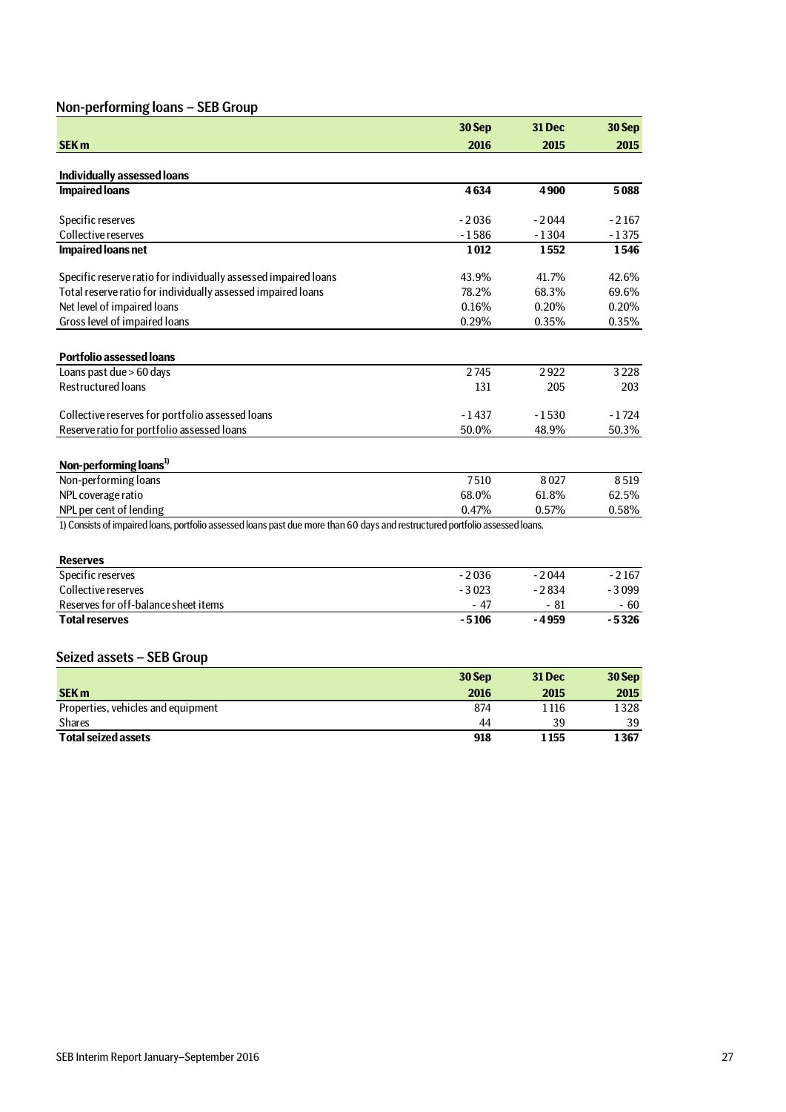## Non-performing loans – SEB Group

|                                                                                                                               | 30 Sep  | 31 Dec  | 30 Sep  |
|-------------------------------------------------------------------------------------------------------------------------------|---------|---------|---------|
| <b>SEK m</b>                                                                                                                  | 2016    | 2015    | 2015    |
|                                                                                                                               |         |         |         |
| <b>Individually assessed loans</b>                                                                                            |         |         |         |
| <b>Impaired loans</b>                                                                                                         | 4634    | 4900    | 5088    |
| Specific reserves                                                                                                             | $-2036$ | $-2044$ | $-2167$ |
| Collective reserves                                                                                                           | $-1586$ | $-1304$ | $-1375$ |
| <b>Impaired loans net</b>                                                                                                     | 1012    | 1552    | 1546    |
| Specific reserve ratio for individually assessed impaired loans                                                               | 43.9%   | 41.7%   | 42.6%   |
| Total reserve ratio for individually assessed impaired loans                                                                  | 78.2%   | 68.3%   | 69.6%   |
| Net level of impaired loans                                                                                                   | 0.16%   | 0.20%   | 0.20%   |
| Gross level of impaired loans                                                                                                 | 0.29%   | 0.35%   | 0.35%   |
|                                                                                                                               |         |         |         |
| <b>Portfolio assessed loans</b>                                                                                               |         |         |         |
| Loans past due > 60 days                                                                                                      | 2745    | 2922    | 3 2 2 8 |
| <b>Restructured loans</b>                                                                                                     | 131     | 205     | 203     |
| Collective reserves for portfolio assessed loans                                                                              | $-1437$ | $-1530$ | $-1724$ |
| Reserve ratio for portfolio assessed loans                                                                                    | 50.0%   | 48.9%   | 50.3%   |
|                                                                                                                               |         |         |         |
| Non-performing loans <sup>1)</sup>                                                                                            |         |         |         |
| Non-performing loans                                                                                                          | 7510    | 8027    | 8519    |
| NPL coverage ratio                                                                                                            | 68.0%   | 61.8%   | 62.5%   |
| NPL per cent of lending                                                                                                       | 0.47%   | 0.57%   | 0.58%   |
| 1) Consists of impaired loans, portfolio assessed loans past due more than 60 days and restructured portfolio assessed loans. |         |         |         |
|                                                                                                                               |         |         |         |
| <b>Reserves</b>                                                                                                               |         |         |         |
| Specific reserves                                                                                                             | $-2036$ | $-2044$ | $-2167$ |
| Collective reserves                                                                                                           | $-3023$ | $-2834$ | $-3099$ |
| Reserves for off-balance sheet items                                                                                          | $-47$   | $-81$   | $-60$   |
| <b>Total reserves</b>                                                                                                         | $-5106$ | $-4959$ | $-5326$ |
|                                                                                                                               |         |         |         |
|                                                                                                                               |         |         |         |

## Seized assets – SEB Group

|                                    | 30 Sep | <b>31 Dec</b> | 30 Sep |
|------------------------------------|--------|---------------|--------|
| <b>SEK m</b>                       | 2016   | 2015          | 2015   |
| Properties, vehicles and equipment | 874    | 1 1 1 6       | 1328   |
| <b>Shares</b>                      | 44     | 39            | 39     |
| <b>Total seized assets</b>         | 918    | 1 155         | 1367   |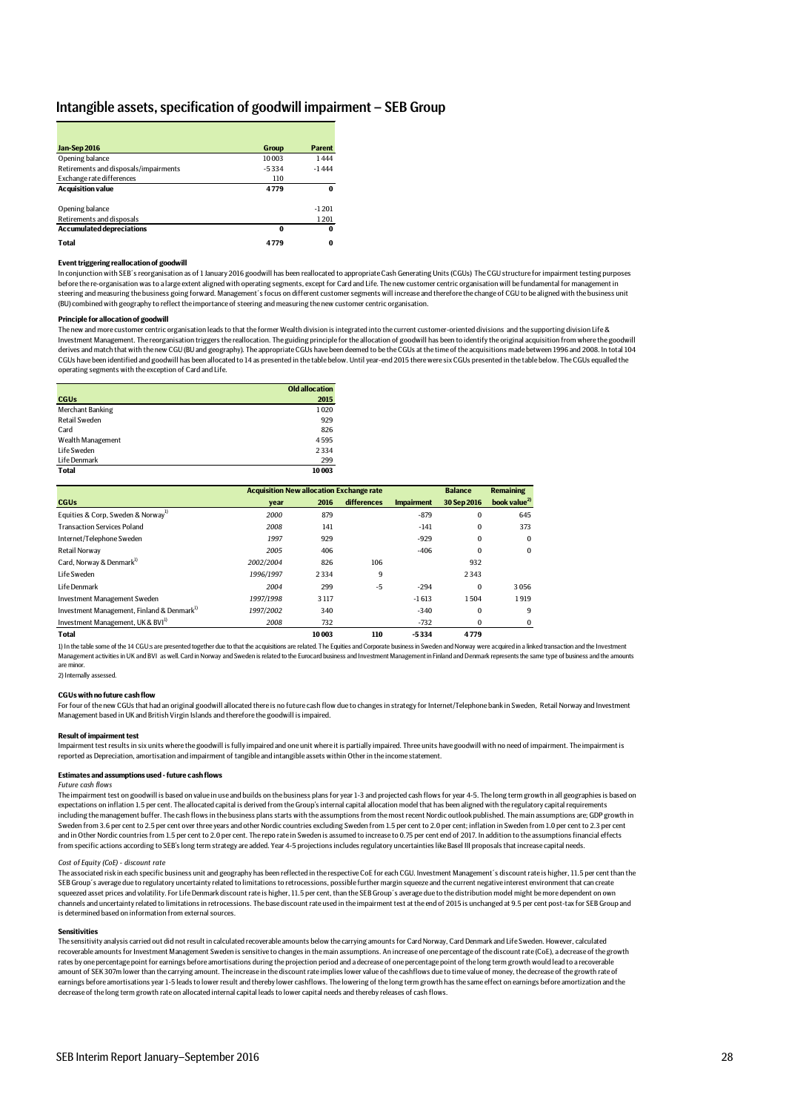## Intangible assets, specification of goodwill impairment – SEB Group

| Jan-Sep 2016                          | Group    | <b>Parent</b> |
|---------------------------------------|----------|---------------|
| Opening balance                       | 10003    | 1444          |
| Retirements and disposals/impairments | $-5334$  | $-1444$       |
| Exchange rate differences             | 110      |               |
| <b>Acquisition value</b>              | 4779     | 0             |
| Opening balance                       |          | $-1201$       |
| Retirements and disposals             |          | 1201          |
| <b>Accumulated depreciations</b>      | $\bf{0}$ | 0             |
| <b>Total</b>                          | 4779     | 0             |

#### **Event triggering reallocation of goodwill**

In conjunction with SEB´s reorganisation as of 1 January 2016 goodwill has been reallocated to appropriate Cash Generating Units (CGUs) The CGU structure for impairment testing purposes before the re-organisation was to a large extent aligned with operating segments, except for Card and Life. The new customer centric organisation will be fundamental for management in<br>steering and measuring the business go (BU) combined with geography to reflect the importance of steering and measuring the new customer centric organisation.

#### **Principle for allocation of goodwill**

The new and more customer centric organisation leads to that the former Wealth division is integrated into the current customer-oriented divisions and the supporting division Life & Investment Management. The reorganisation triggers the reallocation. The guiding principle for the allocation of goodwill has been to identify the original acquisition from where the goodwill<br>derives and match that with th CGUs have been identified and goodwill has been allocated to 14 as presented in the table below. Until year-end 2015 there were six CGUs presented in the table below. The CGUs equalled the operating segments with the exception of Card and Life.

|                      | <b>Old allocation</b> |
|----------------------|-----------------------|
| <b>CGUs</b>          | 2015                  |
| Merchant Banking     | 1020                  |
| <b>Retail Sweden</b> | 929                   |
| Card                 | 826                   |
| Wealth Management    | 4595                  |
| Life Sweden          | 2334                  |
| Life Denmark         | 299                   |
| <b>Total</b>         | 10003                 |

|                                                        |           | <b>Acquisition New allocation Exchange rate</b> |             |                   |             |                          |
|--------------------------------------------------------|-----------|-------------------------------------------------|-------------|-------------------|-------------|--------------------------|
| <b>CGUs</b>                                            | vear      | 2016                                            | differences | <b>Impairment</b> | 30 Sep 2016 | book value <sup>2)</sup> |
| Equities & Corp, Sweden & Norway <sup>1)</sup>         | 2000      | 879                                             |             | $-879$            | $\bf{0}$    | 645                      |
| <b>Transaction Services Poland</b>                     | 2008      | 141                                             |             | $-141$            | $\bf{0}$    | 373                      |
| Internet/Telephone Sweden                              | 1997      | 929                                             |             | $-929$            | $\bf{0}$    | $\Omega$                 |
| <b>Retail Norway</b>                                   | 2005      | 406                                             |             | $-406$            | $\bf{0}$    | $\bf{0}$                 |
| Card. Norway & Denmark <sup>1)</sup>                   | 2002/2004 | 826                                             | 106         |                   | 932         |                          |
| Life Sweden                                            | 1996/1997 | 2334                                            | 9           |                   | 2343        |                          |
| Life Denmark                                           | 2004      | 299                                             | $-5$        | $-294$            | $\Omega$    | 3056                     |
| Investment Management Sweden                           | 1997/1998 | 3 1 1 7                                         |             | $-1613$           | 1504        | 1919                     |
| Investment Management, Finland & Denmark <sup>1)</sup> | 1997/2002 | 340                                             |             | $-340$            | $\bf{0}$    | 9                        |
| Investment Management, UK & BVI <sup>1)</sup>          | 2008      | 732                                             |             | $-732$            | $\bf{0}$    |                          |
| <b>Total</b>                                           |           | 10003                                           | 110         | $-5334$           | 4779        |                          |

1) In the table some of the 14 CGU:s are presented together due to that the acquisitions are related. The Equities and Corporate business in Sweden and Norway were acquired in a linked transaction and the Investment Management activities in UK and BVI as well. Card in Norway and Sweden is related to the Eurocard business and Investment Management in Finland and Denmark represents the same type of business and the amounts Management in are minor.

2) Internally assessed.

## **CGUs with no future cash flow**

For four of the new CGUs that had an original goodwill allocated there is no future cash flow due to changes in strategy for Internet/Telephone bank in Sweden, Retail Norway and Investment Management based in UK and British Virgin Islands and therefore the goodwill is impaired.

#### **Result of impairment test**

Impairment test results in six units where the goodwill is fully impaired and one unit where it is partially impaired. Three units have goodwill with no need of impairment. The impairment is reported as Depreciation, amortisation and impairment of tangible and intangible assets within Other in the income statement.

#### **Estimates and assumptions used - future cash flows**

#### *Future cash flows*

The impairment test on goodwill is based on value in use and builds on the business plans for year 1-3 and projected cash flows for year 4-5. The long term growth in all geographies is based on expectations on inflation 1.5 per cent. The allocated capital is derived from the Group's internal capital allocation model that has been aligned with the regulatory capital requirements including the management buffer. The cash flows in the business plans starts with the assumptions from the most recent Nordic outlook published. The main assumptions are; GDP growth in Sweden from 3.6 per cent to 2.5 per cent over three years and other Nordic countries excluding Sweden from 1.5 per cent to 2.0 per cent; inflation in Sweden from 1.0 per cent to 2.3 per cent and in Other Nordic countries from 1.5 per cent to 2.0 per cent. The repo rate in Sweden is assumed to increase to 0.75 per cent end of 2017. In addition to the assumptions financial effects from specific actions according to SEB's long term strategy are added. Year 4-5 projections includes regulatory uncertainties like Basel III proposals that increase capital needs.

#### *Cost of Equity (CoE) - discount rate*

The associated risk in each specific business unit and geography has been reflected in the respective CoE for each CGU. Investment Management's discount rate is higher, 11.5 per cent than the<br>SEB Group's average due to reg squeezed asset prices and volatility. For Life Denmark discount rate is higher, 11.5 per cent, than the SEB Group's average due to the distribution model might be more dependent on own channels and uncertainty related to limitations in retrocessions. The base discount rate used in the impairment test at the end of 2015 is unchanged at 9.5 per cent post-tax for SEB Group and is determined based on information from external sources.

#### **Sensitivities**

The sensitivity analysis carried out did not result in calculated recoverable amounts below the carrying amounts for Card Norway, Card Denmark and Life Sweden. However, calculated recoverable amounts for Investment Management Sweden is sensitive to changes in the main assumptions. An increase of one percentage of the discount rate (CoE), a decrease of the growth rates by one percentage point for earnings before amortisations during the projection period and a decrease of one percentage point of the long term growth would lead to a recoverable amount of SEK 307m lower than the carrying amount. The increase in the discount rate implies lower value of the cashflows due to time value of money, the decrease of the growth rate of earnings before amortisations year 1-5 leads to lower result and thereby lower cashflows. The lowering of the long term growth has the same effect on earnings before amortization and the decrease of the long term growth rate on allocated internal capital leads to lower capital needs and thereby releases of cash flows.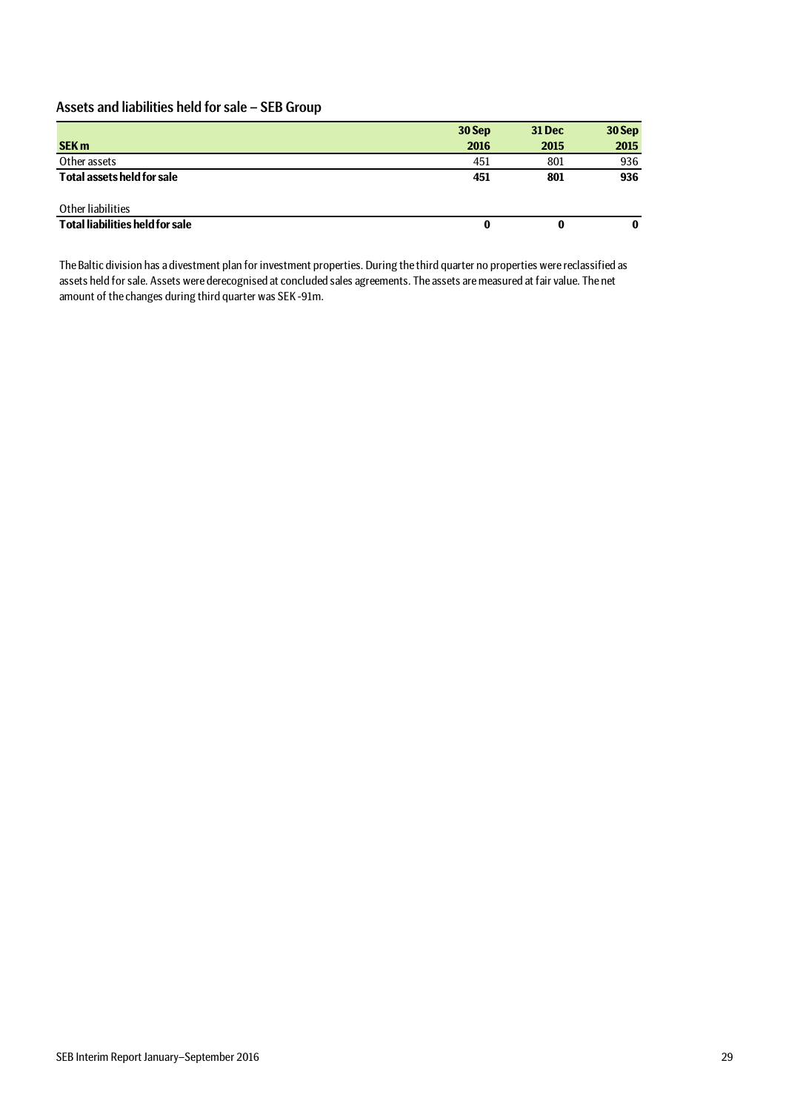## Assets and liabilities held for sale – SEB Group

|                                        | 30 Sep | <b>31 Dec</b> | 30 Sep |
|----------------------------------------|--------|---------------|--------|
| <b>SEK m</b>                           | 2016   | 2015          | 2015   |
| Other assets                           | 451    | 801           | 936    |
| Total assets held for sale             | 451    | 801           | 936    |
| Other liabilities                      |        |               |        |
| <b>Total liabilities held for sale</b> | 0      | 0             | 0      |

The Baltic division has a divestment plan for investment properties. During the third quarter no properties were reclassified as assets held for sale. Assets were derecognised at concluded sales agreements. The assets are measured at fair value. The net amount of the changes during third quarter was SEK -91m.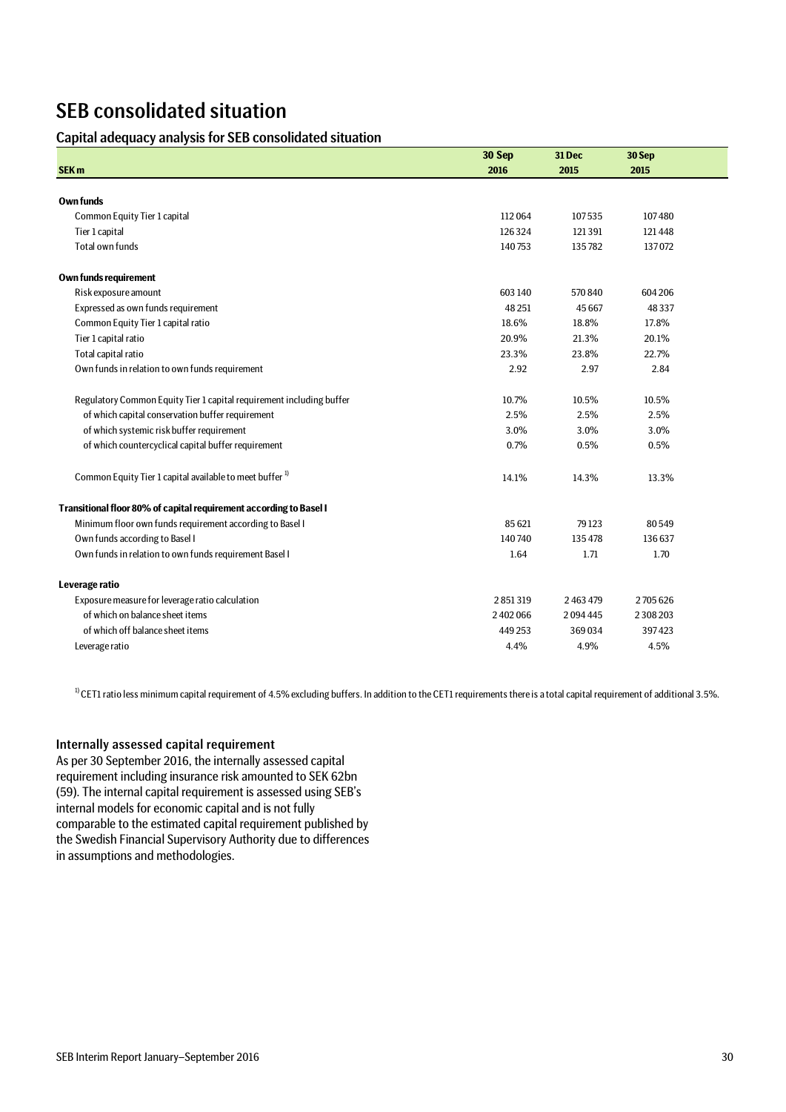# SEB consolidated situation

## Capital adequacy analysis for SEB consolidated situation

|                                                                      | 30 Sep    | 31 Dec        | 30 Sep        |
|----------------------------------------------------------------------|-----------|---------------|---------------|
| <b>SEK m</b>                                                         | 2016      | 2015          | 2015          |
|                                                                      |           |               |               |
| <b>Own funds</b>                                                     |           |               |               |
| Common Equity Tier 1 capital                                         | 112064    | 107535        | 107480        |
| Tier 1 capital                                                       | 126324    | 121391        | 121448        |
| Total own funds                                                      | 140753    | 135782        | 137072        |
| Own funds requirement                                                |           |               |               |
| Risk exposure amount                                                 | 603 140   | 570840        | 604 206       |
| Expressed as own funds requirement                                   | 48 251    | 45 667        | 48337         |
| Common Equity Tier 1 capital ratio                                   | 18.6%     | 18.8%         | 17.8%         |
| Tier 1 capital ratio                                                 | 20.9%     | 21.3%         | 20.1%         |
| Total capital ratio                                                  | 23.3%     | 23.8%         | 22.7%         |
| Own funds in relation to own funds requirement                       | 2.92      | 2.97          | 2.84          |
| Regulatory Common Equity Tier 1 capital requirement including buffer | 10.7%     | 10.5%         | 10.5%         |
| of which capital conservation buffer requirement                     | 2.5%      | 2.5%          | 2.5%          |
| of which systemic risk buffer requirement                            | 3.0%      | 3.0%          | 3.0%          |
| of which countercyclical capital buffer requirement                  | 0.7%      | 0.5%          | 0.5%          |
| Common Equity Tier 1 capital available to meet buffer <sup>1)</sup>  | 14.1%     | 14.3%         | 13.3%         |
| Transitional floor 80% of capital requirement according to Basel I   |           |               |               |
| Minimum floor own funds requirement according to Basel I             | 85 621    | 79 1 23       | 80549         |
| Own funds according to Basel I                                       | 140740    | 135 478       | 136 637       |
| Own funds in relation to own funds requirement Basel I               | 1.64      | 1.71          | 1.70          |
| Leverage ratio                                                       |           |               |               |
| Exposure measure for leverage ratio calculation                      | 2851319   | 2 4 6 3 4 7 9 | 2705626       |
| of which on balance sheet items                                      | 2 402 066 | 2094445       | 2 3 0 8 2 0 3 |
| of which off balance sheet items                                     | 449253    | 369034        | 397423        |
| Leverage ratio                                                       | 4.4%      | 4.9%          | 4.5%          |

 $10$  CET1 ratio less minimum capital requirement of 4.5% excluding buffers. In addition to the CET1 requirements there is a total capital requirement of additional 3.5%.

## Internally assessed capital requirement

As per 30 September 2016, the internally assessed capital requirement including insurance risk amounted to SEK 62bn (59). The internal capital requirement is assessed using SEB's internal models for economic capital and is not fully comparable to the estimated capital requirement published by the Swedish Financial Supervisory Authority due to differences in assumptions and methodologies.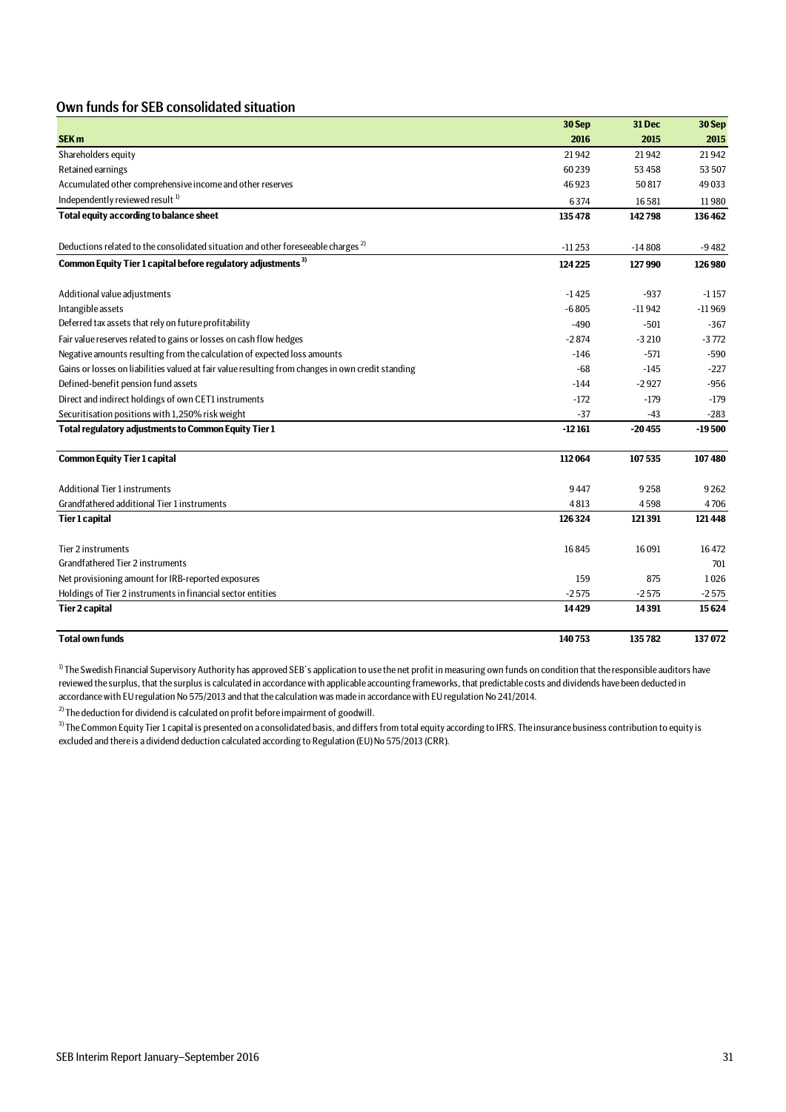## Own funds for SEB consolidated situation

|                                                                                                   | 30 Sep   | 31 Dec   | 30 Sep   |
|---------------------------------------------------------------------------------------------------|----------|----------|----------|
| SEK <sub>m</sub>                                                                                  | 2016     | 2015     | 2015     |
| Shareholders equity                                                                               | 21942    | 21942    | 21942    |
| Retained earnings                                                                                 | 60239    | 53 458   | 53 507   |
| Accumulated other comprehensive income and other reserves                                         | 46923    | 50817    | 49033    |
| Independently reviewed result <sup>1)</sup>                                                       | 6374     | 16581    | 11980    |
| Total equity according to balance sheet                                                           | 135478   | 142798   | 136462   |
| Deductions related to the consolidated situation and other foreseeable charges <sup>2</sup>       | $-11253$ | $-14808$ | $-9482$  |
| Common Equity Tier 1 capital before regulatory adjustments <sup>3)</sup>                          | 124 225  | 127990   | 126980   |
| Additional value adjustments                                                                      | $-1425$  | $-937$   | $-1157$  |
| Intangible assets                                                                                 | $-6805$  | $-11942$ | $-11969$ |
| Deferred tax assets that rely on future profitability                                             | $-490$   | $-501$   | $-367$   |
| Fair value reserves related to gains or losses on cash flow hedges                                | $-2874$  | $-3210$  | $-3772$  |
| Negative amounts resulting from the calculation of expected loss amounts                          | $-146$   | $-571$   | $-590$   |
| Gains or losses on liabilities valued at fair value resulting from changes in own credit standing | $-68$    | $-145$   | $-227$   |
| Defined-benefit pension fund assets                                                               | $-144$   | $-2927$  | $-956$   |
| Direct and indirect holdings of own CET1 instruments                                              | $-172$   | $-179$   | $-179$   |
| Securitisation positions with 1,250% risk weight                                                  | $-37$    | $-43$    | $-283$   |
| Total regulatory adjustments to Common Equity Tier 1                                              | $-12161$ | $-20455$ | $-19500$ |
| <b>Common Equity Tier 1 capital</b>                                                               | 112064   | 107535   | 107480   |
| <b>Additional Tier 1 instruments</b>                                                              | 9447     | 9258     | 9262     |
| Grandfathered additional Tier 1 instruments                                                       | 4813     | 4598     | 4706     |
| <b>Tier 1 capital</b>                                                                             | 126324   | 121391   | 121448   |
| Tier 2 instruments                                                                                | 16845    | 16091    | 16472    |
| Grandfathered Tier 2 instruments                                                                  |          |          | 701      |
| Net provisioning amount for IRB-reported exposures                                                | 159      | 875      | 1026     |
| Holdings of Tier 2 instruments in financial sector entities                                       | $-2575$  | $-2575$  | $-2575$  |
| <b>Tier 2 capital</b>                                                                             | 14429    | 14391    | 15624    |
| <b>Total own funds</b>                                                                            | 140753   | 135782   | 137072   |

<sup>1)</sup> The Swedish Financial Supervisory Authority has approved SEB's application to use the net profit in measuring own funds on condition that the responsible auditors have reviewed the surplus, that the surplus is calculated in accordance with applicable accounting frameworks, that predictable costs and dividends have been deducted in accordance with EU regulation No 575/2013 and that the calculation was made in accordance with EU regulation No 241/2014.

 $^{2)}$  The deduction for dividend is calculated on profit before impairment of goodwill.

<sup>3)</sup> The Common Equity Tier 1 capital is presented on a consolidated basis, and differs from total equity according to IFRS. The insurance business contribution to equity is excluded and there is a dividend deduction calculated according to Regulation (EU) No 575/2013 (CRR).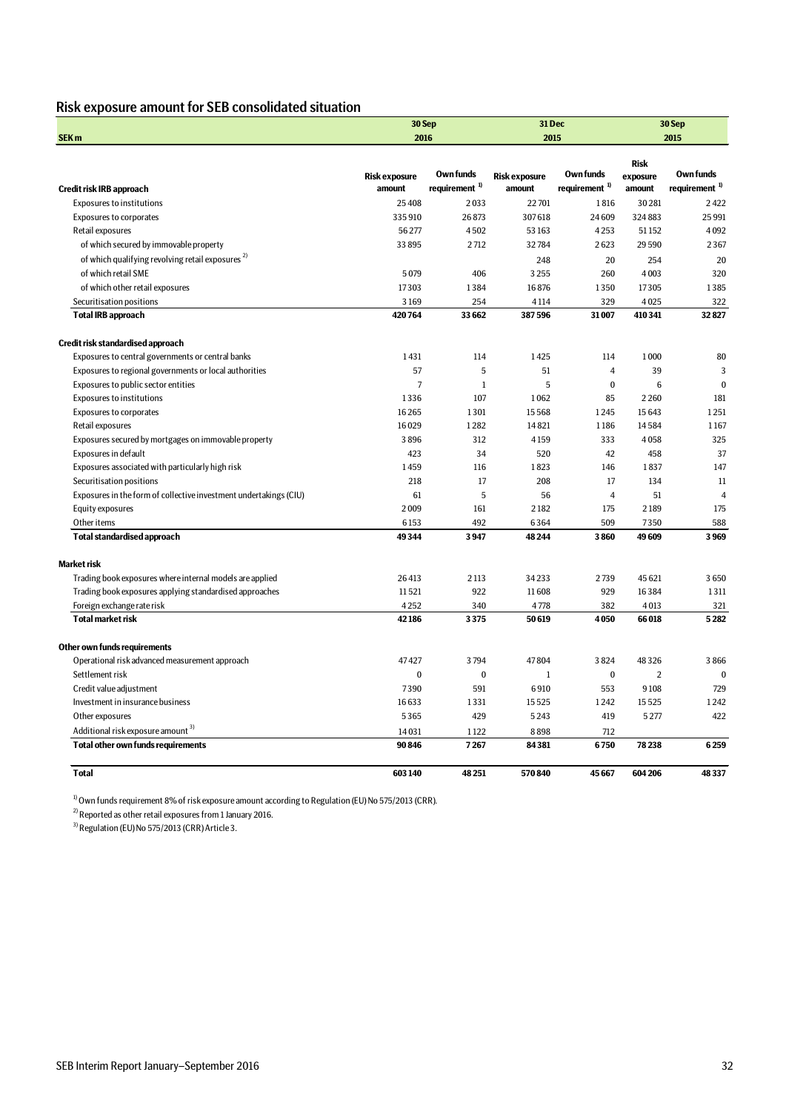## Risk exposure amount for SEB consolidated situation

|                                                                   |                      | 30 Sep                    | 31 Dec               |                           |                         | 30 Sep                    |  |
|-------------------------------------------------------------------|----------------------|---------------------------|----------------------|---------------------------|-------------------------|---------------------------|--|
| SEK <sub>m</sub>                                                  |                      | 2016                      | 2015                 |                           | 2015                    |                           |  |
|                                                                   |                      |                           |                      |                           |                         |                           |  |
|                                                                   | <b>Risk exposure</b> | Own funds                 | <b>Risk exposure</b> | Own funds                 | <b>Risk</b><br>exposure | Own funds                 |  |
| Credit risk IRB approach                                          | amount               | requirement <sup>1)</sup> | amount               | requirement <sup>1)</sup> | amount                  | requirement <sup>1)</sup> |  |
| <b>Exposures to institutions</b>                                  | 25 4 08              | 2033                      | 22701                | 1816                      | 30281                   | 2422                      |  |
| <b>Exposures to corporates</b>                                    | 335910               | 26873                     | 307618               | 24609                     | 324883                  | 25 991                    |  |
| Retail exposures                                                  | 56277                | 4502                      | 53 163               | 4253                      | 51152                   | 4092                      |  |
| of which secured by immovable property                            | 33 895               | 2712                      | 32784                | 2623                      | 29590                   | 2367                      |  |
| of which qualifying revolving retail exposures <sup>2)</sup>      |                      |                           | 248                  | 20                        | 254                     | 20                        |  |
| of which retail SME                                               | 5079                 | 406                       | 3255                 | 260                       | 4003                    | 320                       |  |
| of which other retail exposures                                   | 17303                | 1384                      | 16876                | 1350                      | 17305                   | 1385                      |  |
| Securitisation positions                                          | 3169                 | 254                       | 4114                 | 329                       | 4025                    | 322                       |  |
| <b>Total IRB approach</b>                                         | 420764               | 33 662                    | 387596               | 31007                     | 410341                  | 32827                     |  |
|                                                                   |                      |                           |                      |                           |                         |                           |  |
| Credit risk standardised approach                                 |                      |                           |                      |                           |                         |                           |  |
| Exposures to central governments or central banks                 | 1431                 | 114                       | 1425                 | 114                       | 1000                    | 80                        |  |
| Exposures to regional governments or local authorities            | 57                   | 5                         | 51                   | $\overline{4}$            | 39                      | 3                         |  |
| Exposures to public sector entities                               | $\overline{7}$       | $\mathbf{1}$              | 5                    | $\Omega$                  | 6                       | $\theta$                  |  |
| <b>Exposures to institutions</b>                                  | 1336                 | 107                       | 1062                 | 85                        | 2260                    | 181                       |  |
| <b>Exposures to corporates</b>                                    | 16265                | 1301                      | 15568                | 1245                      | 15643                   | 1251                      |  |
| Retail exposures                                                  | 16029                | 1282                      | 14821                | 1186                      | 14584                   | 1167                      |  |
| Exposures secured by mortgages on immovable property              | 3896                 | 312                       | 4159                 | 333                       | 4058                    | 325                       |  |
| Exposures in default                                              | 423                  | 34                        | 520                  | 42                        | 458                     | 37                        |  |
| Exposures associated with particularly high risk                  | 1459                 | 116                       | 1823                 | 146                       | 1837                    | 147                       |  |
| Securitisation positions                                          | 218                  | 17                        | 208                  | 17                        | 134                     | 11                        |  |
| Exposures in the form of collective investment undertakings (CIU) | 61                   | 5                         | 56                   | $\overline{4}$            | 51                      | $\overline{4}$            |  |
| Equity exposures                                                  | 2009                 | 161                       | 2182                 | 175                       | 2189                    | 175                       |  |
| Other items                                                       | 6153                 | 492                       | 6364                 | 509                       | 7350                    | 588                       |  |
| <b>Total standardised approach</b>                                | 49344                | 3947                      | 48244                | 3860                      | 49609                   | 3969                      |  |
|                                                                   |                      |                           |                      |                           |                         |                           |  |
| <b>Market risk</b>                                                | 26413                | 2 1 1 3                   |                      |                           | 45 6 21                 |                           |  |
| Trading book exposures where internal models are applied          |                      | 922                       | 34233                | 2739<br>929               |                         | 3650                      |  |
| Trading book exposures applying standardised approaches           | 11521<br>4252        | 340                       | 11608<br>4778        | 382                       | 16384<br>4013           | 1311<br>321               |  |
| Foreign exchange rate risk<br><b>Total market risk</b>            | 42186                | 3375                      | 50 619               | 4050                      | 66018                   | 5282                      |  |
|                                                                   |                      |                           |                      |                           |                         |                           |  |
| Other own funds requirements                                      |                      |                           |                      |                           |                         |                           |  |
| Operational risk advanced measurement approach                    | 47427                | 3794                      | 47804                | 3824                      | 48326                   | 3866                      |  |
| Settlement risk                                                   | $\bf{0}$             | $\pmb{0}$                 | $\mathbf{1}$         | $\pmb{0}$                 | $\overline{2}$          | $\Omega$                  |  |
| Credit value adjustment                                           | 7390                 | 591                       | 6910                 | 553                       | 9108                    | 729                       |  |
| Investment in insurance business                                  | 16633                | 1331                      | 15525                | 1242                      | 15525                   | 1242                      |  |
| Other exposures                                                   | 5365                 | 429                       | 5243                 | 419                       | 5277                    | 422                       |  |
| Additional risk exposure amount <sup>3)</sup>                     | 14031                | 1122                      | 8898                 | 712                       |                         |                           |  |
| <b>Total other own funds requirements</b>                         | 90846                | 7267                      | 84381                | 6750                      | 78238                   | 6259                      |  |
| <b>Total</b>                                                      | 603140               | 48251                     | 570840               | 45667                     | 604 206                 | 48337                     |  |
|                                                                   |                      |                           |                      |                           |                         |                           |  |

 $^{1)}$  Own funds requirement 8% of risk exposure amount according to Regulation (EU) No 575/2013 (CRR).

 $^{2)}$ Reported as other retail exposures from 1 January 2016.

 $^{3)}$ Regulation (EU) No 575/2013 (CRR) Article 3.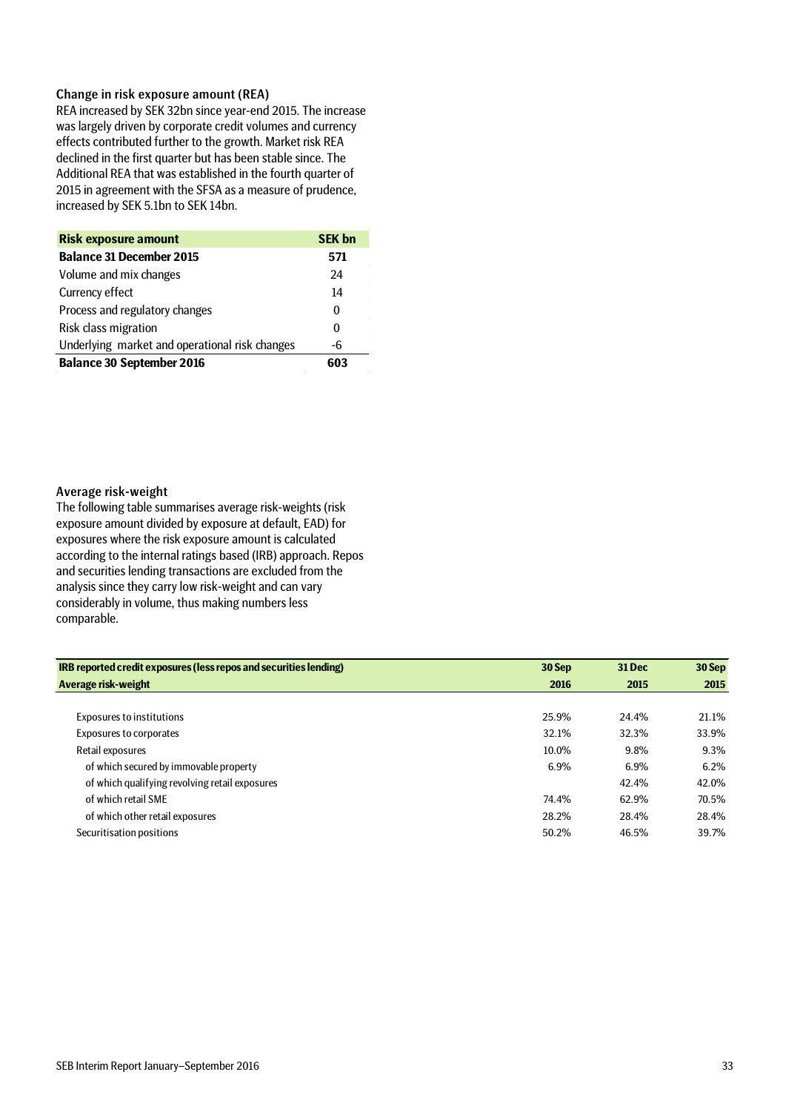## Change in risk exposure amount (REA)

REA increased by SEK 32bn since year-end 2015. The increase was largely driven by corporate credit volumes and currency effects contributed further to the growth. Market risk REA declined in the first quarter but has been stable since. The Additional REA that was established in the fourth quarter of 2015 in agreement with the SFSA as a measure of prudence, increased by SEK 5.1bn to SEK 14bn.

| <b>Risk exposure amount</b>                    | <b>SEK bn</b> |
|------------------------------------------------|---------------|
| <b>Balance 31 December 2015</b>                | 571           |
| Volume and mix changes                         | 24            |
| Currency effect                                | 14            |
| Process and regulatory changes                 | 0             |
| Risk class migration                           | 0             |
| Underlying market and operational risk changes | -6            |
| <b>Balance 30 September 2016</b>               | 603           |

## Average risk-weight

The following table summarises average risk-weights (risk exposure amount divided by exposure at default, EAD) for exposures where the risk exposure amount is calculated according to the internal ratings based (IRB) approach. Repos and securities lending transactions are excluded from the analysis since they carry low risk-weight and can vary considerably in volume, thus making numbers less comparable.

| IRB reported credit exposures (less repos and securities lending) | 30 Sep | <b>31 Dec</b> | 30 Sep |
|-------------------------------------------------------------------|--------|---------------|--------|
| Average risk-weight                                               | 2016   | 2015          | 2015   |
|                                                                   |        |               |        |
| <b>Exposures to institutions</b>                                  | 25.9%  | 24.4%         | 21.1%  |
| <b>Exposures to corporates</b>                                    | 32.1%  | 32.3%         | 33.9%  |
| Retail exposures                                                  | 10.0%  | 9.8%          | 9.3%   |
| of which secured by immovable property                            | 6.9%   | 6.9%          | 6.2%   |
| of which qualifying revolving retail exposures                    |        | 42.4%         | 42.0%  |
| of which retail SME                                               | 74.4%  | 62.9%         | 70.5%  |
| of which other retail exposures                                   | 28.2%  | 28.4%         | 28.4%  |
| Securitisation positions                                          | 50.2%  | 46.5%         | 39.7%  |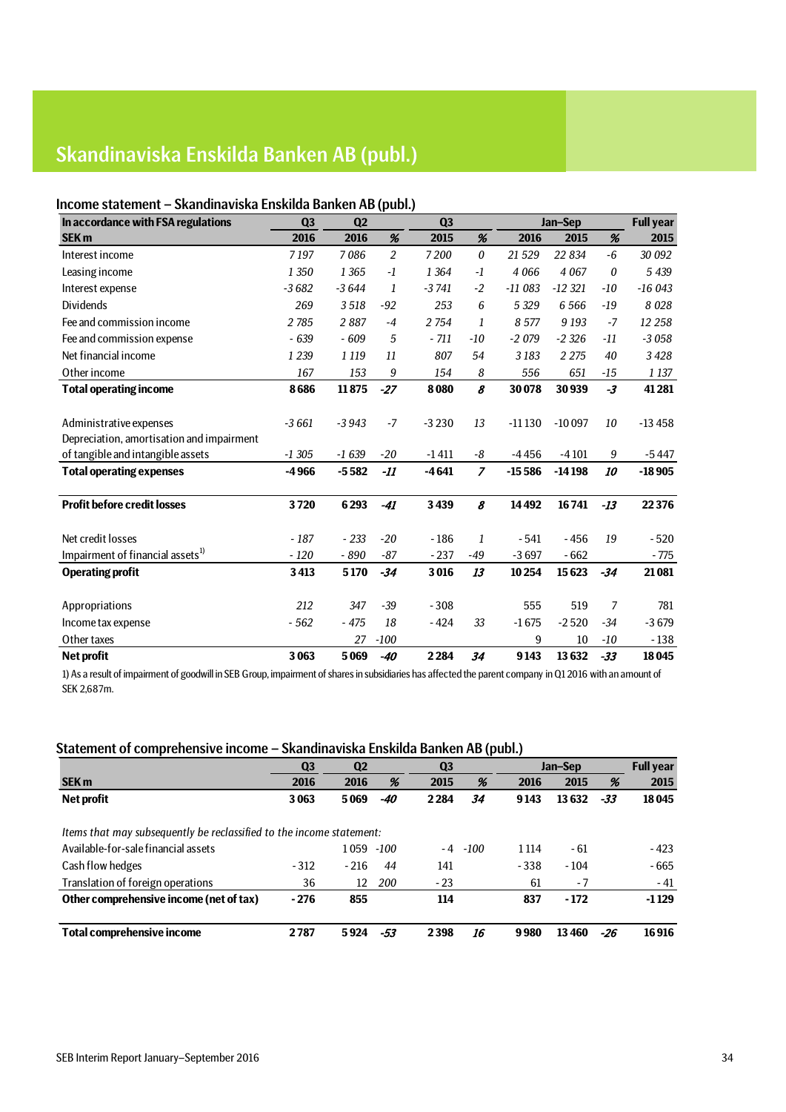# Skandinaviska Enskilda Banken AB (publ.)

## Income statement – Skandinaviska Enskilda Banken AB (publ.)

| In accordance with FSA regulations           | Q <sub>3</sub> | Q <sub>2</sub> |        | Q3      |                |          | Jan-Sep   |       | <b>Full year</b> |
|----------------------------------------------|----------------|----------------|--------|---------|----------------|----------|-----------|-------|------------------|
| SEK <sub>m</sub>                             | 2016           | 2016           | %      | 2015    | %              | 2016     | 2015      | %     | 2015             |
| Interest income                              | 7197           | 7086           | 2      | 7200    | $\theta$       | 21 5 29  | 22 834    | -6    | 30 092           |
| Leasing income                               | 1 3 5 0        | 1 3 6 5        | $-1$   | 1 3 6 4 | -1             | 4 0 6 6  | 4 0 6 7   | 0     | 5 4 3 9          |
| Interest expense                             | $-3682$        | $-3644$        | 1      | $-3741$ | $-2$           | $-11083$ | $-12.321$ | -10   | $-16043$         |
| <b>Dividends</b>                             | 269            | 3518           | $-92$  | 253     | 6              | 5 3 2 9  | 6 5 6 6   | $-19$ | 8 0 28           |
| Fee and commission income                    | 2785           | 2887           | $-4$   | 2754    | 1              | 8577     | 9 1 9 3   | $-7$  | 12 258           |
| Fee and commission expense                   | $-639$         | $-609$         | 5      | $-711$  | -10            | $-2079$  | $-2326$   | $-11$ | $-3058$          |
| Net financial income                         | 1 2 3 9        | 1 1 1 9        | 11     | 807     | 54             | 3183     | 2 2 7 5   | 40    | 3428             |
| Other income                                 | 167            | 153            | 9      | 154     | 8              | 556      | 651       | -15   | 1 1 3 7          |
| <b>Total operating income</b>                | 8686           | 11875          | $-27$  | 8080    | 8              | 30078    | 30939     | $-3$  | 41 281           |
|                                              |                |                |        |         |                |          |           |       |                  |
| Administrative expenses                      | $-3661$        | $-3943$        | $-7$   | $-3230$ | 13             | $-11130$ | $-10097$  | 10    | $-13458$         |
| Depreciation, amortisation and impairment    |                |                |        |         |                |          |           |       |                  |
| of tangible and intangible assets            | $-1305$        | $-1639$        | $-20$  | $-1411$ | -8             | $-4456$  | $-4101$   | 9     | $-5447$          |
| <b>Total operating expenses</b>              | $-4966$        | $-5582$        | -11    | $-4641$ | $\overline{z}$ | $-15586$ | $-14198$  | 10    | $-18905$         |
|                                              |                |                |        |         |                |          |           |       |                  |
| <b>Profit before credit losses</b>           | 3720           | 6293           | $-41$  | 3439    | 8              | 14492    | 16741     | $-13$ | 22376            |
|                                              |                |                |        |         |                |          |           |       |                  |
| Net credit losses                            | $-187$         | $-233$         | $-20$  | $-186$  | 1              | $-541$   | $-456$    | 19    | $-520$           |
| Impairment of financial assets <sup>1)</sup> | $-120$         | $-890$         | $-87$  | $-237$  | -49            | $-3697$  | $-662$    |       | $-775$           |
| <b>Operating profit</b>                      | 3413           | 5170           | $-34$  | 3016    | 13             | 10254    | 15623     | $-34$ | 21 081           |
| Appropriations                               | 212            | 347            | $-39$  | $-308$  |                | 555      | 519       | 7     | 781              |
| Income tax expense                           | $-562$         | $-475$         | 18     | $-424$  | 33             | $-1675$  | $-2520$   | $-34$ | $-3679$          |
| Other taxes                                  |                | 27             | $-100$ |         |                | 9        | 10        | -10   | $-138$           |
| <b>Net profit</b>                            | 3063           | 5069           | $-40$  | 2284    | 34             | 9143     | 13632     | $-33$ | 18045            |

1) As a result of impairment of goodwill in SEB Group, impairment of shares in subsidiaries has affected the parent company in Q1 2016 with an amount of SEK 2,687m.

## Statement of comprehensive income – Skandinaviska Enskilda Banken AB (publ.)

| . .                                                                  |                |                |      |                |      |         |         |     |                  |
|----------------------------------------------------------------------|----------------|----------------|------|----------------|------|---------|---------|-----|------------------|
|                                                                      | Q <sub>3</sub> | Q <sub>2</sub> |      | Q <sub>3</sub> |      |         | Jan-Sep |     | <b>Full year</b> |
| <b>SEK m</b>                                                         | 2016           | 2016           | %    | 2015           | %    | 2016    | 2015    | %   | 2015             |
| Net profit                                                           | 3063           | 5069           | -40  | 2284           | 34   | 9143    | 13632   | -33 | 18045            |
|                                                                      |                |                |      |                |      |         |         |     |                  |
| Items that may subsequently be reclassified to the income statement: |                |                |      |                |      |         |         |     |                  |
| Available-for-sale financial assets                                  |                | 1059           | -100 | - 4            | -100 | 1 1 1 4 | - 61    |     | $-423$           |
| Cash flow hedges                                                     | $-312$         | $-216$         | 44   | 141            |      | $-338$  | $-104$  |     | $-665$           |
| Translation of foreign operations                                    | 36             | 12             | 200  | $-23$          |      | 61      | - 7     |     | $-41$            |
| Other comprehensive income (net of tax)                              | $-276$         | 855            |      | 114            |      | 837     | $-172$  |     | $-1129$          |
| <b>Total comprehensive income</b>                                    | 2787           | 5924           | -53  | 2398           | 16   | 9980    | 13460   | -26 | 16916            |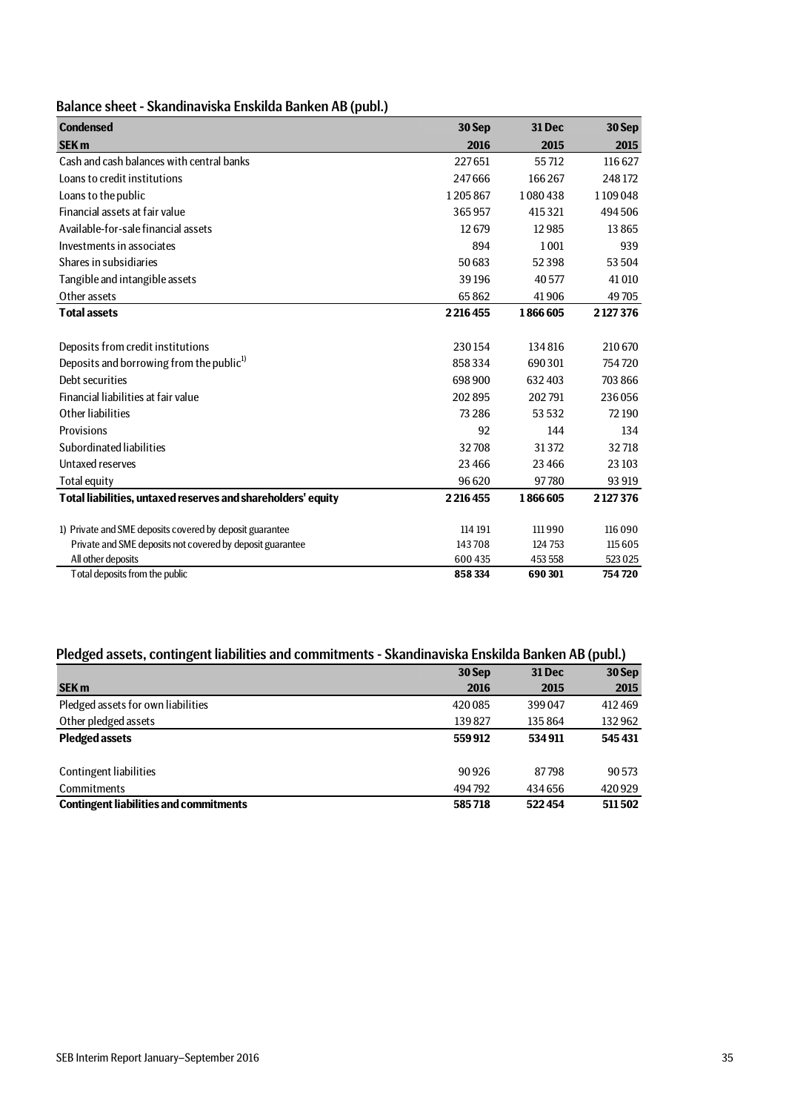| Balance sheet - Skandinaviska Enskilda Banken AB (publ.) |  |
|----------------------------------------------------------|--|
|----------------------------------------------------------|--|

| <b>Condensed</b>                                             | 30 Sep      | <b>31 Dec</b> | 30 Sep  |
|--------------------------------------------------------------|-------------|---------------|---------|
| <b>SEK m</b>                                                 | 2016        | 2015          | 2015    |
| Cash and cash balances with central banks                    | 227651      | 55712         | 116627  |
| Loans to credit institutions                                 | 247666      | 166267        | 248172  |
| Loans to the public                                          | 1205867     | 1080438       | 1109048 |
| Financial assets at fair value                               | 365957      | 415321        | 494506  |
| Available-for-sale financial assets                          | 12679       | 12985         | 13865   |
| Investments in associates                                    | 894         | 1 0 0 1       | 939     |
| Shares in subsidiaries                                       | 50 683      | 52398         | 53504   |
| Tangible and intangible assets                               | 39196       | 40577         | 41010   |
| Other assets                                                 | 65862       | 41906         | 49705   |
| <b>Total assets</b>                                          | 2 2 16 4 55 | 1866605       | 2127376 |
|                                                              |             |               |         |
| Deposits from credit institutions                            | 230154      | 134816        | 210 670 |
| Deposits and borrowing from the public <sup>1)</sup>         | 858334      | 690301        | 754720  |
| Debt securities                                              | 698 900     | 632 403       | 703 866 |
| Financial liabilities at fair value                          | 202895      | 202791        | 236056  |
| Other liabilities                                            | 73 2 8 6    | 53532         | 72 190  |
| Provisions                                                   | 92          | 144           | 134     |
| Subordinated liabilities                                     | 32708       | 31372         | 32718   |
| Untaxed reserves                                             | 23466       | 23 4 66       | 23 10 3 |
| Total equity                                                 | 96620       | 97780         | 93 919  |
| Total liabilities, untaxed reserves and shareholders' equity | 2216455     | 1866605       | 2127376 |
|                                                              |             |               |         |
| 1) Private and SME deposits covered by deposit guarantee     | 114 191     | 111990        | 116 090 |
| Private and SME deposits not covered by deposit guarantee    | 143708      | 124 753       | 115605  |
| All other deposits                                           | 600 435     | 453 558       | 523025  |
| Total deposits from the public                               | 858 334     | 690301        | 754720  |

## Pledged assets, contingent liabilities and commitments - Skandinaviska Enskilda Banken AB (publ.)

|                                               | 30 Sep  | <b>31 Dec</b> | 30 Sep |
|-----------------------------------------------|---------|---------------|--------|
| <b>SEK m</b>                                  | 2016    | 2015          | 2015   |
| Pledged assets for own liabilities            | 420 085 | 399047        | 412469 |
| Other pledged assets                          | 139827  | 135 864       | 132962 |
| <b>Pledged assets</b>                         | 559912  | 534911        | 545431 |
|                                               |         |               |        |
| <b>Contingent liabilities</b>                 | 90926   | 87798         | 90 573 |
| <b>Commitments</b>                            | 494792  | 434 656       | 420929 |
| <b>Contingent liabilities and commitments</b> | 585718  | 522454        | 511502 |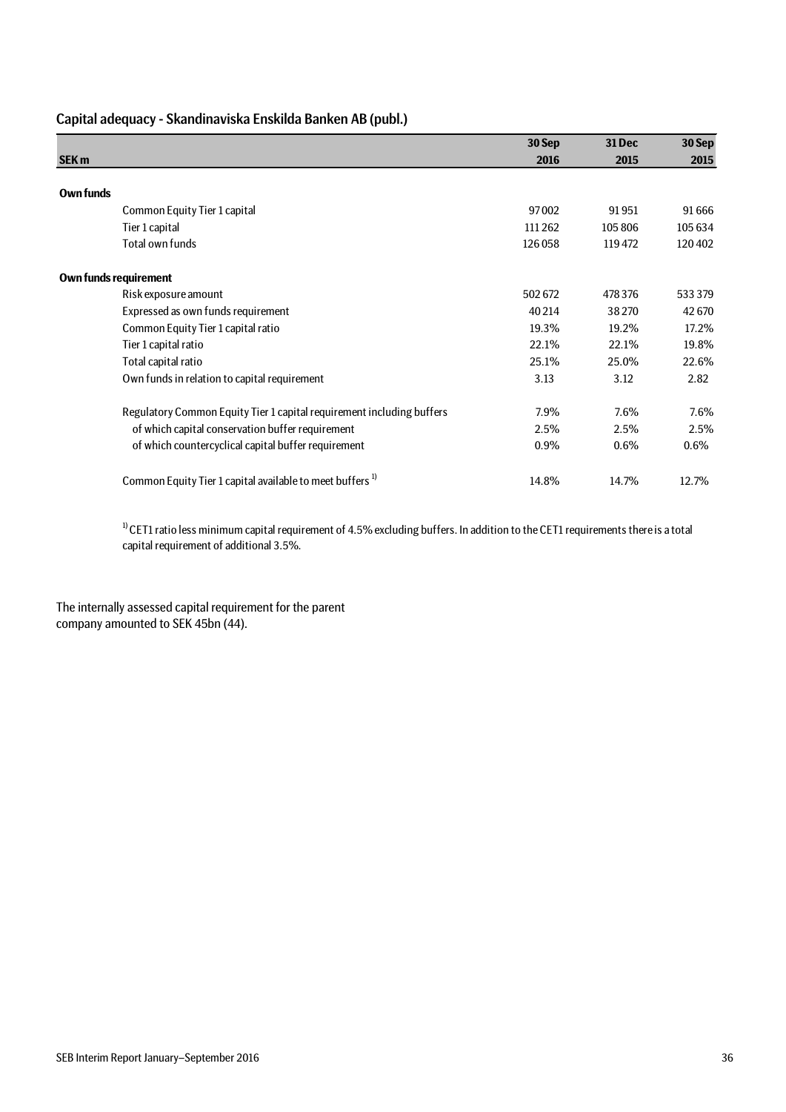| Capital adequacy - Skandinaviska Enskilda Banken AB (publ.) |  |  |  |
|-------------------------------------------------------------|--|--|--|
|-------------------------------------------------------------|--|--|--|

|                                                                       | 30 Sep  | 31 Dec  | 30 Sep  |
|-----------------------------------------------------------------------|---------|---------|---------|
| <b>SEK m</b>                                                          | 2016    | 2015    | 2015    |
|                                                                       |         |         |         |
| Own funds                                                             |         |         |         |
| Common Equity Tier 1 capital                                          | 97002   | 91951   | 91666   |
| Tier 1 capital                                                        | 111 262 | 105 806 | 105 634 |
| Total own funds                                                       | 126058  | 119472  | 120402  |
| <b>Own funds requirement</b>                                          |         |         |         |
| Risk exposure amount                                                  | 502672  | 478 376 | 533379  |
| Expressed as own funds requirement                                    | 40 214  | 38270   | 42670   |
| Common Equity Tier 1 capital ratio                                    | 19.3%   | 19.2%   | 17.2%   |
| Tier 1 capital ratio                                                  | 22.1%   | 22.1%   | 19.8%   |
| Total capital ratio                                                   | 25.1%   | 25.0%   | 22.6%   |
| Own funds in relation to capital requirement                          | 3.13    | 3.12    | 2.82    |
| Regulatory Common Equity Tier 1 capital requirement including buffers | 7.9%    | 7.6%    | 7.6%    |
| of which capital conservation buffer requirement                      | 2.5%    | 2.5%    | 2.5%    |
| of which countercyclical capital buffer requirement                   | 0.9%    | 0.6%    | $0.6\%$ |
| Common Equity Tier 1 capital available to meet buffers <sup>1)</sup>  | 14.8%   | 14.7%   | 12.7%   |

 $1)$  CET1 ratio less minimum capital requirement of 4.5% excluding buffers. In addition to the CET1 requirements there is a total capital requirement of additional 3.5%.

The internally assessed capital requirement for the parent company amounted to SEK 45bn (44).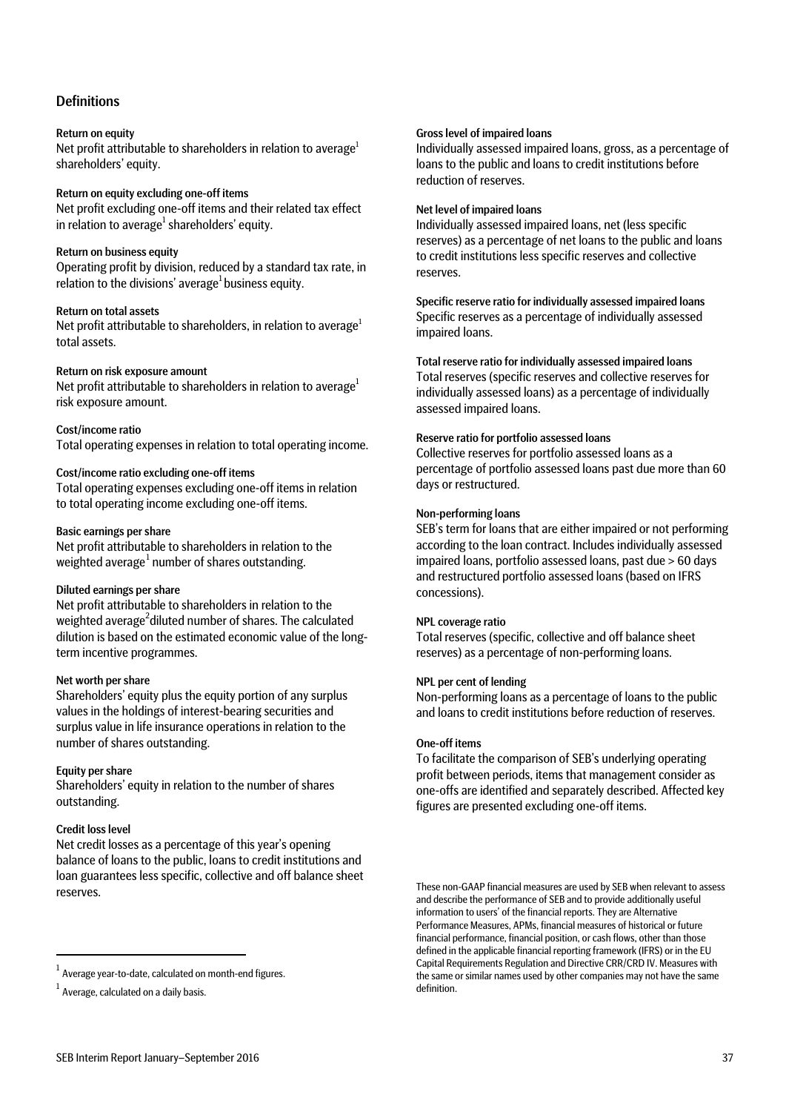## **Definitions**

## Return on equity

Net profit attributable to shareholders in relation to average<sup>1</sup> shareholders' equity.

## Return on equity excluding one-off items

Net profit excluding one-off items and their related tax effect in relation to average<sup>1</sup> shareholders' equity.

## Return on business equity

Operating profit by division, reduced by a standard tax rate, in relation to the divisions' average<sup>1</sup> business equity.

## Return on total assets

Net profit attributable to shareholders, in relation to average<sup>1</sup> total assets.

## Return on risk exposure amount

Net profit attributable to shareholders in relation to average<sup>1</sup> risk exposure amount.

## Cost/income ratio

Total operating expenses in relation to total operating income.

## Cost/income ratio excluding one-off items

Total operating expenses excluding one-off items in relation to total operating income excluding one-off items.

## Basic earnings per share

Net profit attributable to shareholders in relation to the weighted average $^{\rm 1}$  $^{\rm 1}$  $^{\rm 1}$  number of shares outstanding.

## Diluted earnings per share

Net profit attributable to shareholders in relation to the weighted average<sup>2</sup>diluted number of shares. The calculated dilution is based on the estimated economic value of the longterm incentive programmes.

### Net worth per share

Shareholders' equity plus the equity portion of any surplus values in the holdings of interest-bearing securities and surplus value in life insurance operations in relation to the number of shares outstanding.

### Equity per share

Shareholders' equity in relation to the number of shares outstanding.

## Credit loss level

Net credit losses as a percentage of this year's opening balance of loans to the public, loans to credit institutions and loan guarantees less specific, collective and off balance sheet reserves.

### Gross level of impaired loans

Individually assessed impaired loans, gross, as a percentage of loans to the public and loans to credit institutions before reduction of reserves.

## Net level of impaired loans

Individually assessed impaired loans, net (less specific reserves) as a percentage of net loans to the public and loans to credit institutions less specific reserves and collective reserves.

Specific reserve ratio for individually assessed impaired loans Specific reserves as a percentage of individually assessed impaired loans.

Total reserve ratio for individually assessed impaired loans Total reserves (specific reserves and collective reserves for individually assessed loans) as a percentage of individually assessed impaired loans.

## Reserve ratio for portfolio assessed loans

Collective reserves for portfolio assessed loans as a percentage of portfolio assessed loans past due more than 60 days or restructured.

## Non-performing loans

SEB's term for loans that are either impaired or not performing according to the loan contract. Includes individually assessed impaired loans, portfolio assessed loans, past due > 60 days and restructured portfolio assessed loans (based on IFRS concessions).

### NPL coverage ratio

Total reserves (specific, collective and off balance sheet reserves) as a percentage of non-performing loans.

## NPL per cent of lending

Non-performing loans as a percentage of loans to the public and loans to credit institutions before reduction of reserves.

## One-off items

To facilitate the comparison of SEB's underlying operating profit between periods, items that management consider as one-offs are identified and separately described. Affected key figures are presented excluding one-off items.

These non-GAAP financial measures are used by SEB when relevant to assess and describe the performance of SEB and to provide additionally useful information to users' of the financial reports. They are Alternative Performance Measures, APMs, financial measures of historical or future financial performance, financial position, or cash flows, other than those defined in the applicable financial reporting framework (IFRS) or in the EU Capital Requirements Regulation and Directive CRR/CRD IV. Measures with the same or similar names used by other companies may not have the same definition.

<span id="page-36-0"></span> $\frac{1}{1}$  $1$  Average year-to-date, calculated on month-end figures.

 $^1$  Average, calculated on a daily basis.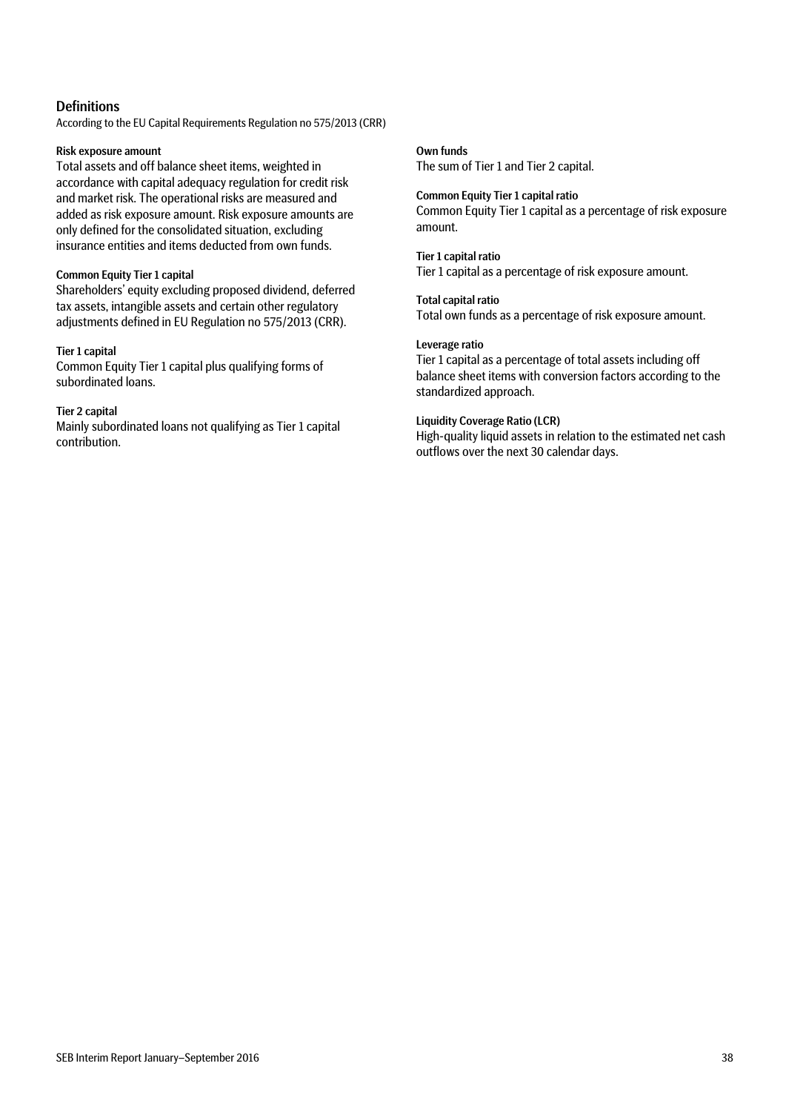## **Definitions**

According to the EU Capital Requirements Regulation no 575/2013 (CRR)

## Risk exposure amount

Total assets and off balance sheet items, weighted in accordance with capital adequacy regulation for credit risk and market risk. The operational risks are measured and added as risk exposure amount. Risk exposure amounts are only defined for the consolidated situation, excluding insurance entities and items deducted from own funds.

## Common Equity Tier 1 capital

Shareholders' equity excluding proposed dividend, deferred tax assets, intangible assets and certain other regulatory adjustments defined in EU Regulation no 575/2013 (CRR).

## Tier 1 capital

Common Equity Tier 1 capital plus qualifying forms of subordinated loans.

## Tier 2 capital

Mainly subordinated loans not qualifying as Tier 1 capital contribution.

## Own funds

The sum of Tier 1 and Tier 2 capital.

Common Equity Tier 1 capital ratio Common Equity Tier 1 capital as a percentage of risk exposure amount.

## Tier 1 capital ratio

Tier 1 capital as a percentage of risk exposure amount.

## Total capital ratio

Total own funds as a percentage of risk exposure amount.

## Leverage ratio

Tier 1 capital as a percentage of total assets including off balance sheet items with conversion factors according to the standardized approach.

## Liquidity Coverage Ratio (LCR)

High-quality liquid assets in relation to the estimated net cash outflows over the next 30 calendar days.